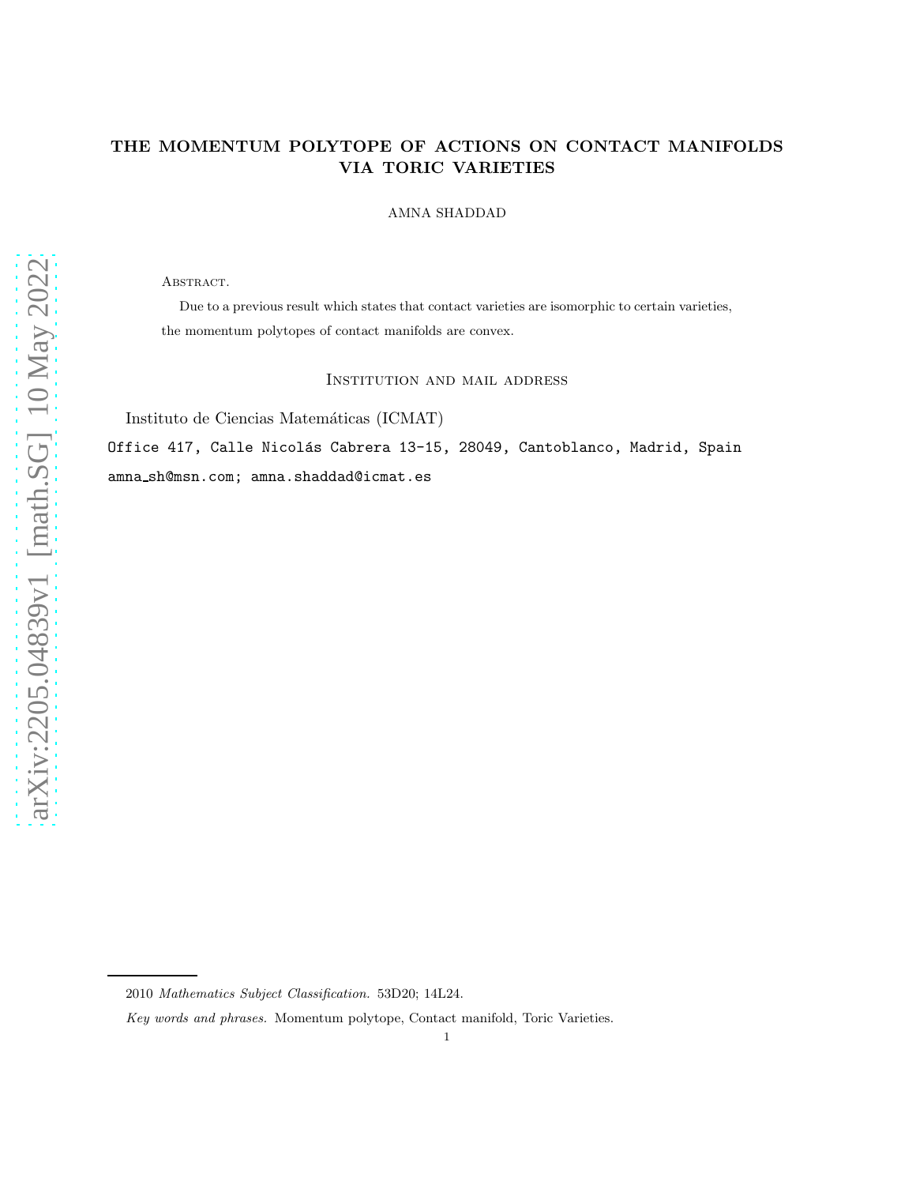# THE MOMENTUM POLYTOPE OF ACTIONS ON CONTACT MANIFOLDS VIA TORIC VARIETIES

#### AMNA SHADDAD

ABSTRACT.

Due to a previous result which states that contact varieties are isomorphic to certain varieties, the momentum polytopes of contact manifolds are convex.

Institution and mail address

Instituto de Ciencias Matemáticas (ICMAT)

Office 417, Calle Nicolás Cabrera 13-15, 28049, Cantoblanco, Madrid, Spain amna sh@msn.com; amna.shaddad@icmat.es

<sup>2010</sup> Mathematics Subject Classification. 53D20; 14L24.

Key words and phrases. Momentum polytope, Contact manifold, Toric Varieties.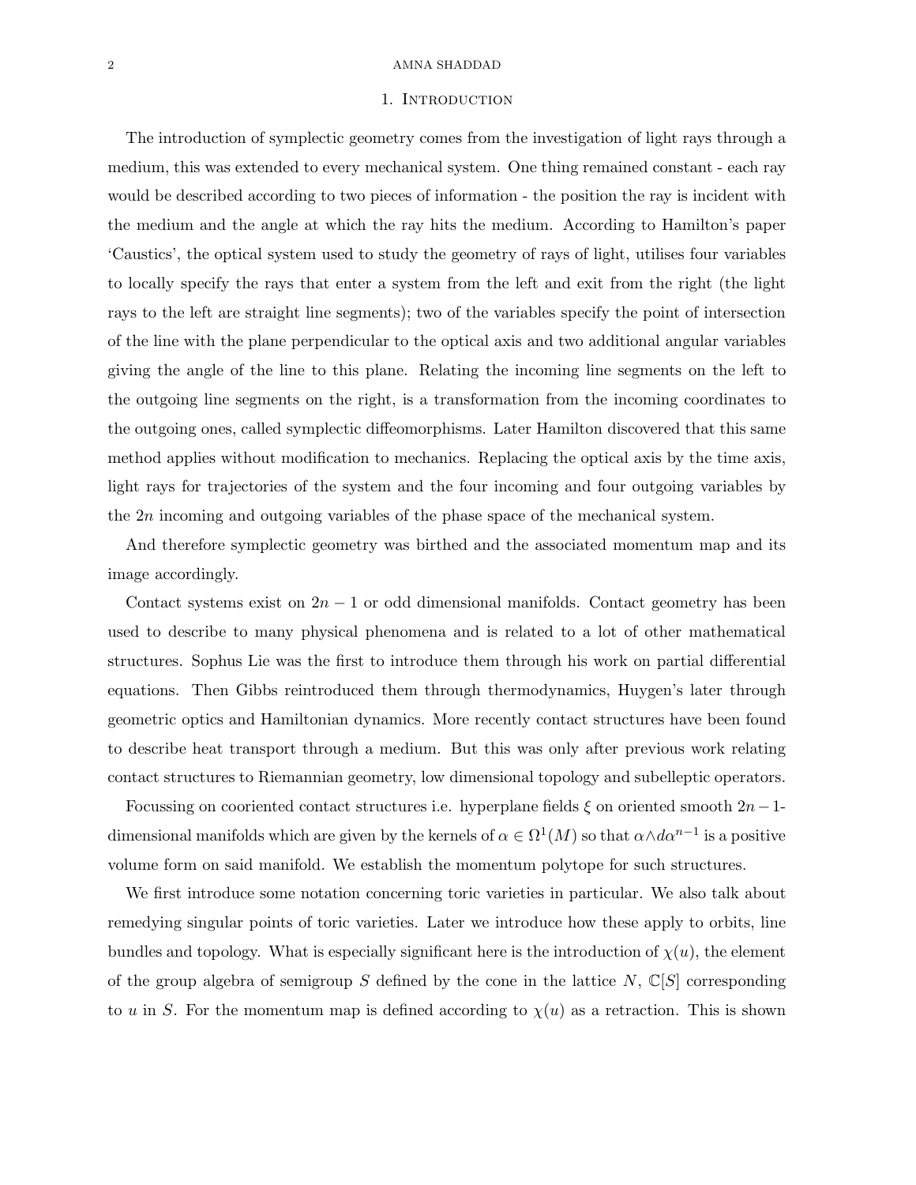#### 2 AMNA SHADDAD

#### 1. Introduction

The introduction of symplectic geometry comes from the investigation of light rays through a medium, this was extended to every mechanical system. One thing remained constant - each ray would be described according to two pieces of information - the position the ray is incident with the medium and the angle at which the ray hits the medium. According to Hamilton's paper 'Caustics', the optical system used to study the geometry of rays of light, utilises four variables to locally specify the rays that enter a system from the left and exit from the right (the light rays to the left are straight line segments); two of the variables specify the point of intersection of the line with the plane perpendicular to the optical axis and two additional angular variables giving the angle of the line to this plane. Relating the incoming line segments on the left to the outgoing line segments on the right, is a transformation from the incoming coordinates to the outgoing ones, called symplectic diffeomorphisms. Later Hamilton discovered that this same method applies without modification to mechanics. Replacing the optical axis by the time axis, light rays for trajectories of the system and the four incoming and four outgoing variables by the 2n incoming and outgoing variables of the phase space of the mechanical system.

And therefore symplectic geometry was birthed and the associated momentum map and its image accordingly.

Contact systems exist on  $2n - 1$  or odd dimensional manifolds. Contact geometry has been used to describe to many physical phenomena and is related to a lot of other mathematical structures. Sophus Lie was the first to introduce them through his work on partial differential equations. Then Gibbs reintroduced them through thermodynamics, Huygen's later through geometric optics and Hamiltonian dynamics. More recently contact structures have been found to describe heat transport through a medium. But this was only after previous work relating contact structures to Riemannian geometry, low dimensional topology and subelleptic operators.

Focussing on cooriented contact structures i.e. hyperplane fields  $\xi$  on oriented smooth  $2n-1$ dimensional manifolds which are given by the kernels of  $\alpha \in \Omega^1(M)$  so that  $\alpha \wedge d\alpha^{n-1}$  is a positive volume form on said manifold. We establish the momentum polytope for such structures.

We first introduce some notation concerning toric varieties in particular. We also talk about remedying singular points of toric varieties. Later we introduce how these apply to orbits, line bundles and topology. What is especially significant here is the introduction of  $\chi(u)$ , the element of the group algebra of semigroup S defined by the cone in the lattice  $N$ ,  $\mathbb{C}[S]$  corresponding to u in S. For the momentum map is defined according to  $\chi(u)$  as a retraction. This is shown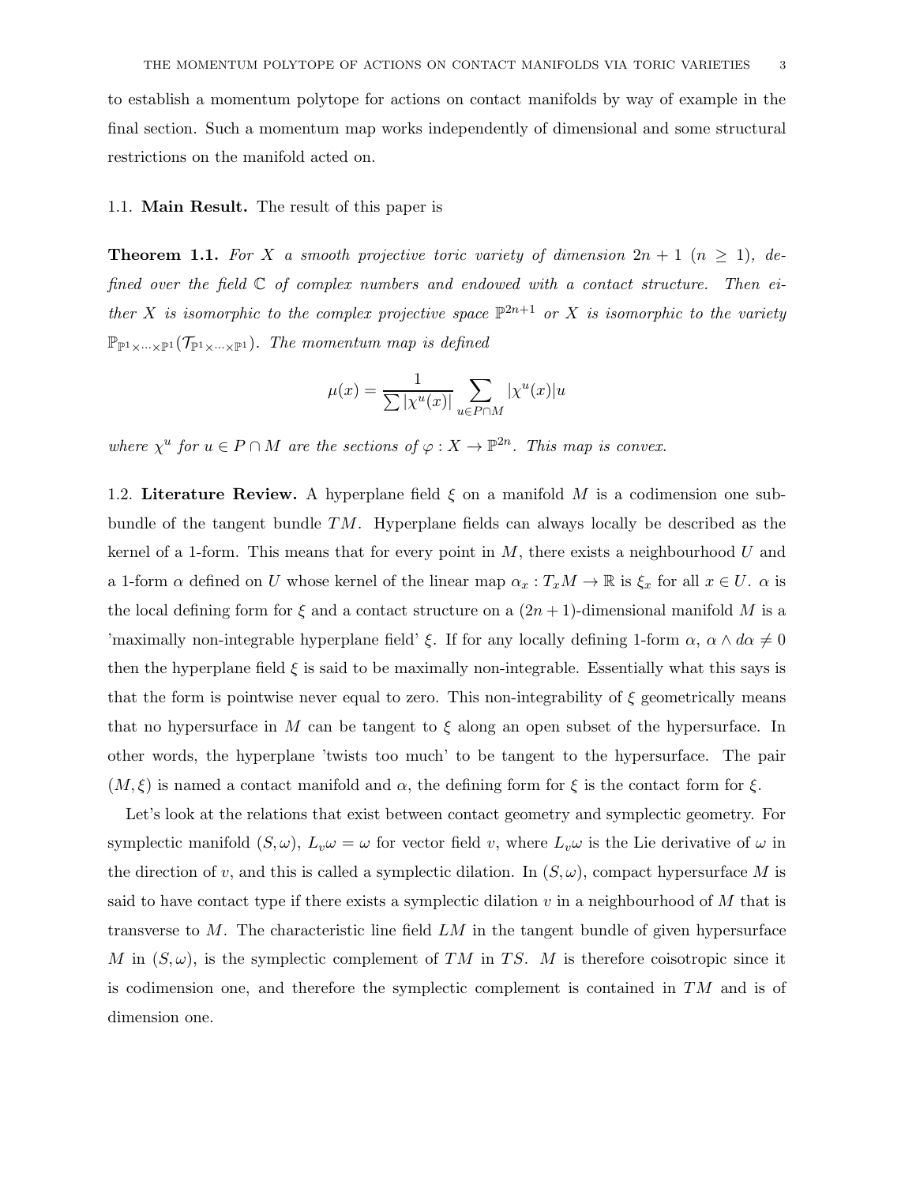to establish a momentum polytope for actions on contact manifolds by way of example in the final section. Such a momentum map works independently of dimensional and some structural restrictions on the manifold acted on.

# 1.1. Main Result. The result of this paper is

**Theorem 1.1.** For X a smooth projective toric variety of dimension  $2n + 1$   $(n \ge 1)$ , defined over the field  $\mathbb C$  of complex numbers and endowed with a contact structure. Then either X is isomorphic to the complex projective space  $\mathbb{P}^{2n+1}$  or X is isomorphic to the variety  $\mathbb{P}_{\mathbb{P}^1 \times \cdots \times \mathbb{P}^1}(\mathcal{T}_{\mathbb{P}^1 \times \cdots \times \mathbb{P}^1})$ . The momentum map is defined

$$
\mu(x) = \frac{1}{\sum |\chi^u(x)|} \sum_{u \in P \cap M} |\chi^u(x)| u
$$

where  $\chi^u$  for  $u \in P \cap M$  are the sections of  $\varphi : X \to \mathbb{P}^{2n}$ . This map is convex.

1.2. Literature Review. A hyperplane field  $\xi$  on a manifold M is a codimension one subbundle of the tangent bundle TM. Hyperplane fields can always locally be described as the kernel of a 1-form. This means that for every point in  $M$ , there exists a neighbourhood  $U$  and a 1-form  $\alpha$  defined on U whose kernel of the linear map  $\alpha_x : T_xM \to \mathbb{R}$  is  $\xi_x$  for all  $x \in U$ .  $\alpha$  is the local defining form for  $\xi$  and a contact structure on a  $(2n+1)$ -dimensional manifold M is a 'maximally non-integrable hyperplane field'  $\xi$ . If for any locally defining 1-form  $\alpha$ ,  $\alpha \wedge d\alpha \neq 0$ then the hyperplane field  $\xi$  is said to be maximally non-integrable. Essentially what this says is that the form is pointwise never equal to zero. This non-integrability of  $\xi$  geometrically means that no hypersurface in M can be tangent to  $\xi$  along an open subset of the hypersurface. In other words, the hyperplane 'twists too much' to be tangent to the hypersurface. The pair  $(M, \xi)$  is named a contact manifold and  $\alpha$ , the defining form for  $\xi$  is the contact form for  $\xi$ .

Let's look at the relations that exist between contact geometry and symplectic geometry. For symplectic manifold  $(S, \omega)$ ,  $L_v \omega = \omega$  for vector field v, where  $L_v \omega$  is the Lie derivative of  $\omega$  in the direction of v, and this is called a symplectic dilation. In  $(S, \omega)$ , compact hypersurface M is said to have contact type if there exists a symplectic dilation  $v$  in a neighbourhood of  $M$  that is transverse to  $M$ . The characteristic line field  $LM$  in the tangent bundle of given hypersurface M in  $(S, \omega)$ , is the symplectic complement of TM in TS. M is therefore coisotropic since it is codimension one, and therefore the symplectic complement is contained in  $TM$  and is of dimension one.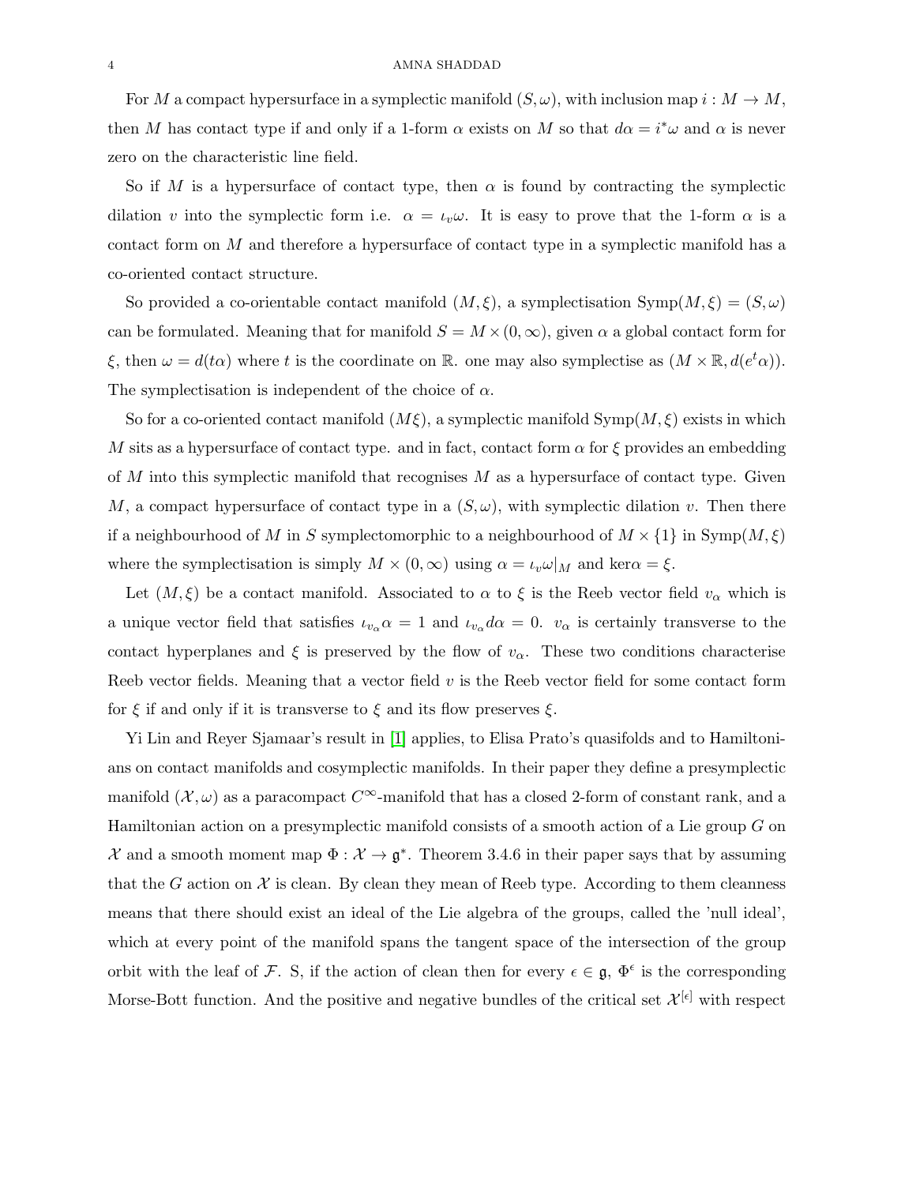For M a compact hypersurface in a symplectic manifold  $(S, \omega)$ , with inclusion map  $i : M \to M$ , then M has contact type if and only if a 1-form  $\alpha$  exists on M so that  $d\alpha = i^*\omega$  and  $\alpha$  is never zero on the characteristic line field.

So if M is a hypersurface of contact type, then  $\alpha$  is found by contracting the symplectic dilation v into the symplectic form i.e.  $\alpha = \iota_v \omega$ . It is easy to prove that the 1-form  $\alpha$  is a contact form on M and therefore a hypersurface of contact type in a symplectic manifold has a co-oriented contact structure.

So provided a co-orientable contact manifold  $(M, \xi)$ , a symplectisation  $\text{Symp}(M, \xi) = (S, \omega)$ can be formulated. Meaning that for manifold  $S = M \times (0, \infty)$ , given  $\alpha$  a global contact form for  $\xi$ , then  $\omega = d(t\alpha)$  where t is the coordinate on R. one may also symplectise as  $(M \times \mathbb{R}, d(e^t \alpha))$ . The symplectisation is independent of the choice of  $\alpha$ .

So for a co-oriented contact manifold  $(M\xi)$ , a symplectic manifold Symp $(M,\xi)$  exists in which M sits as a hypersurface of contact type. and in fact, contact form  $\alpha$  for  $\xi$  provides an embedding of  $M$  into this symplectic manifold that recognises  $M$  as a hypersurface of contact type. Given M, a compact hypersurface of contact type in a  $(S, \omega)$ , with symplectic dilation v. Then there if a neighbourhood of M in S symplectomorphic to a neighbourhood of  $M \times \{1\}$  in Symp $(M, \xi)$ where the symplectisation is simply  $M \times (0, \infty)$  using  $\alpha = \iota_v \omega|_M$  and ker $\alpha = \xi$ .

Let  $(M, \xi)$  be a contact manifold. Associated to  $\alpha$  to  $\xi$  is the Reeb vector field  $v_{\alpha}$  which is a unique vector field that satisfies  $\iota_{v_\alpha} \alpha = 1$  and  $\iota_{v_\alpha} d\alpha = 0$ .  $v_\alpha$  is certainly transverse to the contact hyperplanes and  $\xi$  is preserved by the flow of  $v_{\alpha}$ . These two conditions characterise Reeb vector fields. Meaning that a vector field  $v$  is the Reeb vector field for some contact form for  $\xi$  if and only if it is transverse to  $\xi$  and its flow preserves  $\xi$ .

Yi Lin and Reyer Sjamaar's result in [\[1\]](#page-30-0) applies, to Elisa Prato's quasifolds and to Hamiltonians on contact manifolds and cosymplectic manifolds. In their paper they define a presymplectic manifold  $(\mathcal{X}, \omega)$  as a paracompact  $C^{\infty}$ -manifold that has a closed 2-form of constant rank, and a Hamiltonian action on a presymplectic manifold consists of a smooth action of a Lie group G on  $\mathcal{X}$  and a smooth moment map  $\Phi : \mathcal{X} \to \mathfrak{g}^*$ . Theorem 3.4.6 in their paper says that by assuming that the G action on  $\mathcal X$  is clean. By clean they mean of Reeb type. According to them cleanness means that there should exist an ideal of the Lie algebra of the groups, called the 'null ideal', which at every point of the manifold spans the tangent space of the intersection of the group orbit with the leaf of F. S, if the action of clean then for every  $\epsilon \in \mathfrak{g}, \Phi^{\epsilon}$  is the corresponding Morse-Bott function. And the positive and negative bundles of the critical set  $\mathcal{X}^{[\epsilon]}$  with respect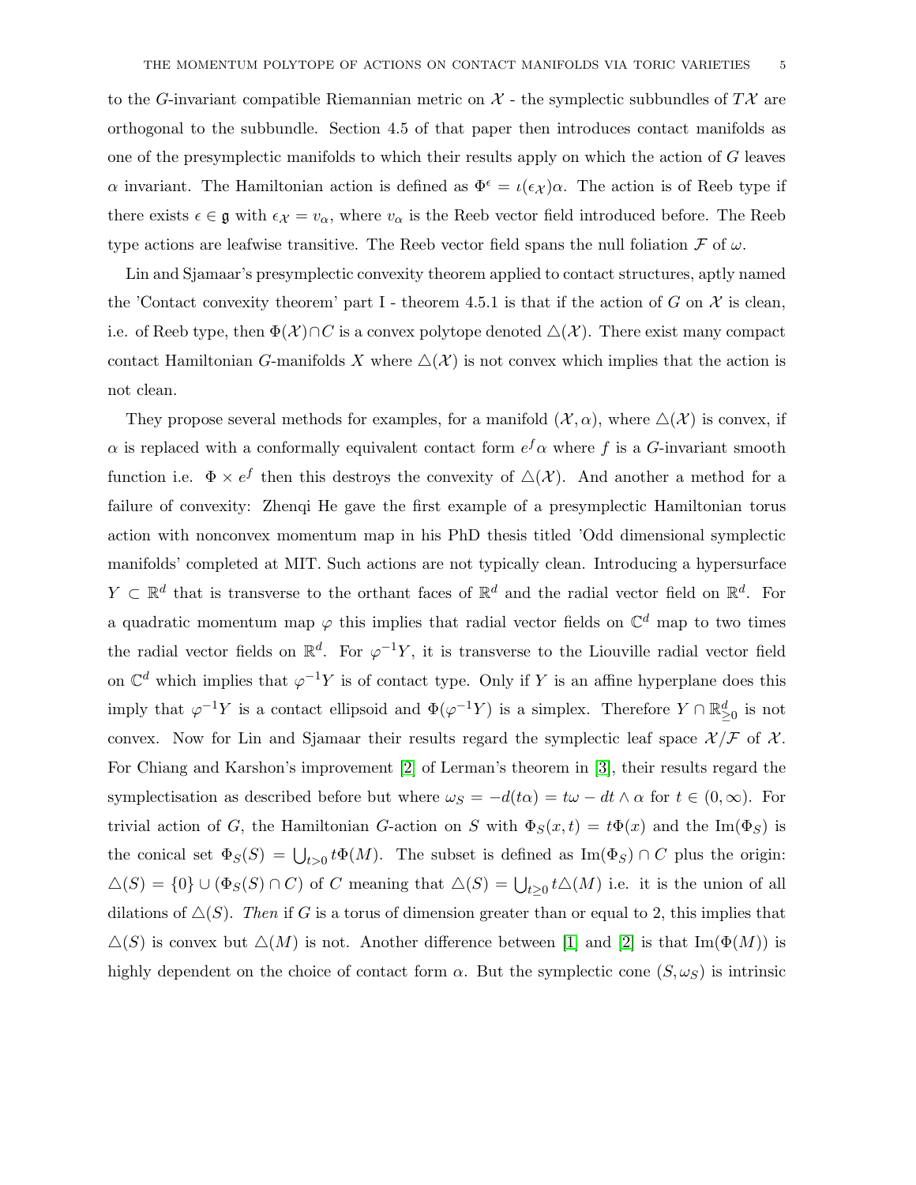to the G-invariant compatible Riemannian metric on  $\mathcal{X}$  - the symplectic subbundles of  $T\mathcal{X}$  are orthogonal to the subbundle. Section 4.5 of that paper then introduces contact manifolds as one of the presymplectic manifolds to which their results apply on which the action of  $G$  leaves α invariant. The Hamiltonian action is defined as  $\Phi^{\epsilon} = \iota(\epsilon_{\mathcal{X}}) \alpha$ . The action is of Reeb type if there exists  $\epsilon \in \mathfrak{g}$  with  $\epsilon \chi = v_\alpha$ , where  $v_\alpha$  is the Reeb vector field introduced before. The Reeb type actions are leafwise transitive. The Reeb vector field spans the null foliation  $\mathcal F$  of  $\omega$ .

Lin and Sjamaar's presymplectic convexity theorem applied to contact structures, aptly named the 'Contact convexity theorem' part I - theorem 4.5.1 is that if the action of G on  $\mathcal X$  is clean, i.e. of Reeb type, then  $\Phi(\mathcal{X}) \cap C$  is a convex polytope denoted  $\Delta(\mathcal{X})$ . There exist many compact contact Hamiltonian G-manifolds X where  $\Delta(\mathcal{X})$  is not convex which implies that the action is not clean.

They propose several methods for examples, for a manifold  $(\mathcal{X}, \alpha)$ , where  $\Delta(\mathcal{X})$  is convex, if  $\alpha$  is replaced with a conformally equivalent contact form  $e^f \alpha$  where f is a G-invariant smooth function i.e.  $\Phi \times e^f$  then this destroys the convexity of  $\Delta(\mathcal{X})$ . And another a method for a failure of convexity: Zhenqi He gave the first example of a presymplectic Hamiltonian torus action with nonconvex momentum map in his PhD thesis titled 'Odd dimensional symplectic manifolds' completed at MIT. Such actions are not typically clean. Introducing a hypersurface  $Y \subset \mathbb{R}^d$  that is transverse to the orthant faces of  $\mathbb{R}^d$  and the radial vector field on  $\mathbb{R}^d$ . For a quadratic momentum map  $\varphi$  this implies that radial vector fields on  $\mathbb{C}^d$  map to two times the radial vector fields on  $\mathbb{R}^d$ . For  $\varphi^{-1}Y$ , it is transverse to the Liouville radial vector field on  $\mathbb{C}^d$  which implies that  $\varphi^{-1}Y$  is of contact type. Only if Y is an affine hyperplane does this imply that  $\varphi^{-1}Y$  is a contact ellipsoid and  $\Phi(\varphi^{-1}Y)$  is a simplex. Therefore  $Y \cap \mathbb{R}_{\geq 0}^d$  is not convex. Now for Lin and Sjamaar their results regard the symplectic leaf space  $\mathcal{X}/\mathcal{F}$  of  $\mathcal{X}$ . For Chiang and Karshon's improvement [\[2\]](#page-30-1) of Lerman's theorem in [\[3\]](#page-30-2), their results regard the symplectisation as described before but where  $\omega_S = -d(t\alpha) = t\omega - dt \wedge \alpha$  for  $t \in (0, \infty)$ . For trivial action of G, the Hamiltonian G-action on S with  $\Phi_S(x,t) = t\Phi(x)$  and the Im( $\Phi_S$ ) is the conical set  $\Phi_S(S) = \bigcup_{t>0} t \Phi(M)$ . The subset is defined as  $\text{Im}(\Phi_S) \cap C$  plus the origin:  $\Delta(S) = \{0\} \cup (\Phi_S(S) \cap C)$  of C meaning that  $\Delta(S) = \bigcup_{t \geq 0} t \Delta(M)$  i.e. it is the union of all dilations of  $\triangle(S)$ . Then if G is a torus of dimension greater than or equal to 2, this implies that  $\Delta(S)$  is convex but  $\Delta(M)$  is not. Another difference between [\[1\]](#page-30-0) and [\[2\]](#page-30-1) is that Im( $\Phi(M)$ ) is highly dependent on the choice of contact form  $\alpha$ . But the symplectic cone  $(S, \omega_S)$  is intrinsic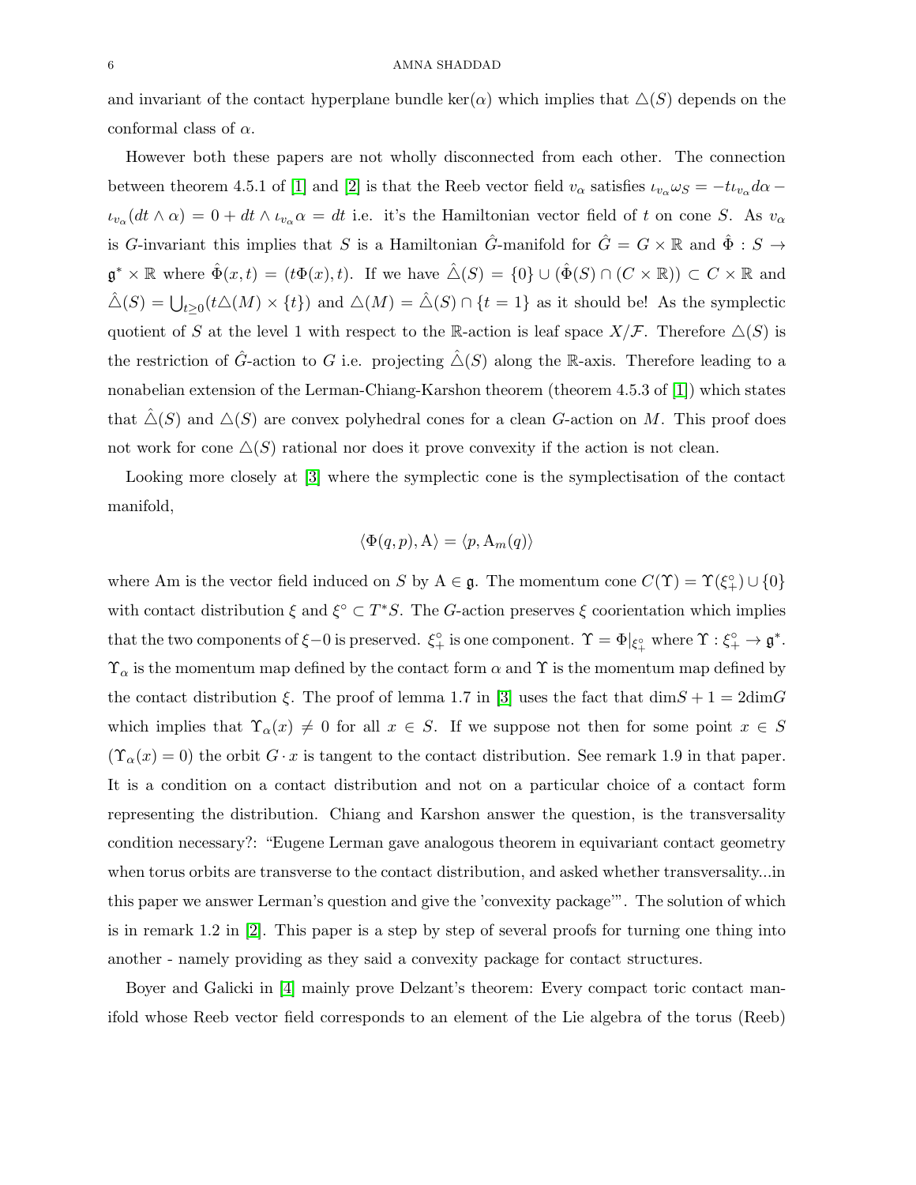and invariant of the contact hyperplane bundle  $ker(\alpha)$  which implies that  $\Delta(S)$  depends on the conformal class of  $\alpha$ .

However both these papers are not wholly disconnected from each other. The connection between theorem 4.5.1 of [\[1\]](#page-30-0) and [\[2\]](#page-30-1) is that the Reeb vector field  $v_{\alpha}$  satisfies  $\iota_{v_{\alpha}}\omega_{S} = -t\iota_{v_{\alpha}}d\alpha \iota_{v_\alpha}(dt\wedge\alpha) = 0 + dt\wedge\iota_{v_\alpha}\alpha = dt$  i.e. it's the Hamiltonian vector field of t on cone S. As  $v_\alpha$ is G-invariant this implies that S is a Hamiltonian  $\hat{G}$ -manifold for  $\hat{G} = G \times \mathbb{R}$  and  $\hat{\Phi} : S \to$  $\mathfrak{g}^* \times \mathbb{R}$  where  $\hat{\Phi}(x,t) = (t\Phi(x), t)$ . If we have  $\hat{\triangle}(S) = \{0\} \cup (\hat{\Phi}(S) \cap (C \times \mathbb{R})) \subset C \times \mathbb{R}$  and  $\hat{\triangle}(S) = \bigcup_{t \geq 0} (t \triangle(M) \times \{t\})$  and  $\triangle(M) = \hat{\triangle}(S) \cap \{t = 1\}$  as it should be! As the symplectic quotient of S at the level 1 with respect to the R-action is leaf space  $X/\mathcal{F}$ . Therefore  $\Delta(S)$  is the restriction of  $\hat{G}$ -action to G i.e. projecting  $\hat{\triangle}(S)$  along the R-axis. Therefore leading to a nonabelian extension of the Lerman-Chiang-Karshon theorem (theorem 4.5.3 of [\[1\]](#page-30-0)) which states that  $\hat{\triangle}(S)$  and  $\triangle(S)$  are convex polyhedral cones for a clean G-action on M. This proof does not work for cone  $\Delta(S)$  rational nor does it prove convexity if the action is not clean.

Looking more closely at [\[3\]](#page-30-2) where the symplectic cone is the symplectisation of the contact manifold,

$$
\langle \Phi(q, p), A \rangle = \langle p, A_m(q) \rangle
$$

where Am is the vector field induced on S by  $A \in \mathfrak{g}$ . The momentum cone  $C(\Upsilon) = \Upsilon(\xi_+^{\circ}) \cup \{0\}$ with contact distribution  $\xi$  and  $\xi^{\circ} \subset T^*S$ . The G-action preserves  $\xi$  coorientation which implies that the two components of  $\xi - 0$  is preserved.  $\xi_+^{\circ}$  is one component.  $\Upsilon = \Phi|_{\xi_+^{\circ}}$  where  $\Upsilon : \xi_+^{\circ} \to \mathfrak{g}^*$ .  $\Upsilon_{\alpha}$  is the momentum map defined by the contact form  $\alpha$  and  $\Upsilon$  is the momentum map defined by the contact distribution  $\xi$ . The proof of lemma 1.7 in [\[3\]](#page-30-2) uses the fact that  $\dim S + 1 = 2\dim G$ which implies that  $\Upsilon_{\alpha}(x) \neq 0$  for all  $x \in S$ . If we suppose not then for some point  $x \in S$  $(\Upsilon_{\alpha}(x) = 0)$  the orbit  $G \cdot x$  is tangent to the contact distribution. See remark 1.9 in that paper. It is a condition on a contact distribution and not on a particular choice of a contact form representing the distribution. Chiang and Karshon answer the question, is the transversality condition necessary?: "Eugene Lerman gave analogous theorem in equivariant contact geometry when torus orbits are transverse to the contact distribution, and asked whether transversality...in this paper we answer Lerman's question and give the 'convexity package'". The solution of which is in remark 1.2 in [\[2\]](#page-30-1). This paper is a step by step of several proofs for turning one thing into another - namely providing as they said a convexity package for contact structures.

Boyer and Galicki in [\[4\]](#page-30-3) mainly prove Delzant's theorem: Every compact toric contact manifold whose Reeb vector field corresponds to an element of the Lie algebra of the torus (Reeb)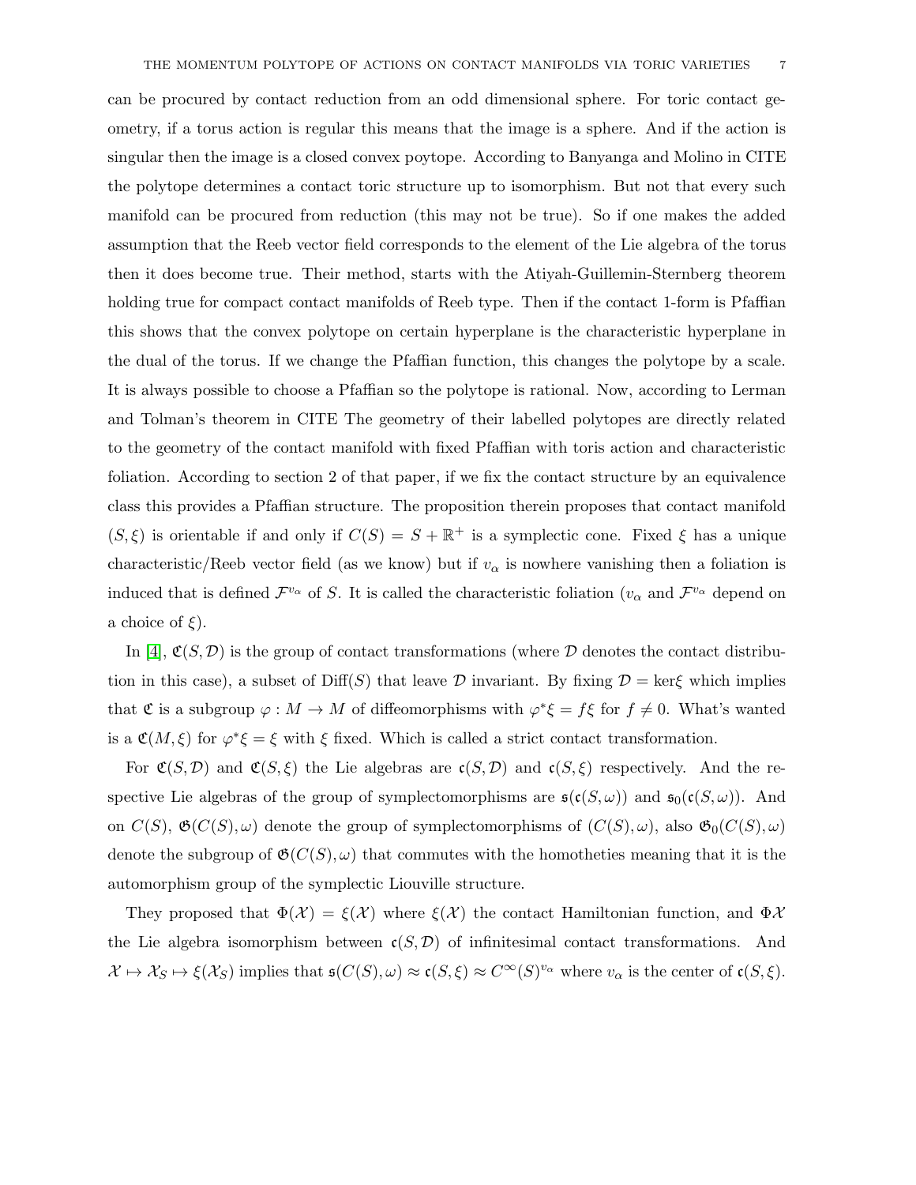can be procured by contact reduction from an odd dimensional sphere. For toric contact geometry, if a torus action is regular this means that the image is a sphere. And if the action is singular then the image is a closed convex poytope. According to Banyanga and Molino in CITE the polytope determines a contact toric structure up to isomorphism. But not that every such manifold can be procured from reduction (this may not be true). So if one makes the added assumption that the Reeb vector field corresponds to the element of the Lie algebra of the torus then it does become true. Their method, starts with the Atiyah-Guillemin-Sternberg theorem holding true for compact contact manifolds of Reeb type. Then if the contact 1-form is Pfaffian this shows that the convex polytope on certain hyperplane is the characteristic hyperplane in the dual of the torus. If we change the Pfaffian function, this changes the polytope by a scale. It is always possible to choose a Pfaffian so the polytope is rational. Now, according to Lerman and Tolman's theorem in CITE The geometry of their labelled polytopes are directly related to the geometry of the contact manifold with fixed Pfaffian with toris action and characteristic foliation. According to section 2 of that paper, if we fix the contact structure by an equivalence class this provides a Pfaffian structure. The proposition therein proposes that contact manifold  $(S, \xi)$  is orientable if and only if  $C(S) = S + \mathbb{R}^+$  is a symplectic cone. Fixed  $\xi$  has a unique characteristic/Reeb vector field (as we know) but if  $v_{\alpha}$  is nowhere vanishing then a foliation is induced that is defined  $\mathcal{F}^{v_\alpha}$  of S. It is called the characteristic foliation  $(v_\alpha$  and  $\mathcal{F}^{v_\alpha}$  depend on a choice of  $\xi$ ).

In [\[4\]](#page-30-3),  $\mathfrak{C}(S,\mathcal{D})$  is the group of contact transformations (where  $\mathcal D$  denotes the contact distribution in this case), a subset of Diff(S) that leave D invariant. By fixing  $\mathcal{D} = \text{ker}\xi$  which implies that  $\mathfrak C$  is a subgroup  $\varphi: M \to M$  of diffeomorphisms with  $\varphi^* \xi = f \xi$  for  $f \neq 0$ . What's wanted is a  $\mathfrak{C}(M,\xi)$  for  $\varphi^*\xi=\xi$  with  $\xi$  fixed. Which is called a strict contact transformation.

For  $\mathfrak{C}(S,\mathcal{D})$  and  $\mathfrak{C}(S,\xi)$  the Lie algebras are  $\mathfrak{c}(S,\mathcal{D})$  and  $\mathfrak{c}(S,\xi)$  respectively. And the respective Lie algebras of the group of symplectomorphisms are  $\mathfrak{s}(\mathfrak{c}(S,\omega))$  and  $\mathfrak{s}_0(\mathfrak{c}(S,\omega))$ . And on  $C(S)$ ,  $\mathfrak{G}(C(S), \omega)$  denote the group of symplectomorphisms of  $(C(S), \omega)$ , also  $\mathfrak{G}_0(C(S), \omega)$ denote the subgroup of  $\mathfrak{G}(C(S), \omega)$  that commutes with the homotheties meaning that it is the automorphism group of the symplectic Liouville structure.

They proposed that  $\Phi(\mathcal{X}) = \xi(\mathcal{X})$  where  $\xi(\mathcal{X})$  the contact Hamiltonian function, and  $\Phi \mathcal{X}$ the Lie algebra isomorphism between  $c(S, \mathcal{D})$  of infinitesimal contact transformations. And  $\mathcal{X} \mapsto \mathcal{X}_S \mapsto \xi(\mathcal{X}_S)$  implies that  $\mathfrak{s}(C(S), \omega) \approx \mathfrak{c}(S, \xi) \approx C^{\infty}(S)^{v_{\alpha}}$  where  $v_{\alpha}$  is the center of  $\mathfrak{c}(S, \xi)$ .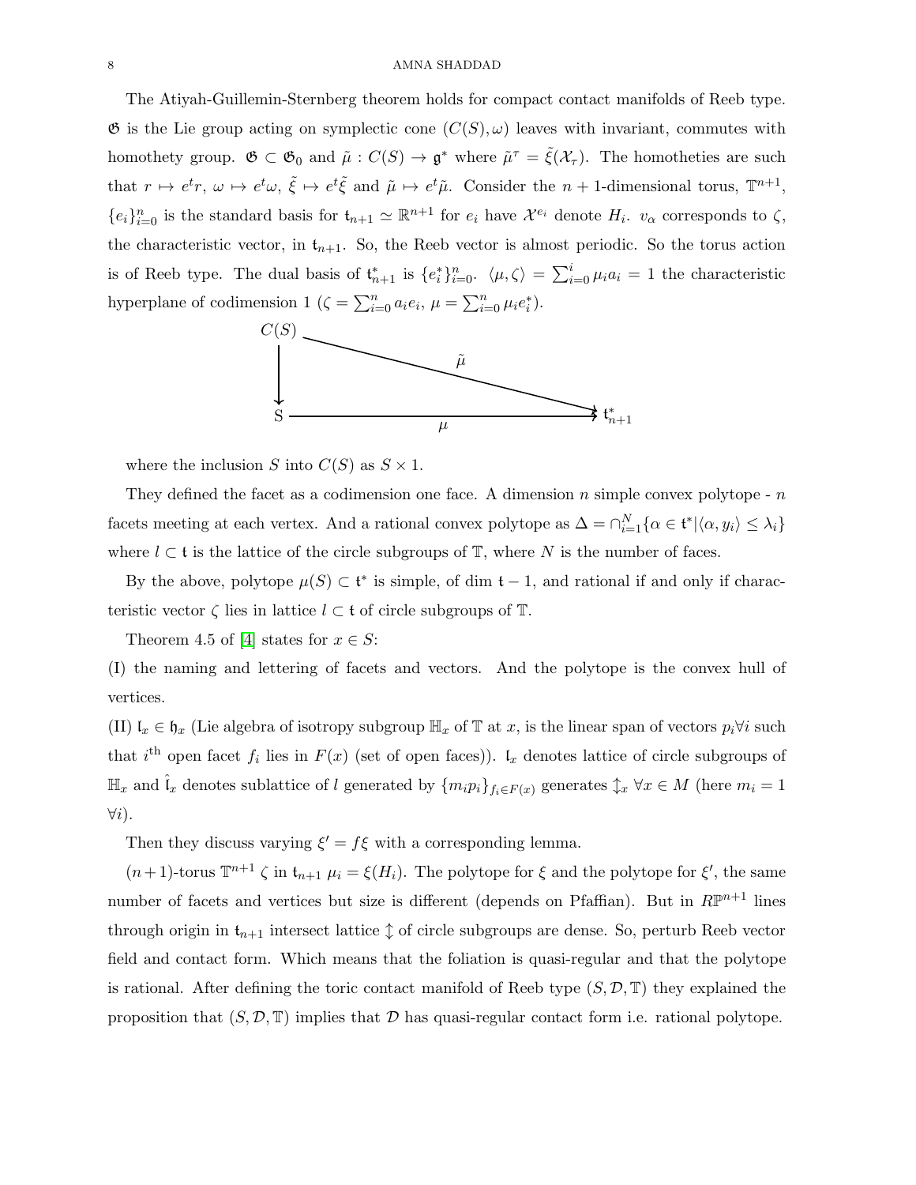#### 8 AMNA SHADDAD

The Atiyah-Guillemin-Sternberg theorem holds for compact contact manifolds of Reeb type.  $\mathfrak G$  is the Lie group acting on symplectic cone  $(C(S), \omega)$  leaves with invariant, commutes with homothety group.  $\mathfrak{G} \subset \mathfrak{G}_0$  and  $\tilde{\mu}: C(S) \to \mathfrak{g}^*$  where  $\tilde{\mu}^{\tau} = \tilde{\xi}(\mathcal{X}_{\tau})$ . The homotheties are such that  $r \mapsto e^t r$ ,  $\omega \mapsto e^t \omega$ ,  $\tilde{\xi} \mapsto e^t \tilde{\xi}$  and  $\tilde{\mu} \mapsto e^t \tilde{\mu}$ . Consider the  $n+1$ -dimensional torus,  $\mathbb{T}^{n+1}$ ,  ${e_i}_{i=0}^n$  is the standard basis for  $t_{n+1} \simeq \mathbb{R}^{n+1}$  for  $e_i$  have  $\mathcal{X}^{e_i}$  denote  $H_i$ .  $v_\alpha$  corresponds to  $\zeta$ , the characteristic vector, in  $t_{n+1}$ . So, the Reeb vector is almost periodic. So the torus action is of Reeb type. The dual basis of  $\mathfrak{t}_{n+1}^*$  is  $\{e_i^*\}_{i=0}^n$ .  $\langle \mu, \zeta \rangle = \sum_{i=0}^i \mu_i a_i = 1$  the characteristic hyperplane of codimension 1 ( $\zeta = \sum_{i=0}^{n} a_i e_i$ ,  $\mu = \sum_{i=0}^{n} \mu_i e_i^*$ ).  $\sum_{i=0}^n a_i e_i$ 



where the inclusion S into  $C(S)$  as  $S \times 1$ .

They defined the facet as a codimension one face. A dimension  $n$  simple convex polytope -  $n$ facets meeting at each vertex. And a rational convex polytope as  $\Delta = \bigcap_{i=1}^{N} {\alpha \in \mathfrak{t}^* | \langle \alpha, y_i \rangle \leq \lambda_i}$ where  $l \subset \mathfrak{t}$  is the lattice of the circle subgroups of  $\mathbb{T}$ , where N is the number of faces.

By the above, polytope  $\mu(S) \subset \mathfrak{t}^*$  is simple, of dim  $\mathfrak{t} - 1$ , and rational if and only if characteristic vector  $\zeta$  lies in lattice  $l \subset \mathfrak{t}$  of circle subgroups of  $\mathbb{T}$ .

Theorem 4.5 of [\[4\]](#page-30-3) states for  $x \in S$ :

(I) the naming and lettering of facets and vectors. And the polytope is the convex hull of vertices.

(II)  $\mathfrak{l}_x \in \mathfrak{h}_x$  (Lie algebra of isotropy subgroup  $\mathbb{H}_x$  of T at x, is the linear span of vectors  $p_i \forall i$  such that i<sup>th</sup> open facet  $f_i$  lies in  $F(x)$  (set of open faces)).  $\mathfrak{l}_x$  denotes lattice of circle subgroups of  $\mathbb{H}_x$  and  $\hat{\mathfrak{l}}_x$  denotes sublattice of l generated by  $\{m_i p_i\}_{f_i \in F(x)}$  generates  $\mathfrak{J}_x \ \forall x \in M$  (here  $m_i = 1$  $\forall i$ ).

Then they discuss varying  $\xi' = f\xi$  with a corresponding lemma.

 $(n+1)$ -torus  $\mathbb{T}^{n+1} \zeta$  in  $\mathfrak{t}_{n+1}$   $\mu_i = \xi(H_i)$ . The polytope for  $\xi$  and the polytope for  $\xi'$ , the same number of facets and vertices but size is different (depends on Pfaffian). But in  $\mathbb{RP}^{n+1}$  lines through origin in  $t_{n+1}$  intersect lattice  $\updownarrow$  of circle subgroups are dense. So, perturb Reeb vector field and contact form. Which means that the foliation is quasi-regular and that the polytope is rational. After defining the toric contact manifold of Reeb type  $(S, \mathcal{D}, \mathbb{T})$  they explained the proposition that  $(S, \mathcal{D}, \mathbb{T})$  implies that  $\mathcal D$  has quasi-regular contact form i.e. rational polytope.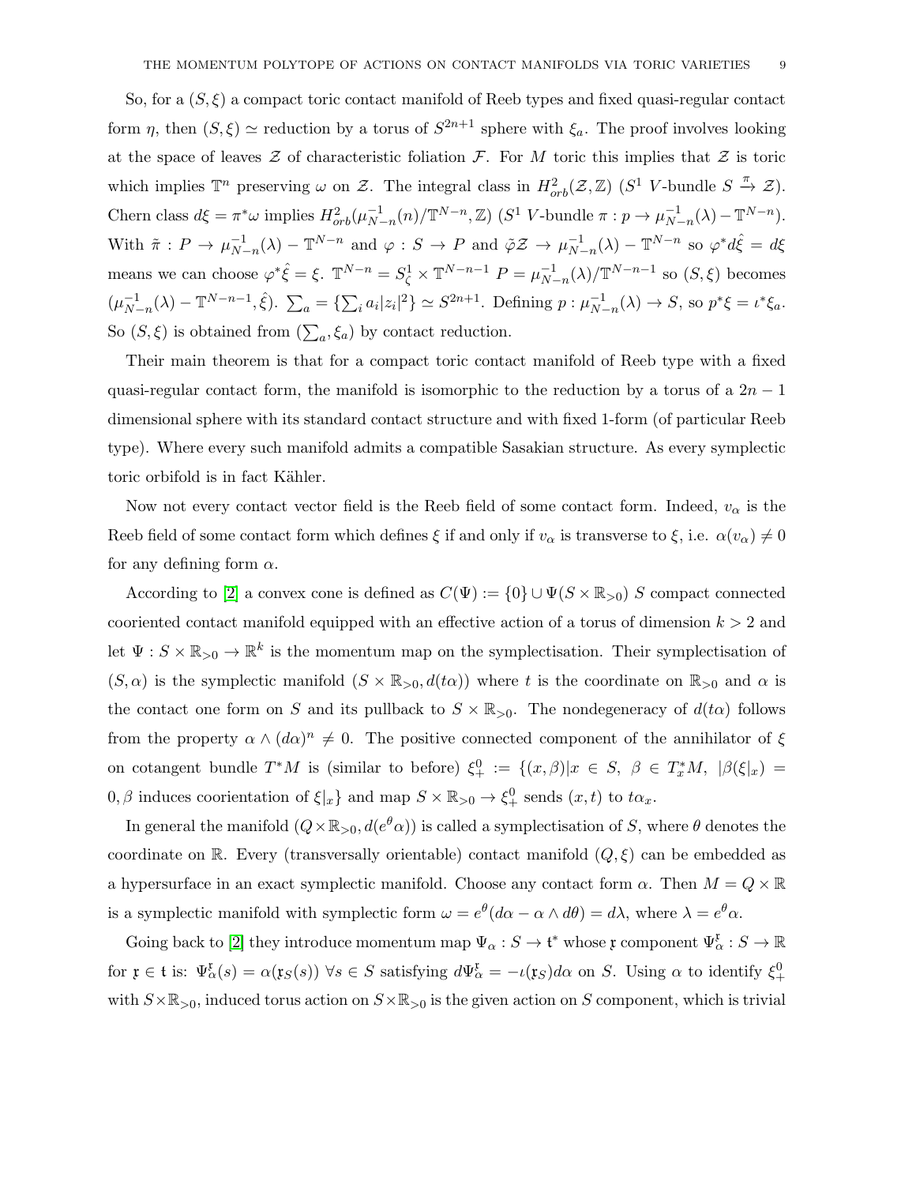So, for a  $(S, \xi)$  a compact toric contact manifold of Reeb types and fixed quasi-regular contact form  $\eta$ , then  $(S,\xi) \simeq$  reduction by a torus of  $S^{2n+1}$  sphere with  $\xi_a$ . The proof involves looking at the space of leaves  $\mathcal Z$  of characteristic foliation  $\mathcal F$ . For M toric this implies that  $\mathcal Z$  is toric which implies  $\mathbb{T}^n$  preserving  $\omega$  on  $\mathcal{Z}$ . The integral class in  $H^2_{orb}(\mathcal{Z}, \mathbb{Z})$  ( $S^1$  V-bundle  $S \stackrel{\pi}{\to} \mathcal{Z}$ ). Chern class  $d\xi = \pi^* \omega$  implies  $H^2_{orb}(\mu_{N-n}^{-1}(n)/\mathbb{T}^{N-n}, \mathbb{Z})$  ( $S^1$  V-bundle  $\pi : p \to \mu_{N-n}^{-1}(\lambda) - \mathbb{T}^{N-n}$ ). With  $\tilde{\pi}: P \to \mu_{N}^{-1}$  $\overline{N}_{-n}^{-1}(\lambda) - \mathbb{T}^{N-n}$  and  $\varphi : S \to P$  and  $\tilde{\varphi} \mathcal{Z} \to \mu_{N-1}^{-1}$  $\sum_{N-n}^{-1} (\lambda) - \mathbb{T}^{N-n}$  so  $\varphi^* d\hat{\xi} = d\xi$ means we can choose  $\varphi^* \hat{\xi} = \xi$ .  $\mathbb{T}^{N-n} = S^1_{\zeta} \times \mathbb{T}^{N-n-1}$   $P = \mu_{N}^{-1}$  $\sum_{N=n}^{-1} (\lambda)/\mathbb{T}^{N-n-1}$  so  $(S,\xi)$  becomes  $(\mu_{N}^{-1})$  $\sum_{N-n}^{-1} (\lambda) - \mathbb{T}^{N-n-1}, \hat{\xi}$ .  $\sum_{a} = {\sum_{i} a_i |z_i|^2} \simeq S^{2n+1}$ . Defining  $p : \mu_{N-1}^{-1}$  $_{N-n}^{-1}(\lambda) \to S$ , so  $p^*\xi = \iota^*\xi_a$ . So  $(S,\xi)$  is obtained from  $(\sum_a,\xi_a)$  by contact reduction.

Their main theorem is that for a compact toric contact manifold of Reeb type with a fixed quasi-regular contact form, the manifold is isomorphic to the reduction by a torus of a  $2n - 1$ dimensional sphere with its standard contact structure and with fixed 1-form (of particular Reeb type). Where every such manifold admits a compatible Sasakian structure. As every symplectic toric orbifold is in fact Kähler.

Now not every contact vector field is the Reeb field of some contact form. Indeed,  $v_{\alpha}$  is the Reeb field of some contact form which defines  $\xi$  if and only if  $v_\alpha$  is transverse to  $\xi$ , i.e.  $\alpha(v_\alpha) \neq 0$ for any defining form  $\alpha$ .

According to [\[2\]](#page-30-1) a convex cone is defined as  $C(\Psi) := \{0\} \cup \Psi(S \times \mathbb{R}_{>0})$  S compact connected cooriented contact manifold equipped with an effective action of a torus of dimension  $k > 2$  and let  $\Psi: S \times \mathbb{R}_{>0} \to \mathbb{R}^k$  is the momentum map on the symplectisation. Their symplectisation of  $(S, \alpha)$  is the symplectic manifold  $(S \times \mathbb{R}_{>0}, d(t\alpha))$  where t is the coordinate on  $\mathbb{R}_{>0}$  and  $\alpha$  is the contact one form on S and its pullback to  $S \times \mathbb{R}_{>0}$ . The nondegeneracy of  $d(t\alpha)$  follows from the property  $\alpha \wedge (d\alpha)^n \neq 0$ . The positive connected component of the annihilator of  $\xi$ on cotangent bundle  $T^*M$  is (similar to before)  $\xi_+^0 := \{(x,\beta)|x \in S, \beta \in T_x^*M, |\beta(\xi|x)| =$  $0, \beta$  induces coorientation of  $\xi|x$  and map  $S \times \mathbb{R}_{>0} \to \xi^0_+$  sends  $(x, t)$  to  $t\alpha_x$ .

In general the manifold  $(Q \times \mathbb{R}_{>0}, d(e^{\theta}\alpha))$  is called a symplectisation of S, where  $\theta$  denotes the coordinate on R. Every (transversally orientable) contact manifold  $(Q, \xi)$  can be embedded as a hypersurface in an exact symplectic manifold. Choose any contact form  $\alpha$ . Then  $M = Q \times \mathbb{R}$ is a symplectic manifold with symplectic form  $\omega = e^{\theta} (d\alpha - \alpha \wedge d\theta) = d\lambda$ , where  $\lambda = e^{\theta} \alpha$ .

Going back to [\[2\]](#page-30-1) they introduce momentum map  $\Psi_{\alpha}: S \to \mathfrak{t}^*$  whose  $\mathfrak{x}$  component  $\Psi_{\alpha}^{\mathfrak{x}}: S \to \mathbb{R}$ for  $\mathfrak{x} \in \mathfrak{t}$  is:  $\Psi_{\alpha}^{\mathfrak{x}}(s) = \alpha(\mathfrak{x}_S(s))$   $\forall s \in S$  satisfying  $d\Psi_{\alpha}^{\mathfrak{x}} = -\iota(\mathfrak{x}_S)d\alpha$  on S. Using  $\alpha$  to identify  $\xi_{+}^{0}$ with  $S\times\mathbb{R}_{>0}$ , induced torus action on  $S\times\mathbb{R}_{>0}$  is the given action on S component, which is trivial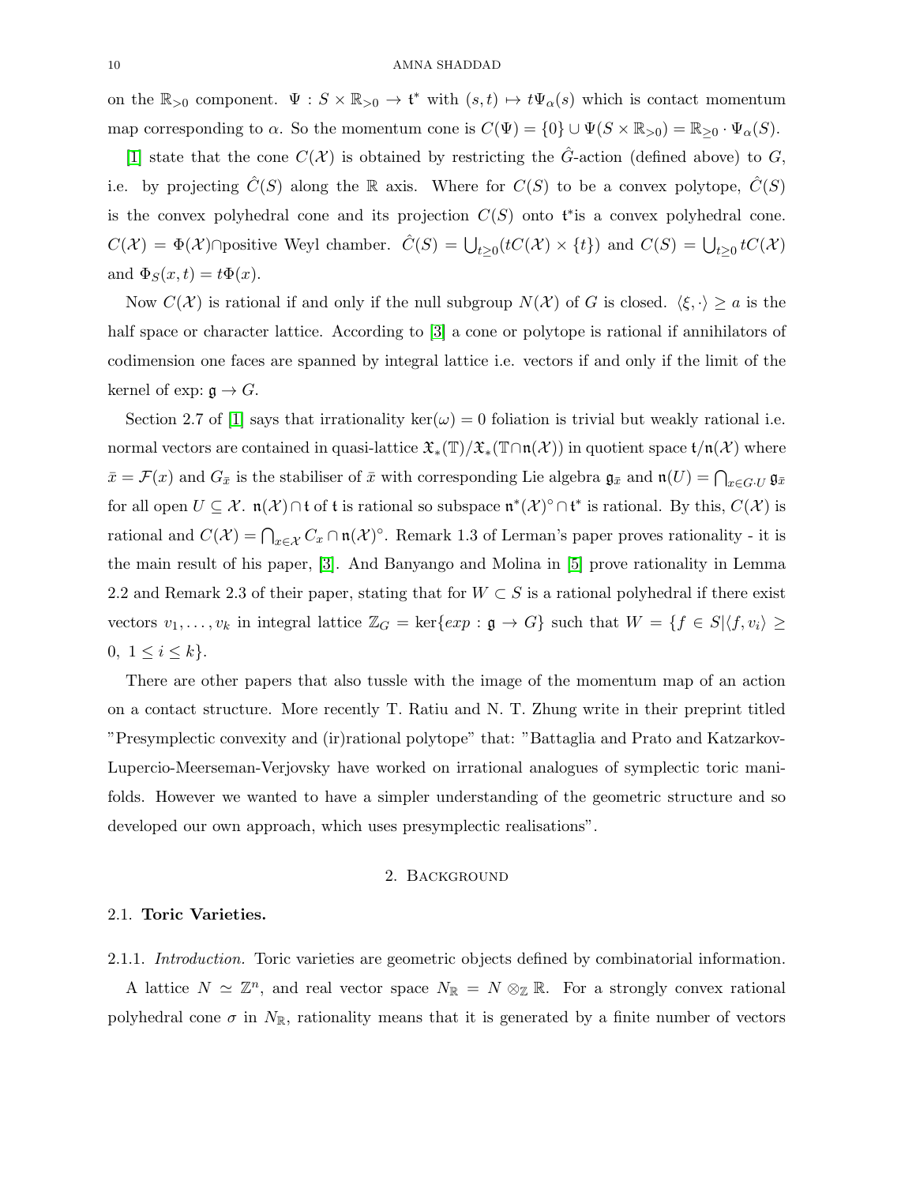on the  $\mathbb{R}_{>0}$  component.  $\Psi : S \times \mathbb{R}_{>0} \to \mathfrak{t}^*$  with  $(s,t) \mapsto t\Psi_\alpha(s)$  which is contact momentum map corresponding to  $\alpha$ . So the momentum cone is  $C(\Psi) = \{0\} \cup \Psi(S \times \mathbb{R}_{>0}) = \mathbb{R}_{\geq 0} \cdot \Psi_{\alpha}(S)$ .

[\[1\]](#page-30-0) state that the cone  $C(\mathcal{X})$  is obtained by restricting the  $\hat{G}$ -action (defined above) to  $G$ , i.e. by projecting  $C(S)$  along the R axis. Where for  $C(S)$  to be a convex polytope,  $C(S)$ is the convex polyhedral cone and its projection  $C(S)$  onto t<sup>\*</sup> is a convex polyhedral cone.  $C(\mathcal{X}) = \Phi(\mathcal{X}) \cap$  positive Weyl chamber.  $\hat{C}(S) = \bigcup_{t \geq 0} (tC(\mathcal{X}) \times \{t\})$  and  $C(S) = \bigcup_{t \geq 0} tC(\mathcal{X})$ and  $\Phi_S(x,t) = t\Phi(x)$ .

Now  $C(\mathcal{X})$  is rational if and only if the null subgroup  $N(\mathcal{X})$  of G is closed.  $\langle \xi, \cdot \rangle \ge a$  is the half space or character lattice. According to [\[3\]](#page-30-2) a cone or polytope is rational if annihilators of codimension one faces are spanned by integral lattice i.e. vectors if and only if the limit of the kernel of exp:  $\mathfrak{g} \to G$ .

Section 2.7 of [\[1\]](#page-30-0) says that irrationality ker( $\omega$ ) = 0 foliation is trivial but weakly rational i.e. normal vectors are contained in quasi-lattice  $\mathfrak{X}_*(\mathbb{T})/\mathfrak{X}_*(\mathbb{T}\cap \mathfrak{n}(\mathcal{X}))$  in quotient space  $t/\mathfrak{n}(\mathcal{X})$  where  $\bar{x} = \mathcal{F}(x)$  and  $G_{\bar{x}}$  is the stabiliser of  $\bar{x}$  with corresponding Lie algebra  $\mathfrak{g}_{\bar{x}}$  and  $\mathfrak{n}(U) = \bigcap_{x \in G \cdot U} \mathfrak{g}_{\bar{x}}$ for all open  $U \subseteq \mathcal{X}$ .  $\mathfrak{n}(\mathcal{X}) \cap \mathfrak{t}$  of t is rational so subspace  $\mathfrak{n}^*(\mathcal{X})^{\circ} \cap \mathfrak{t}^*$  is rational. By this,  $C(\mathcal{X})$  is rational and  $C(\mathcal{X}) = \bigcap_{x \in \mathcal{X}} C_x \cap \mathfrak{n}(\mathcal{X})^{\circ}$ . Remark 1.3 of Lerman's paper proves rationality - it is the main result of his paper, [\[3\]](#page-30-2). And Banyango and Molina in [\[5\]](#page-30-4) prove rationality in Lemma 2.2 and Remark 2.3 of their paper, stating that for  $W \subset S$  is a rational polyhedral if there exist vectors  $v_1, \ldots, v_k$  in integral lattice  $\mathbb{Z}_G = \text{ker}\{exp : \mathfrak{g} \to G\}$  such that  $W = \{f \in S | \langle f, v_i \rangle \ge$ 0,  $1 \leq i \leq k$ .

There are other papers that also tussle with the image of the momentum map of an action on a contact structure. More recently T. Ratiu and N. T. Zhung write in their preprint titled "Presymplectic convexity and (ir)rational polytope" that: "Battaglia and Prato and Katzarkov-Lupercio-Meerseman-Verjovsky have worked on irrational analogues of symplectic toric manifolds. However we wanted to have a simpler understanding of the geometric structure and so developed our own approach, which uses presymplectic realisations".

#### 2. Background

### 2.1. Toric Varieties.

2.1.1. Introduction. Toric varieties are geometric objects defined by combinatorial information.

A lattice  $N \simeq \mathbb{Z}^n$ , and real vector space  $N_{\mathbb{R}} = N \otimes_{\mathbb{Z}} \mathbb{R}$ . For a strongly convex rational polyhedral cone  $\sigma$  in  $N_{\mathbb{R}}$ , rationality means that it is generated by a finite number of vectors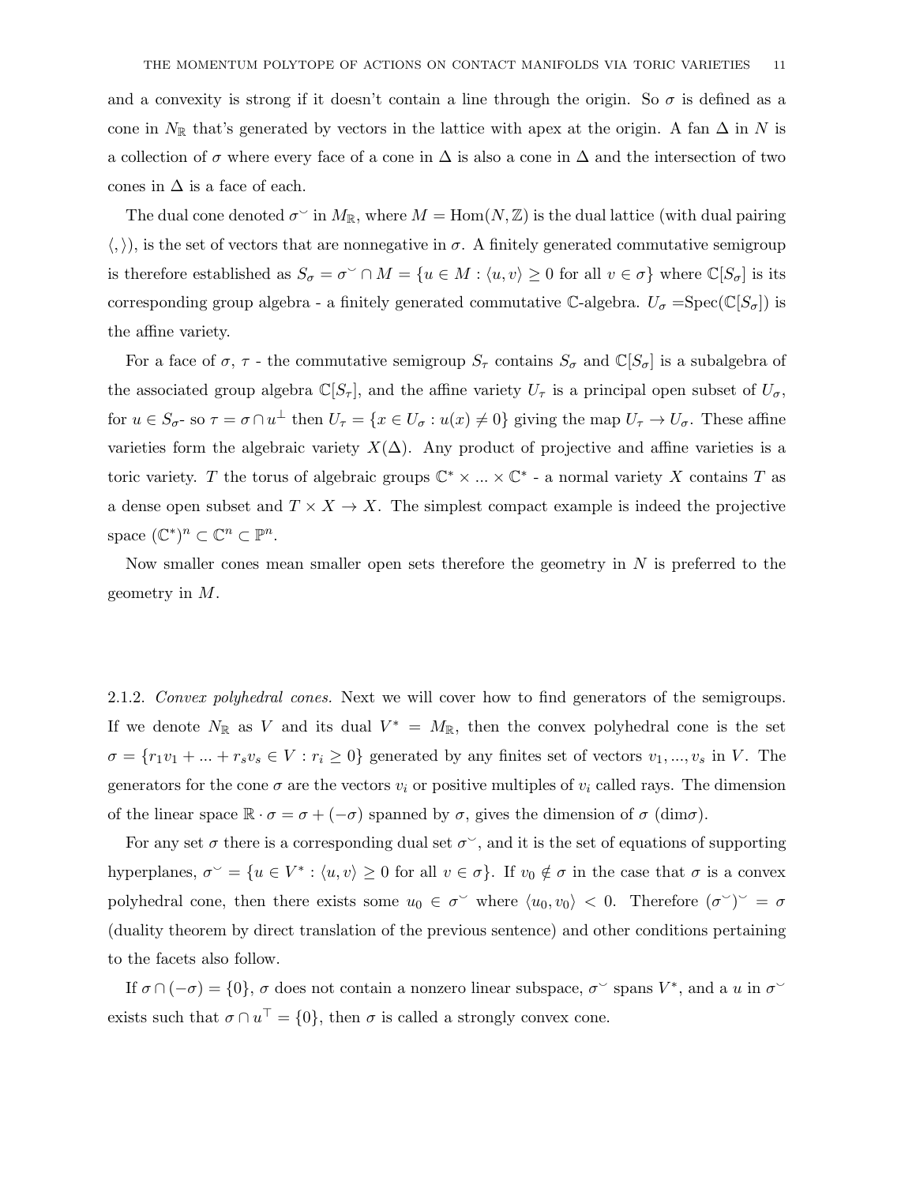and a convexity is strong if it doesn't contain a line through the origin. So  $\sigma$  is defined as a cone in  $N_{\mathbb{R}}$  that's generated by vectors in the lattice with apex at the origin. A fan  $\Delta$  in N is a collection of  $\sigma$  where every face of a cone in  $\Delta$  is also a cone in  $\Delta$  and the intersection of two cones in  $\Delta$  is a face of each.

The dual cone denoted  $\sigma^{\circ}$  in  $M_{\mathbb{R}}$ , where  $M = \text{Hom}(N, \mathbb{Z})$  is the dual lattice (with dual pairing  $\langle , \rangle$ , is the set of vectors that are nonnegative in  $\sigma$ . A finitely generated commutative semigroup is therefore established as  $S_{\sigma} = \sigma^{\vee} \cap M = \{u \in M : \langle u, v \rangle \ge 0 \text{ for all } v \in \sigma\}$  where  $\mathbb{C}[S_{\sigma}]$  is its corresponding group algebra - a finitely generated commutative C-algebra.  $U_{\sigma} = \text{Spec}(\mathbb{C}[S_{\sigma}])$  is the affine variety.

For a face of  $\sigma$ ,  $\tau$  - the commutative semigroup  $S_{\tau}$  contains  $S_{\sigma}$  and  $\mathbb{C}[S_{\sigma}]$  is a subalgebra of the associated group algebra  $\mathbb{C}[S_{\tau}]$ , and the affine variety  $U_{\tau}$  is a principal open subset of  $U_{\sigma}$ , for  $u \in S_{\sigma}$ - so  $\tau = \sigma \cap u^{\perp}$  then  $U_{\tau} = \{x \in U_{\sigma} : u(x) \neq 0\}$  giving the map  $U_{\tau} \to U_{\sigma}$ . These affine varieties form the algebraic variety  $X(\Delta)$ . Any product of projective and affine varieties is a toric variety. T the torus of algebraic groups  $\mathbb{C}^* \times ... \times \mathbb{C}^*$  - a normal variety X contains T as a dense open subset and  $T \times X \to X$ . The simplest compact example is indeed the projective space  $(\mathbb{C}^*)^n \subset \mathbb{C}^n \subset \mathbb{P}^n$ .

Now smaller cones mean smaller open sets therefore the geometry in  $N$  is preferred to the geometry in M.

2.1.2. Convex polyhedral cones. Next we will cover how to find generators of the semigroups. If we denote  $N_{\mathbb{R}}$  as V and its dual  $V^* = M_{\mathbb{R}}$ , then the convex polyhedral cone is the set  $\sigma = \{r_1v_1 + \ldots + r_sv_s \in V : r_i \geq 0\}$  generated by any finites set of vectors  $v_1, \ldots, v_s$  in V. The generators for the cone  $\sigma$  are the vectors  $v_i$  or positive multiples of  $v_i$  called rays. The dimension of the linear space  $\mathbb{R} \cdot \sigma = \sigma + (-\sigma)$  spanned by  $\sigma$ , gives the dimension of  $\sigma$  (dim $\sigma$ ).

For any set  $\sigma$  there is a corresponding dual set  $\sigma^{\vee}$ , and it is the set of equations of supporting hyperplanes,  $\sigma^{\vee} = \{u \in V^* : \langle u, v \rangle \geq 0 \text{ for all } v \in \sigma\}.$  If  $v_0 \notin \sigma$  in the case that  $\sigma$  is a convex polyhedral cone, then there exists some  $u_0 \in \sigma^{\vee}$  where  $\langle u_0, v_0 \rangle < 0$ . Therefore  $(\sigma^{\vee})^{\vee} = \sigma$ (duality theorem by direct translation of the previous sentence) and other conditions pertaining to the facets also follow.

If  $\sigma \cap (-\sigma) = \{0\}$ ,  $\sigma$  does not contain a nonzero linear subspace,  $\sigma^{\vee}$  spans  $V^*$ , and a u in  $\sigma^{\vee}$ exists such that  $\sigma \cap u^{\top} = \{0\}$ , then  $\sigma$  is called a strongly convex cone.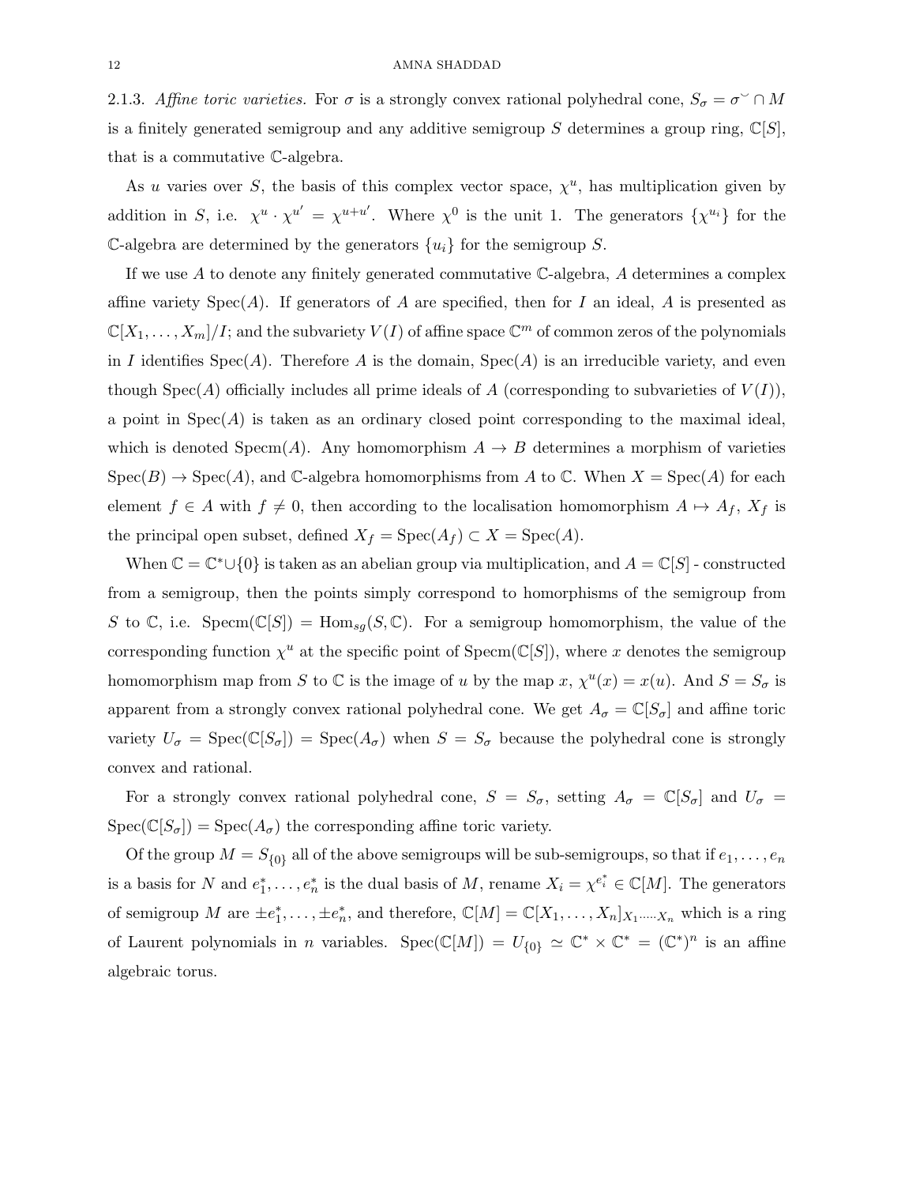2.1.3. Affine toric varieties. For  $\sigma$  is a strongly convex rational polyhedral cone,  $S_{\sigma} = \sigma^{\circ} \cap M$ is a finitely generated semigroup and any additive semigroup S determines a group ring,  $\mathbb{C}[S]$ , that is a commutative C-algebra.

As u varies over S, the basis of this complex vector space,  $\chi^u$ , has multiplication given by addition in S, i.e.  $\chi^u \cdot \chi^{u'} = \chi^{u+u'}$ . Where  $\chi^0$  is the unit 1. The generators  $\{\chi^{u_i}\}\$  for the C-algebra are determined by the generators  $\{u_i\}$  for the semigroup S.

If we use  $A$  to denote any finitely generated commutative  $\mathbb{C}\text{-algebra}$ , A determines a complex affine variety  $Spec(A)$ . If generators of A are specified, then for I an ideal, A is presented as  $\mathbb{C}[X_1,\ldots,X_m]/I$ ; and the subvariety  $V(I)$  of affine space  $\mathbb{C}^m$  of common zeros of the polynomials in I identifies  $Spec(A)$ . Therefore A is the domain,  $Spec(A)$  is an irreducible variety, and even though  $Spec(A)$  officially includes all prime ideals of A (corresponding to subvarieties of  $V(I)$ ), a point in  $Spec(A)$  is taken as an ordinary closed point corresponding to the maximal ideal, which is denoted Specm(A). Any homomorphism  $A \rightarrow B$  determines a morphism of varieties  $Spec(B) \to Spec(A)$ , and C-algebra homomorphisms from A to C. When  $X = Spec(A)$  for each element  $f \in A$  with  $f \neq 0$ , then according to the localisation homomorphism  $A \mapsto A_f$ ,  $X_f$  is the principal open subset, defined  $X_f = \text{Spec}(A_f) \subset X = \text{Spec}(A)$ .

When  $\mathbb{C} = \mathbb{C}^* \cup \{0\}$  is taken as an abelian group via multiplication, and  $A = \mathbb{C}[S]$  - constructed from a semigroup, then the points simply correspond to homorphisms of the semigroup from S to C, i.e. Specm( $\mathbb{C}[S]$ ) = Hom<sub>sg</sub>(S, C). For a semigroup homomorphism, the value of the corresponding function  $\chi^u$  at the specific point of Specm( $\mathbb{C}[S]$ ), where x denotes the semigroup homomorphism map from S to C is the image of u by the map  $x$ ,  $\chi^u(x) = x(u)$ . And  $S = S_{\sigma}$  is apparent from a strongly convex rational polyhedral cone. We get  $A_{\sigma} = \mathbb{C}[S_{\sigma}]$  and affine toric variety  $U_{\sigma} = \text{Spec}(\mathbb{C}[S_{\sigma}]) = \text{Spec}(A_{\sigma})$  when  $S = S_{\sigma}$  because the polyhedral cone is strongly convex and rational.

For a strongly convex rational polyhedral cone,  $S = S_{\sigma}$ , setting  $A_{\sigma} = \mathbb{C}[S_{\sigma}]$  and  $U_{\sigma} =$  $Spec(\mathbb{C}[S_{\sigma}]) = Spec(A_{\sigma})$  the corresponding affine toric variety.

Of the group  $M = S_{\{0\}}$  all of the above semigroups will be sub-semigroups, so that if  $e_1, \ldots, e_n$ is a basis for N and  $e_1^*, \ldots, e_n^*$  is the dual basis of M, rename  $X_i = \chi^{e_i^*} \in \mathbb{C}[M]$ . The generators of semigroup M are  $\pm e_1^*, \ldots, \pm e_n^*$ , and therefore,  $\mathbb{C}[M] = \mathbb{C}[X_1, \ldots, X_n]_{X_1 \cdots X_n}$  which is a ring of Laurent polynomials in *n* variables. Spec( $\mathbb{C}[M]$ ) =  $U_{\{0\}} \simeq \mathbb{C}^* \times \mathbb{C}^* = (\mathbb{C}^*)^n$  is an affine algebraic torus.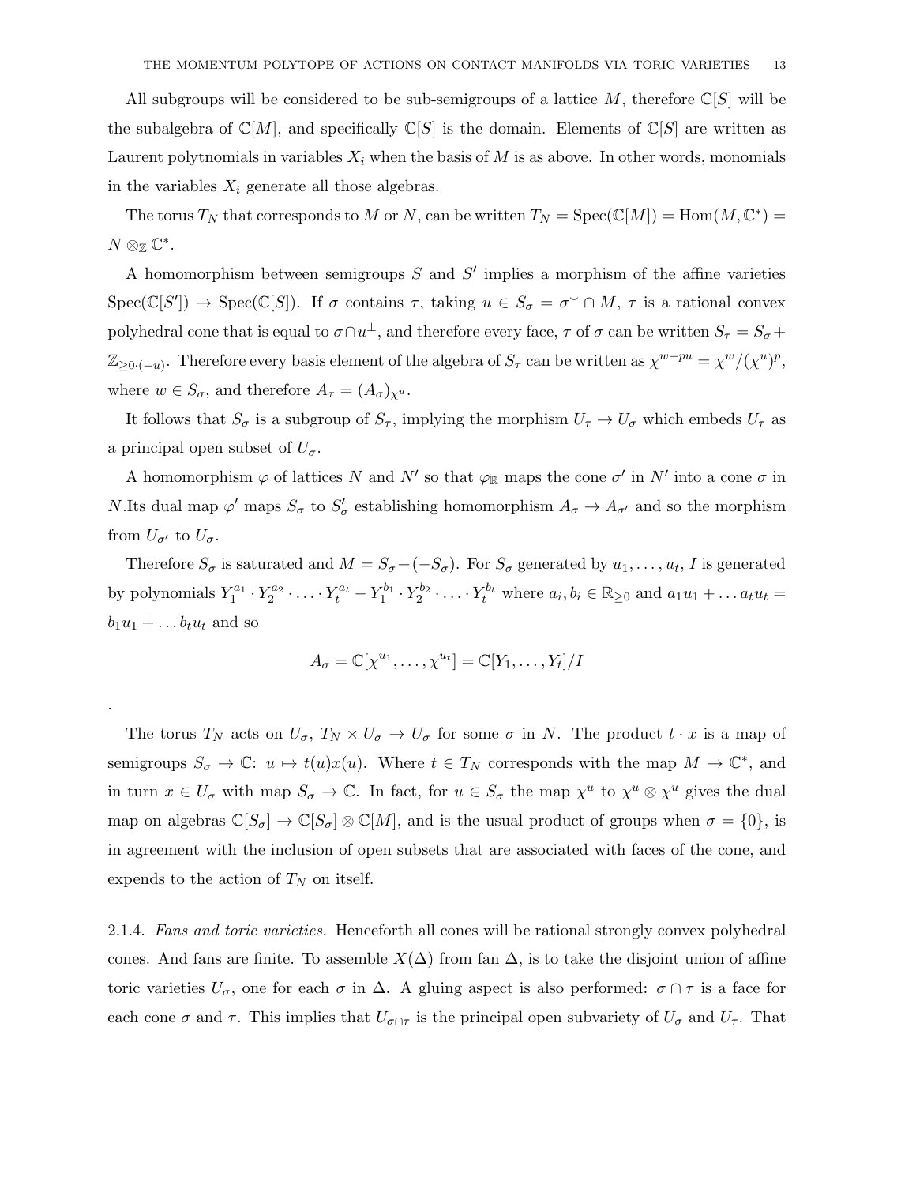All subgroups will be considered to be sub-semigroups of a lattice M, therefore  $\mathbb{C}[S]$  will be the subalgebra of  $\mathbb{C}[M]$ , and specifically  $\mathbb{C}[S]$  is the domain. Elements of  $\mathbb{C}[S]$  are written as Laurent polytnomials in variables  $X_i$  when the basis of  $M$  is as above. In other words, monomials in the variables  $X_i$  generate all those algebras.

The torus  $T_N$  that corresponds to M or N, can be written  $T_N = \text{Spec}(\mathbb{C}[M]) = \text{Hom}(M, \mathbb{C}^*) =$  $N\otimes_{\mathbb{Z}}\mathbb{C}^*$ .

A homomorphism between semigroups  $S$  and  $S'$  implies a morphism of the affine varieties  $Spec(\mathbb{C}[S']) \to Spec(\mathbb{C}[S])$ . If  $\sigma$  contains  $\tau$ , taking  $u \in S_{\sigma} = \sigma^{\vee} \cap M$ ,  $\tau$  is a rational convex polyhedral cone that is equal to  $\sigma \cap u^{\perp}$ , and therefore every face,  $\tau$  of  $\sigma$  can be written  $S_{\tau} = S_{\sigma} +$  $\mathbb{Z}_{\geq 0 \cdot (-u)}$ . Therefore every basis element of the algebra of  $S_{\tau}$  can be written as  $\chi^{w-pu} = \chi^w/(\chi^u)^p$ , where  $w \in S_{\sigma}$ , and therefore  $A_{\tau} = (A_{\sigma})_{\chi^{u}}$ .

It follows that  $S_{\sigma}$  is a subgroup of  $S_{\tau}$ , implying the morphism  $U_{\tau} \to U_{\sigma}$  which embeds  $U_{\tau}$  as a principal open subset of  $U_{\sigma}$ .

A homomorphism  $\varphi$  of lattices N and N' so that  $\varphi_{\mathbb{R}}$  maps the cone  $\sigma'$  in N' into a cone  $\sigma$  in *N*.Its dual map  $\varphi'$  maps  $S_{\sigma}$  to  $S'_{\sigma}$  establishing homomorphism  $A_{\sigma} \to A_{\sigma'}$  and so the morphism from  $U_{\sigma}$  to  $U_{\sigma}$ .

Therefore  $S_{\sigma}$  is saturated and  $M = S_{\sigma} + (-S_{\sigma})$ . For  $S_{\sigma}$  generated by  $u_1, \ldots, u_t, I$  is generated by polynomials  $Y_1^{a_1} \cdot Y_2^{a_2} \cdot \ldots \cdot Y_t^{a_t} - Y_1^{b_1} \cdot Y_2^{b_2} \cdot \ldots \cdot Y_t^{b_t}$  where  $a_i, b_i \in \mathbb{R}_{\geq 0}$  and  $a_1u_1 + \ldots a_tu_t =$  $b_1u_1 + \ldots b_tu_t$  and so

$$
A_{\sigma} = \mathbb{C}[\chi^{u_1}, \dots, \chi^{u_t}] = \mathbb{C}[Y_1, \dots, Y_t]/I
$$

.

The torus  $T_N$  acts on  $U_{\sigma}$ ,  $T_N \times U_{\sigma} \to U_{\sigma}$  for some  $\sigma$  in N. The product  $t \cdot x$  is a map of semigroups  $S_{\sigma} \to \mathbb{C}$ :  $u \mapsto t(u)x(u)$ . Where  $t \in T_N$  corresponds with the map  $M \to \mathbb{C}^*$ , and in turn  $x \in U_{\sigma}$  with map  $S_{\sigma} \to \mathbb{C}$ . In fact, for  $u \in S_{\sigma}$  the map  $\chi^u$  to  $\chi^u \otimes \chi^u$  gives the dual map on algebras  $\mathbb{C}[S_{\sigma}] \to \mathbb{C}[S_{\sigma}] \otimes \mathbb{C}[M]$ , and is the usual product of groups when  $\sigma = \{0\}$ , is in agreement with the inclusion of open subsets that are associated with faces of the cone, and expends to the action of  $T_N$  on itself.

2.1.4. Fans and toric varieties. Henceforth all cones will be rational strongly convex polyhedral cones. And fans are finite. To assemble  $X(\Delta)$  from fan  $\Delta$ , is to take the disjoint union of affine toric varieties  $U_{\sigma}$ , one for each  $\sigma$  in  $\Delta$ . A gluing aspect is also performed:  $\sigma \cap \tau$  is a face for each cone  $\sigma$  and  $\tau$ . This implies that  $U_{\sigma \cap \tau}$  is the principal open subvariety of  $U_{\sigma}$  and  $U_{\tau}$ . That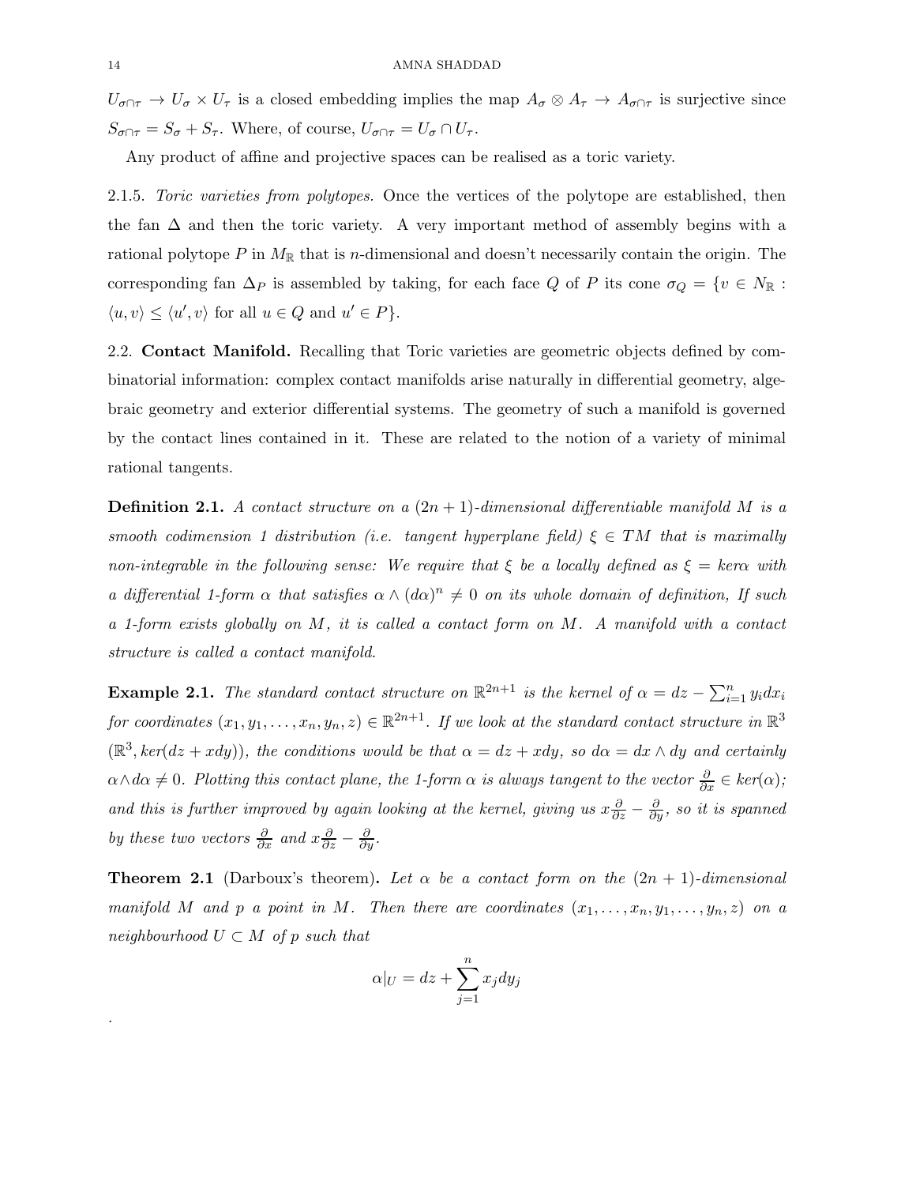$U_{\sigma \cap \tau} \to U_{\sigma} \times U_{\tau}$  is a closed embedding implies the map  $A_{\sigma} \otimes A_{\tau} \to A_{\sigma \cap \tau}$  is surjective since  $S_{\sigma \cap \tau} = S_{\sigma} + S_{\tau}$ . Where, of course,  $U_{\sigma \cap \tau} = U_{\sigma} \cap U_{\tau}$ .

Any product of affine and projective spaces can be realised as a toric variety.

2.1.5. Toric varieties from polytopes. Once the vertices of the polytope are established, then the fan  $\Delta$  and then the toric variety. A very important method of assembly begins with a rational polytope P in  $M_{\mathbb{R}}$  that is n-dimensional and doesn't necessarily contain the origin. The corresponding fan  $\Delta_P$  is assembled by taking, for each face Q of P its cone  $\sigma_Q = \{v \in N_{\mathbb{R}} :$  $\langle u, v \rangle \leq \langle u', v \rangle$  for all  $u \in Q$  and  $u' \in P$ .

2.2. Contact Manifold. Recalling that Toric varieties are geometric objects defined by combinatorial information: complex contact manifolds arise naturally in differential geometry, algebraic geometry and exterior differential systems. The geometry of such a manifold is governed by the contact lines contained in it. These are related to the notion of a variety of minimal rational tangents.

**Definition 2.1.** A contact structure on a  $(2n + 1)$ -dimensional differentiable manifold M is a smooth codimension 1 distribution (i.e. tangent hyperplane field)  $\xi \in TM$  that is maximally non-integrable in the following sense: We require that  $\xi$  be a locally defined as  $\xi = \text{ker}\alpha$  with a differential 1-form  $\alpha$  that satisfies  $\alpha \wedge (d\alpha)^n \neq 0$  on its whole domain of definition, If such a 1-form exists globally on M, it is called a contact form on M. A manifold with a contact structure is called a contact manifold.

**Example 2.1.** The standard contact structure on  $\mathbb{R}^{2n+1}$  is the kernel of  $\alpha = dz - \sum_{i=1}^{n} y_i dx_i$ for coordinates  $(x_1, y_1, \ldots, x_n, y_n, z) \in \mathbb{R}^{2n+1}$ . If we look at the standard contact structure in  $\mathbb{R}^3$  $(\mathbb{R}^3, ker(dz + xdy))$ , the conditions would be that  $\alpha = dz + xdy$ , so  $d\alpha = dx \wedge dy$  and certainly  $\alpha \wedge d\alpha \neq 0$ . Plotting this contact plane, the 1-form  $\alpha$  is always tangent to the vector  $\frac{\partial}{\partial x} \in ker(\alpha)$ ; and this is further improved by again looking at the kernel, giving us  $x\frac{\partial}{\partial z} - \frac{\partial}{\partial y}$ , so it is spanned by these two vectors  $\frac{\partial}{\partial x}$  and  $x \frac{\partial}{\partial z} - \frac{\partial}{\partial y}$ .

**Theorem 2.1** (Darboux's theorem). Let  $\alpha$  be a contact form on the  $(2n + 1)$ -dimensional manifold M and p a point in M. Then there are coordinates  $(x_1, \ldots, x_n, y_1, \ldots, y_n, z)$  on a neighbourhood  $U \subset M$  of p such that

$$
\alpha|_U = dz + \sum_{j=1}^n x_j dy_j
$$

.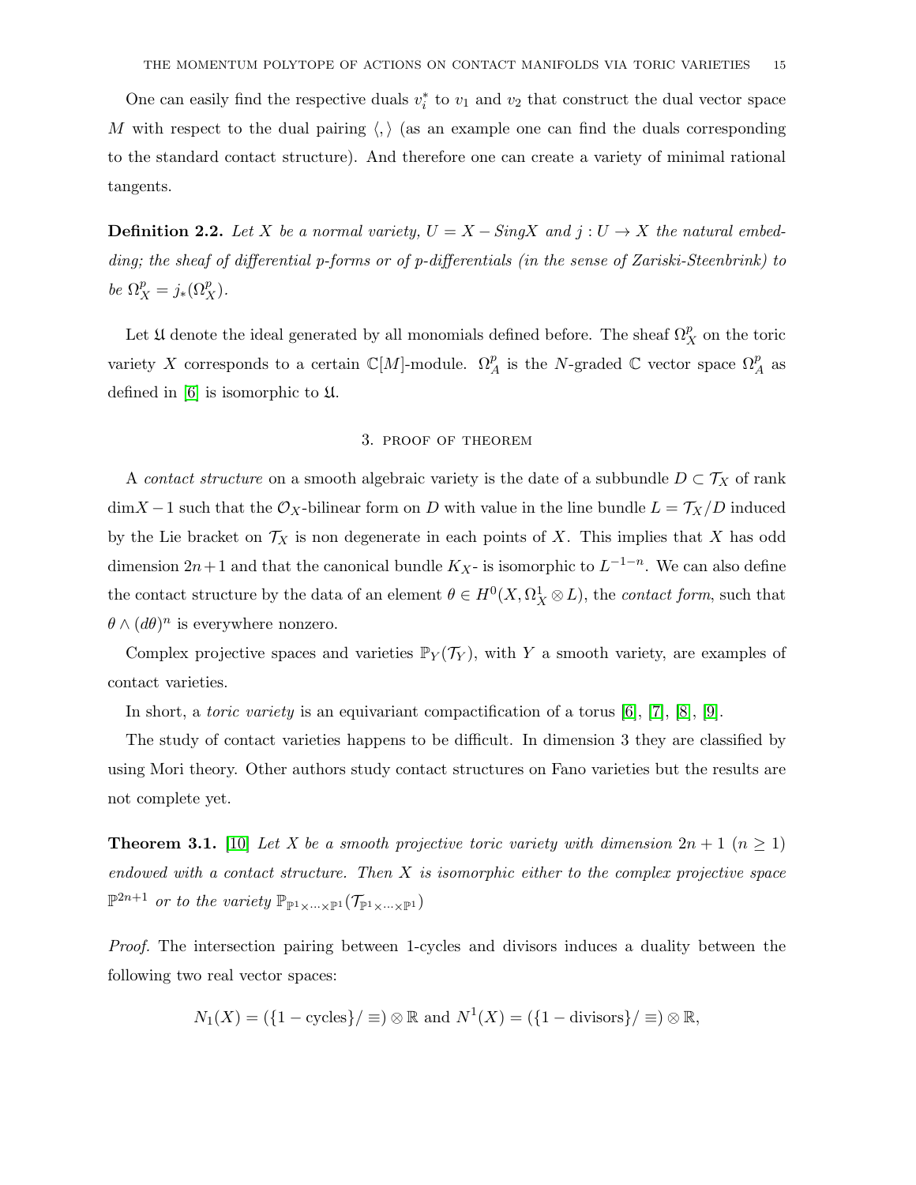One can easily find the respective duals  $v_i^*$  to  $v_1$  and  $v_2$  that construct the dual vector space M with respect to the dual pairing  $\langle , \rangle$  (as an example one can find the duals corresponding to the standard contact structure). And therefore one can create a variety of minimal rational tangents.

**Definition 2.2.** Let X be a normal variety,  $U = X - SingX$  and  $j: U \rightarrow X$  the natural embedding; the sheaf of differential p-forms or of p-differentials (in the sense of Zariski-Steenbrink) to be  $\Omega_X^p = j_*(\Omega_X^p)$ .

Let  $\mathfrak U$  denote the ideal generated by all monomials defined before. The sheaf  $\Omega^p_X$  on the toric variety X corresponds to a certain  $\mathbb{C}[M]$ -module.  $\Omega_A^p$  is the N-graded  $\mathbb C$  vector space  $\Omega_A^p$  as defined in  $[6]$  is isomorphic to  $\mathfrak U$ .

### 3. proof of theorem

A *contact structure* on a smooth algebraic variety is the date of a subbundle  $D \subset \mathcal{T}_X$  of rank  $\dim X - 1$  such that the  $\mathcal{O}_X$ -bilinear form on D with value in the line bundle  $L = \mathcal{T}_X/D$  induced by the Lie bracket on  $\mathcal{T}_X$  is non degenerate in each points of X. This implies that X has odd dimension  $2n+1$  and that the canonical bundle  $K_X$ - is isomorphic to  $L^{-1-n}$ . We can also define the contact structure by the data of an element  $\theta \in H^0(X, \Omega_X^1 \otimes L)$ , the *contact form*, such that  $\theta \wedge (d\theta)^n$  is everywhere nonzero.

Complex projective spaces and varieties  $\mathbb{P}_Y(\mathcal{T}_Y)$ , with Y a smooth variety, are examples of contact varieties.

In short, a toric variety is an equivariant compactification of a torus [\[6\]](#page-30-5), [\[7\]](#page-30-6), [\[8\]](#page-30-7), [\[9\]](#page-30-8).

The study of contact varieties happens to be difficult. In dimension 3 they are classified by using Mori theory. Other authors study contact structures on Fano varieties but the results are not complete yet.

**Theorem 3.1.** [\[10\]](#page-30-9) Let X be a smooth projective toric variety with dimension  $2n + 1$   $(n \ge 1)$ endowed with a contact structure. Then  $X$  is isomorphic either to the complex projective space  $\mathbb{P}^{2n+1}$  or to the variety  $\mathbb{P}_{\mathbb{P}^{1}\times\cdots\times\mathbb{P}^{1}}(\mathcal{T}_{\mathbb{P}^{1}\times\cdots\times\mathbb{P}^{1}})$ 

Proof. The intersection pairing between 1-cycles and divisors induces a duality between the following two real vector spaces:

$$
N_1(X) = (\{1 - \text{cycles}\} / \equiv) \otimes \mathbb{R}
$$
 and  $N^1(X) = (\{1 - \text{divisors}\} / \equiv) \otimes \mathbb{R}$ ,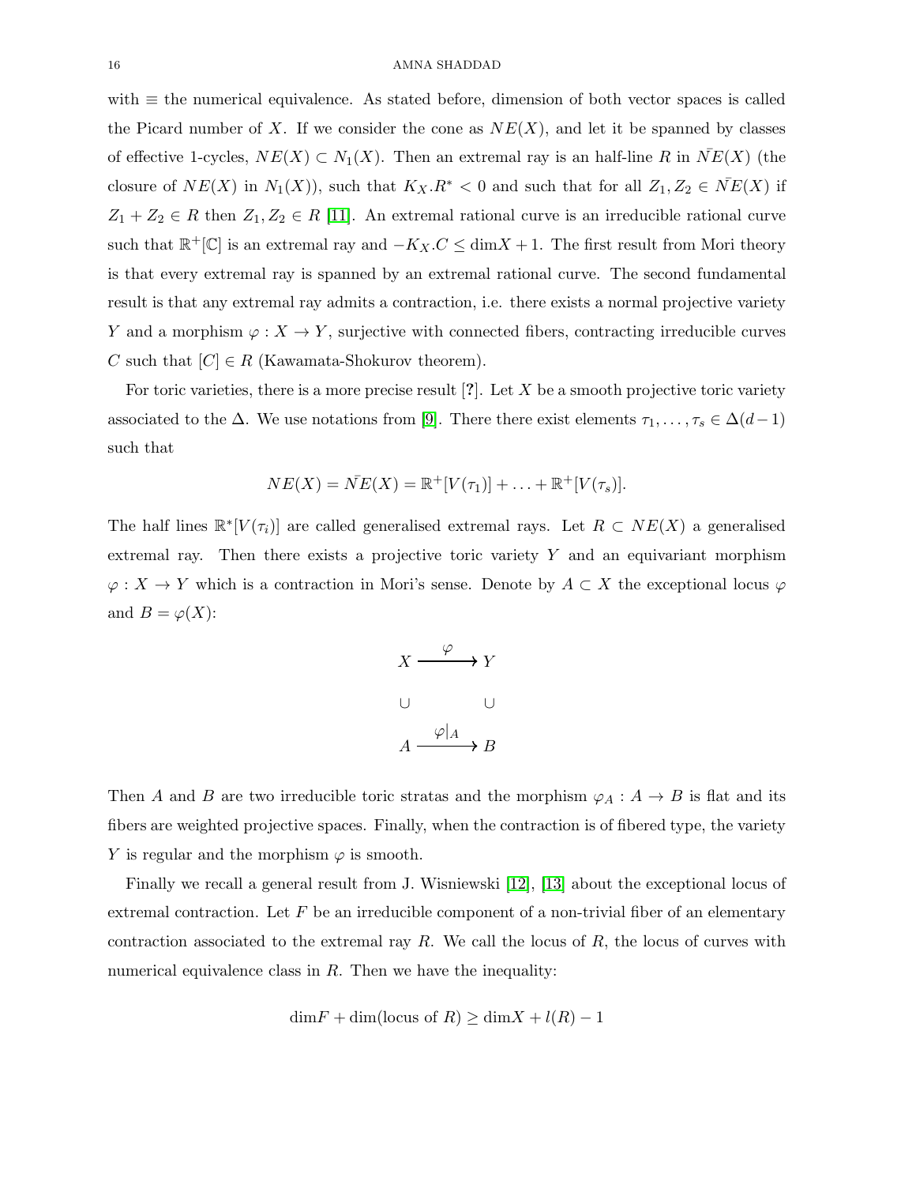with  $\equiv$  the numerical equivalence. As stated before, dimension of both vector spaces is called the Picard number of X. If we consider the cone as  $NE(X)$ , and let it be spanned by classes of effective 1-cycles,  $NE(X) \subset N_1(X)$ . Then an extremal ray is an half-line R in  $NE(X)$  (the closure of  $NE(X)$  in  $N_1(X)$ , such that  $K_X R^* < 0$  and such that for all  $Z_1, Z_2 \in \overline{NE}(X)$  if  $Z_1 + Z_2 \in R$  then  $Z_1, Z_2 \in R$  [\[11\]](#page-30-10). An extremal rational curve is an irreducible rational curve such that  $\mathbb{R}^+[\mathbb{C}]$  is an extremal ray and  $-K_X.C \leq \dim X + 1$ . The first result from Mori theory is that every extremal ray is spanned by an extremal rational curve. The second fundamental result is that any extremal ray admits a contraction, i.e. there exists a normal projective variety Y and a morphism  $\varphi: X \to Y$ , surjective with connected fibers, contracting irreducible curves C such that  $[C] \in R$  (Kawamata-Shokurov theorem).

For toric varieties, there is a more precise result  $[?]$ . Let X be a smooth projective toric variety associated to the  $\Delta$ . We use notations from [\[9\]](#page-30-8). There there exist elements  $\tau_1, \ldots, \tau_s \in \Delta(d-1)$ such that

$$
NE(X) = \bar{NE}(X) = \mathbb{R}^{+}[V(\tau_1)] + \ldots + \mathbb{R}^{+}[V(\tau_s)].
$$

The half lines  $\mathbb{R}^*[V(\tau_i)]$  are called generalised extremal rays. Let  $R \subset NE(X)$  a generalised extremal ray. Then there exists a projective toric variety Y and an equivariant morphism  $\varphi: X \to Y$  which is a contraction in Mori's sense. Denote by  $A \subset X$  the exceptional locus  $\varphi$ and  $B = \varphi(X)$ :

$$
X \xrightarrow{\varphi} Y
$$
  
\n
$$
\cup \qquad \qquad \cup
$$
  
\n
$$
A \xrightarrow{\varphi|_A} B
$$

Then A and B are two irreducible toric stratas and the morphism  $\varphi_A : A \to B$  is flat and its fibers are weighted projective spaces. Finally, when the contraction is of fibered type, the variety Y is regular and the morphism  $\varphi$  is smooth.

Finally we recall a general result from J. Wisniewski [\[12\]](#page-30-11), [\[13\]](#page-30-12) about the exceptional locus of extremal contraction. Let  $F$  be an irreducible component of a non-trivial fiber of an elementary contraction associated to the extremal ray  $R$ . We call the locus of  $R$ , the locus of curves with numerical equivalence class in  $R$ . Then we have the inequality:

$$
\dim F + \dim(\text{locus of } R) \ge \dim X + l(R) - 1
$$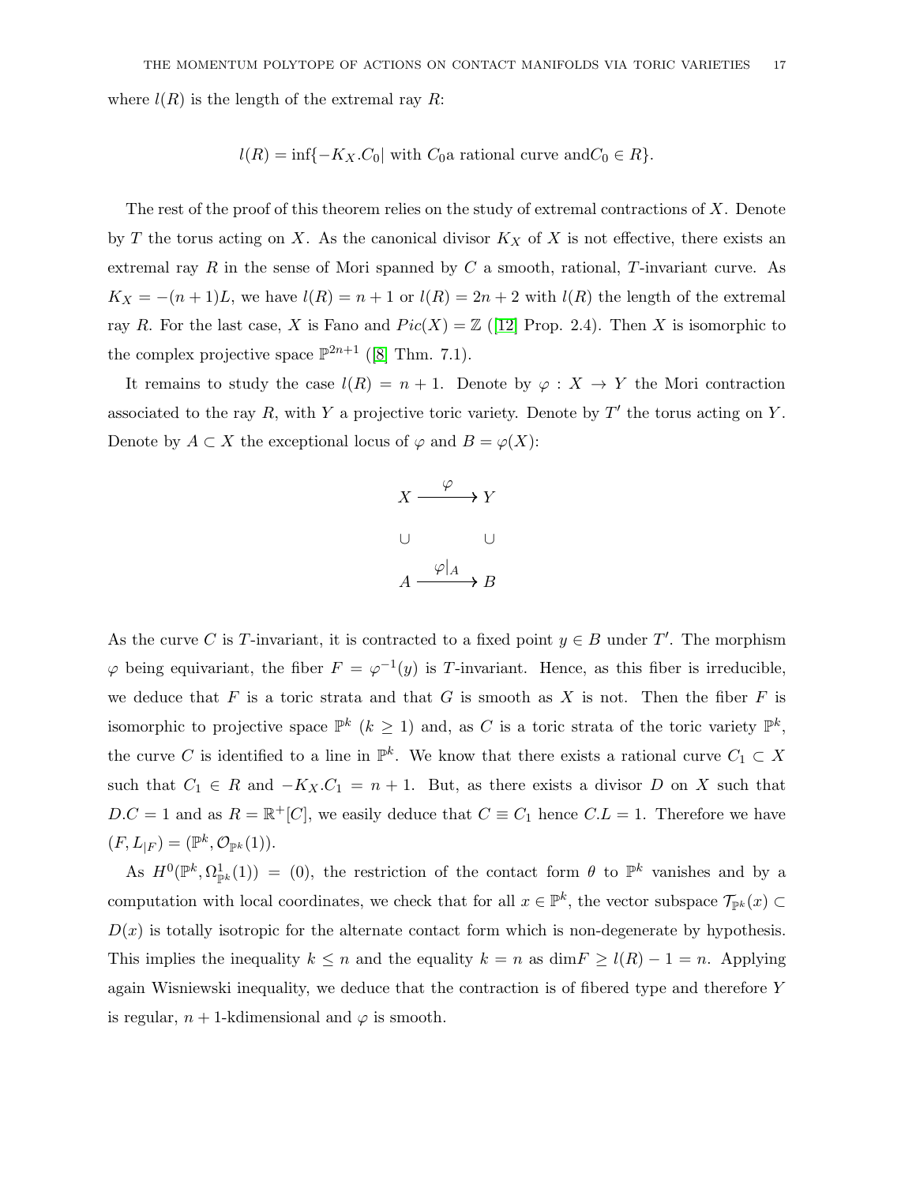where  $l(R)$  is the length of the extremal ray R:

$$
l(R) = \inf\{-K_X.C_0|\text{ with } C_0\text{a rational curve and } C_0 \in R\}.
$$

The rest of the proof of this theorem relies on the study of extremal contractions of  $X$ . Denote by T the torus acting on X. As the canonical divisor  $K_X$  of X is not effective, there exists an extremal ray  $R$  in the sense of Mori spanned by  $C$  a smooth, rational,  $T$ -invariant curve. As  $K_X = -(n+1)L$ , we have  $l(R) = n+1$  or  $l(R) = 2n+2$  with  $l(R)$  the length of the extremal ray R. For the last case, X is Fano and  $Pic(X) = \mathbb{Z}$  ([\[12\]](#page-30-11) Prop. 2.4). Then X is isomorphic to the complex projective space  $\mathbb{P}^{2n+1}$  ([\[8\]](#page-30-7) Thm. 7.1).

It remains to study the case  $l(R) = n + 1$ . Denote by  $\varphi : X \to Y$  the Mori contraction associated to the ray  $R$ , with  $Y$  a projective toric variety. Denote by  $T'$  the torus acting on  $Y$ . Denote by  $A \subset X$  the exceptional locus of  $\varphi$  and  $B = \varphi(X)$ :



As the curve C is T-invariant, it is contracted to a fixed point  $y \in B$  under T'. The morphism  $\varphi$  being equivariant, the fiber  $F = \varphi^{-1}(y)$  is T-invariant. Hence, as this fiber is irreducible, we deduce that F is a toric strata and that G is smooth as X is not. Then the fiber F is isomorphic to projective space  $\mathbb{P}^k$  ( $k \geq 1$ ) and, as C is a toric strata of the toric variety  $\mathbb{P}^k$ , the curve C is identified to a line in  $\mathbb{P}^k$ . We know that there exists a rational curve  $C_1 \subset X$ such that  $C_1 \in R$  and  $-K_X.C_1 = n + 1$ . But, as there exists a divisor D on X such that  $D.C = 1$  and as  $R = \mathbb{R}^+[C]$ , we easily deduce that  $C \equiv C_1$  hence  $C.L = 1$ . Therefore we have  $(F, L_{|F}) = (\mathbb{P}^k, \mathcal{O}_{\mathbb{P}^k}(1)).$ 

As  $H^0(\mathbb{P}^k, \Omega_{\mathbb{P}^k}^1(1)) = (0)$ , the restriction of the contact form  $\theta$  to  $\mathbb{P}^k$  vanishes and by a computation with local coordinates, we check that for all  $x \in \mathbb{P}^k$ , the vector subspace  $\mathcal{T}_{\mathbb{P}^k}(x) \subset$  $D(x)$  is totally isotropic for the alternate contact form which is non-degenerate by hypothesis. This implies the inequality  $k \leq n$  and the equality  $k = n$  as  $\dim F \geq l(R) - 1 = n$ . Applying again Wisniewski inequality, we deduce that the contraction is of fibered type and therefore Y is regular,  $n + 1$ -kdimensional and  $\varphi$  is smooth.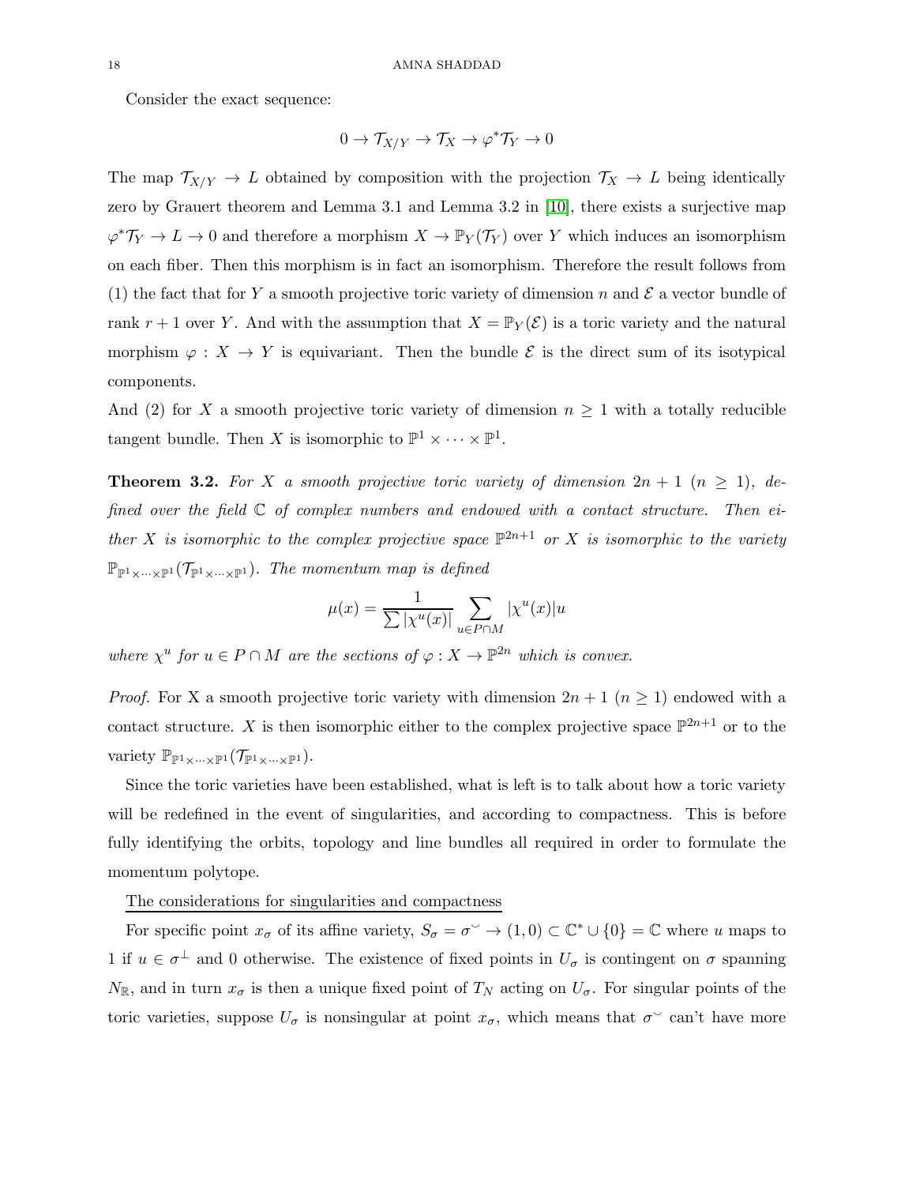Consider the exact sequence:

$$
0 \to \mathcal{T}_{X/Y} \to \mathcal{T}_X \to \varphi^* \mathcal{T}_Y \to 0
$$

The map  $\mathcal{T}_{X/Y} \to L$  obtained by composition with the projection  $\mathcal{T}_X \to L$  being identically zero by Grauert theorem and Lemma 3.1 and Lemma 3.2 in [\[10\]](#page-30-9), there exists a surjective map  $\varphi^* \mathcal{T}_Y \to L \to 0$  and therefore a morphism  $X \to \mathbb{P}_Y(\mathcal{T}_Y)$  over Y which induces an isomorphism on each fiber. Then this morphism is in fact an isomorphism. Therefore the result follows from (1) the fact that for Y a smooth projective toric variety of dimension n and  $\mathcal E$  a vector bundle of rank  $r + 1$  over Y. And with the assumption that  $X = \mathbb{P}_Y(\mathcal{E})$  is a toric variety and the natural morphism  $\varphi: X \to Y$  is equivariant. Then the bundle  $\mathcal E$  is the direct sum of its isotypical components.

And (2) for X a smooth projective toric variety of dimension  $n \geq 1$  with a totally reducible tangent bundle. Then X is isomorphic to  $\mathbb{P}^1 \times \cdots \times \mathbb{P}^1$ .

**Theorem 3.2.** For X a smooth projective toric variety of dimension  $2n + 1$   $(n \ge 1)$ , defined over the field  $\mathbb C$  of complex numbers and endowed with a contact structure. Then either X is isomorphic to the complex projective space  $\mathbb{P}^{2n+1}$  or X is isomorphic to the variety  $\mathbb{P}_{\mathbb{P}^1 \times \cdots \times \mathbb{P}^1}(\mathcal{T}_{\mathbb{P}^1 \times \cdots \times \mathbb{P}^1})$ . The momentum map is defined

$$
\mu(x) = \frac{1}{\sum |\chi^u(x)|} \sum_{u \in P \cap M} |\chi^u(x)| u
$$

where  $\chi^u$  for  $u \in P \cap M$  are the sections of  $\varphi : X \to \mathbb{P}^{2n}$  which is convex.

*Proof.* For X a smooth projective toric variety with dimension  $2n + 1$  ( $n \ge 1$ ) endowed with a contact structure. X is then isomorphic either to the complex projective space  $\mathbb{P}^{2n+1}$  or to the variety  $\mathbb{P}_{\mathbb{P}^1 \times \cdots \times \mathbb{P}^1}(\mathcal{T}_{\mathbb{P}^1 \times \cdots \times \mathbb{P}^1}).$ 

Since the toric varieties have been established, what is left is to talk about how a toric variety will be redefined in the event of singularities, and according to compactness. This is before fully identifying the orbits, topology and line bundles all required in order to formulate the momentum polytope.

### The considerations for singularities and compactness

For specific point  $x_{\sigma}$  of its affine variety,  $S_{\sigma} = \sigma^{\vee} \to (1,0) \subset \mathbb{C}^* \cup \{0\} = \mathbb{C}$  where u maps to 1 if  $u \in \sigma^{\perp}$  and 0 otherwise. The existence of fixed points in  $U_{\sigma}$  is contingent on  $\sigma$  spanning  $N_{\mathbb{R}}$ , and in turn  $x_{\sigma}$  is then a unique fixed point of  $T_N$  acting on  $U_{\sigma}$ . For singular points of the toric varieties, suppose  $U_{\sigma}$  is nonsingular at point  $x_{\sigma}$ , which means that  $\sigma^{\circ}$  can't have more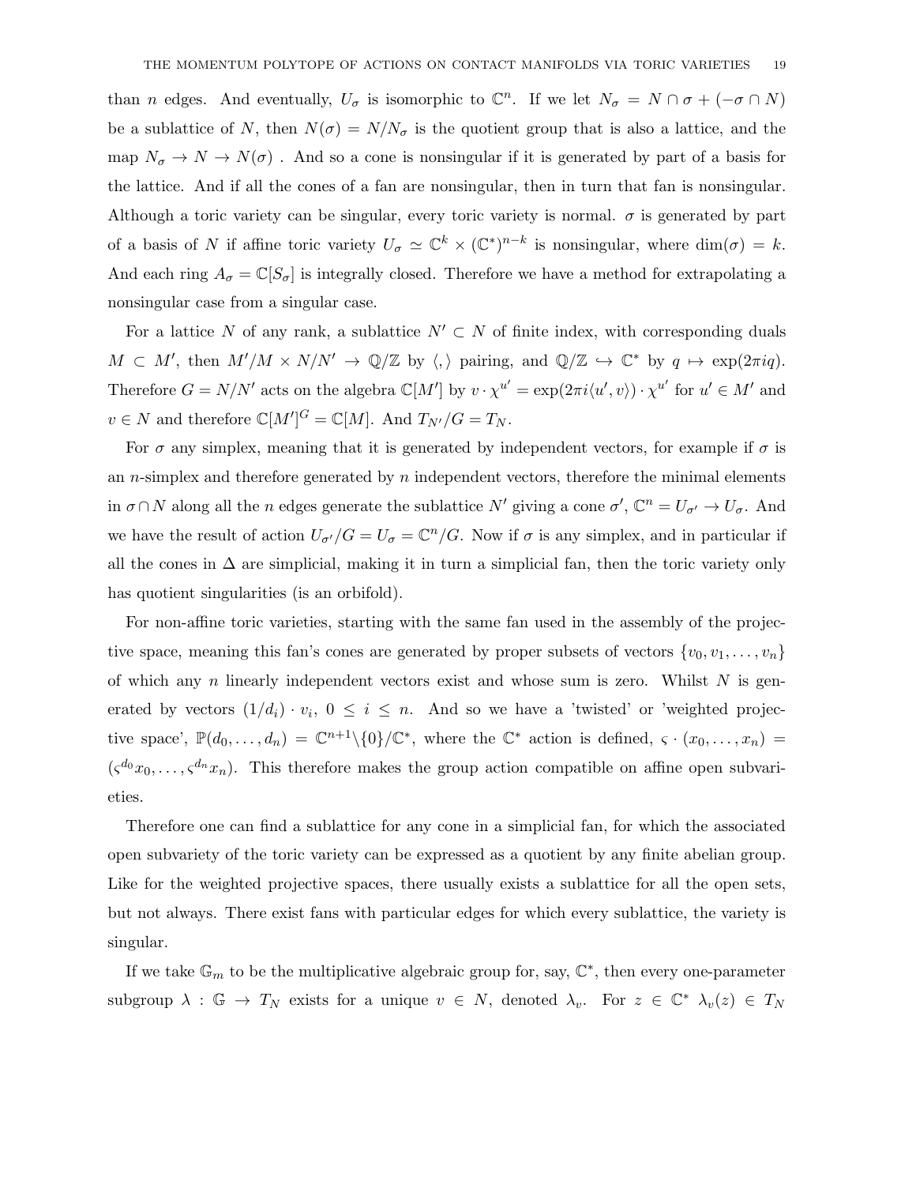than *n* edges. And eventually,  $U_{\sigma}$  is isomorphic to  $\mathbb{C}^n$ . If we let  $N_{\sigma} = N \cap \sigma + (-\sigma \cap N)$ be a sublattice of N, then  $N(\sigma) = N/N_{\sigma}$  is the quotient group that is also a lattice, and the map  $N_{\sigma} \to N \to N(\sigma)$ . And so a cone is nonsingular if it is generated by part of a basis for the lattice. And if all the cones of a fan are nonsingular, then in turn that fan is nonsingular. Although a toric variety can be singular, every toric variety is normal.  $\sigma$  is generated by part of a basis of N if affine toric variety  $U_{\sigma} \simeq \mathbb{C}^k \times (\mathbb{C}^*)^{n-k}$  is nonsingular, where  $\dim(\sigma) = k$ . And each ring  $A_{\sigma} = \mathbb{C}[S_{\sigma}]$  is integrally closed. Therefore we have a method for extrapolating a nonsingular case from a singular case.

For a lattice N of any rank, a sublattice  $N' \subset N$  of finite index, with corresponding duals  $M \subset M'$ , then  $M'/M \times N/N' \to \mathbb{Q}/\mathbb{Z}$  by  $\langle, \rangle$  pairing, and  $\mathbb{Q}/\mathbb{Z} \hookrightarrow \mathbb{C}^*$  by  $q \mapsto \exp(2\pi i q)$ . Therefore  $G = N/N'$  acts on the algebra  $\mathbb{C}[M']$  by  $v \cdot \chi^{u'} = \exp(2\pi i \langle u', v \rangle) \cdot \chi^{u'}$  for  $u' \in M'$  and  $v \in N$  and therefore  $\mathbb{C}[M']^G = \mathbb{C}[M]$ . And  $T_{N'}/G = T_N$ .

For  $\sigma$  any simplex, meaning that it is generated by independent vectors, for example if  $\sigma$  is an *n*-simplex and therefore generated by *n* independent vectors, therefore the minimal elements in  $\sigma \cap N$  along all the n edges generate the sublattice N' giving a cone  $\sigma'$ ,  $\mathbb{C}^n = U_{\sigma'} \to U_{\sigma}$ . And we have the result of action  $U_{\sigma'}/G = U_{\sigma} = \mathbb{C}^n/G$ . Now if  $\sigma$  is any simplex, and in particular if all the cones in  $\Delta$  are simplicial, making it in turn a simplicial fan, then the toric variety only has quotient singularities (is an orbifold).

For non-affine toric varieties, starting with the same fan used in the assembly of the projective space, meaning this fan's cones are generated by proper subsets of vectors  $\{v_0, v_1, \ldots, v_n\}$ of which any n linearly independent vectors exist and whose sum is zero. Whilst  $N$  is generated by vectors  $(1/d_i) \cdot v_i$ ,  $0 \le i \le n$ . And so we have a 'twisted' or 'weighted projective space',  $\mathbb{P}(d_0,\ldots,d_n) = \mathbb{C}^{n+1}\setminus\{0\}/\mathbb{C}^*$ , where the  $\mathbb{C}^*$  action is defined,  $\varsigma \cdot (x_0,\ldots,x_n) =$  $(\zeta^{d_0}x_0,\ldots,\zeta^{d_n}x_n)$ . This therefore makes the group action compatible on affine open subvarieties.

Therefore one can find a sublattice for any cone in a simplicial fan, for which the associated open subvariety of the toric variety can be expressed as a quotient by any finite abelian group. Like for the weighted projective spaces, there usually exists a sublattice for all the open sets, but not always. There exist fans with particular edges for which every sublattice, the variety is singular.

If we take  $\mathbb{G}_m$  to be the multiplicative algebraic group for, say,  $\mathbb{C}^*$ , then every one-parameter subgroup  $\lambda : \mathbb{G} \to T_N$  exists for a unique  $v \in N$ , denoted  $\lambda_v$ . For  $z \in \mathbb{C}^*$   $\lambda_v(z) \in T_N$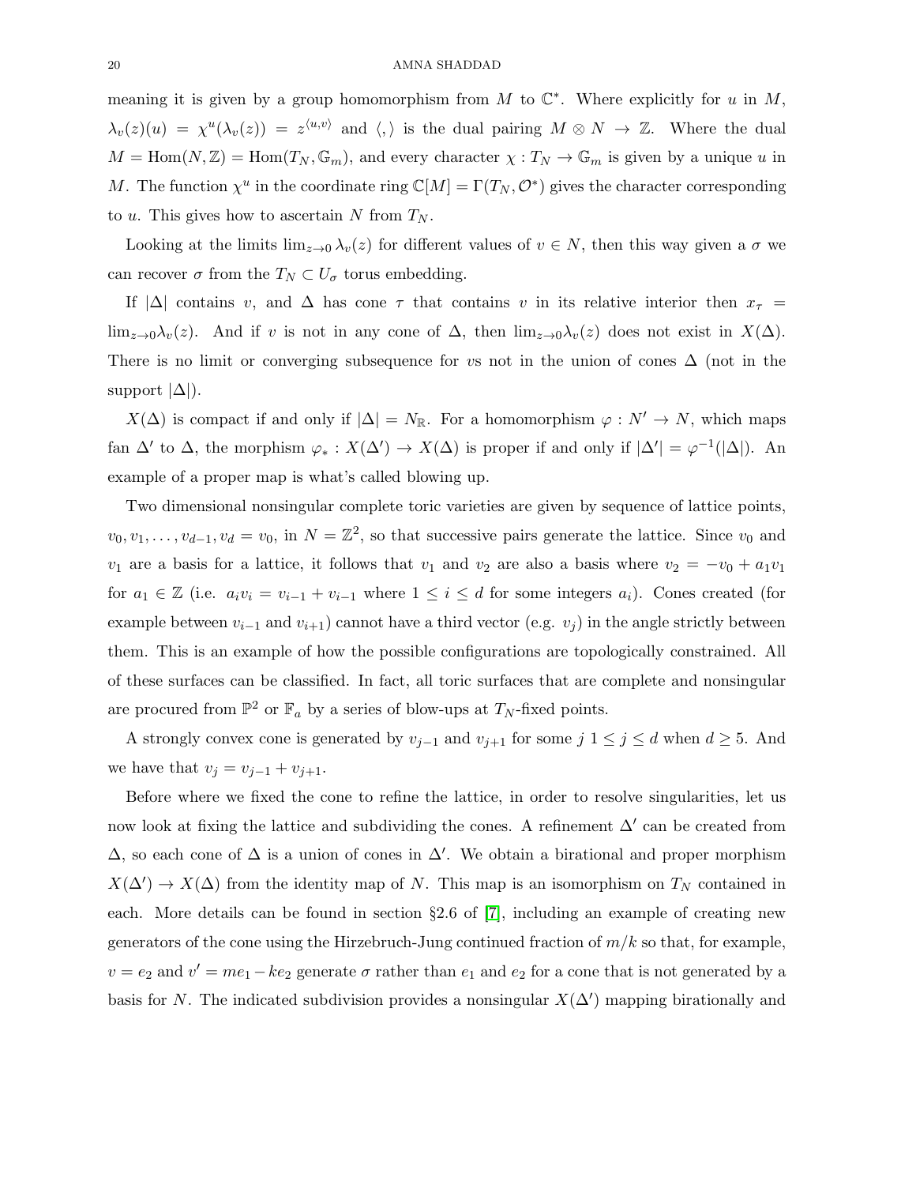meaning it is given by a group homomorphism from M to  $\mathbb{C}^*$ . Where explicitly for u in M,  $\lambda_v(z)(u) = \chi^u(\lambda_v(z)) = z^{\langle u,v\rangle}$  and  $\langle,\rangle$  is the dual pairing  $M \otimes N \to \mathbb{Z}$ . Where the dual  $M = \text{Hom}(N, \mathbb{Z}) = \text{Hom}(T_N, \mathbb{G}_m)$ , and every character  $\chi : T_N \to \mathbb{G}_m$  is given by a unique u in M. The function  $\chi^u$  in the coordinate ring  $\mathbb{C}[M] = \Gamma(T_N, \mathcal{O}^*)$  gives the character corresponding to u. This gives how to ascertain N from  $T_N$ .

Looking at the limits  $\lim_{z\to 0} \lambda_v(z)$  for different values of  $v \in N$ , then this way given a  $\sigma$  we can recover  $\sigma$  from the  $T_N \subset U_{\sigma}$  torus embedding.

If  $|\Delta|$  contains v, and  $\Delta$  has cone  $\tau$  that contains v in its relative interior then  $x_{\tau}$  = lim<sub>z→0</sub> $\lambda_v(z)$ . And if v is not in any cone of  $\Delta$ , then lim<sub>z→0</sub> $\lambda_v(z)$  does not exist in  $X(\Delta)$ . There is no limit or converging subsequence for vs not in the union of cones  $\Delta$  (not in the support  $|\Delta|$ ).

 $X(\Delta)$  is compact if and only if  $|\Delta| = N_{\mathbb{R}}$ . For a homomorphism  $\varphi : N' \to N$ , which maps fan  $\Delta'$  to  $\Delta$ , the morphism  $\varphi_*: X(\Delta') \to X(\Delta)$  is proper if and only if  $|\Delta'| = \varphi^{-1}(|\Delta|)$ . An example of a proper map is what's called blowing up.

Two dimensional nonsingular complete toric varieties are given by sequence of lattice points,  $v_0, v_1, \ldots, v_{d-1}, v_d = v_0$ , in  $N = \mathbb{Z}^2$ , so that successive pairs generate the lattice. Since  $v_0$  and  $v_1$  are a basis for a lattice, it follows that  $v_1$  and  $v_2$  are also a basis where  $v_2 = -v_0 + a_1v_1$ for  $a_1 \in \mathbb{Z}$  (i.e.  $a_i v_i = v_{i-1} + v_{i-1}$  where  $1 \leq i \leq d$  for some integers  $a_i$ ). Cones created (for example between  $v_{i-1}$  and  $v_{i+1}$ ) cannot have a third vector (e.g.  $v_j$ ) in the angle strictly between them. This is an example of how the possible configurations are topologically constrained. All of these surfaces can be classified. In fact, all toric surfaces that are complete and nonsingular are procured from  $\mathbb{P}^2$  or  $\mathbb{F}_a$  by a series of blow-ups at  $T_N$ -fixed points.

A strongly convex cone is generated by  $v_{j-1}$  and  $v_{j+1}$  for some  $j \ 1 \le j \le d$  when  $d \ge 5$ . And we have that  $v_j = v_{j-1} + v_{j+1}$ .

Before where we fixed the cone to refine the lattice, in order to resolve singularities, let us now look at fixing the lattice and subdividing the cones. A refinement  $\Delta'$  can be created from  $\Delta$ , so each cone of  $\Delta$  is a union of cones in  $\Delta'$ . We obtain a birational and proper morphism  $X(\Delta') \to X(\Delta)$  from the identity map of N. This map is an isomorphism on  $T_N$  contained in each. More details can be found in section §2.6 of [\[7\]](#page-30-6), including an example of creating new generators of the cone using the Hirzebruch-Jung continued fraction of  $m/k$  so that, for example,  $v = e_2$  and  $v' = me_1 - ke_2$  generate  $\sigma$  rather than  $e_1$  and  $e_2$  for a cone that is not generated by a basis for N. The indicated subdivision provides a nonsingular  $X(\Delta')$  mapping birationally and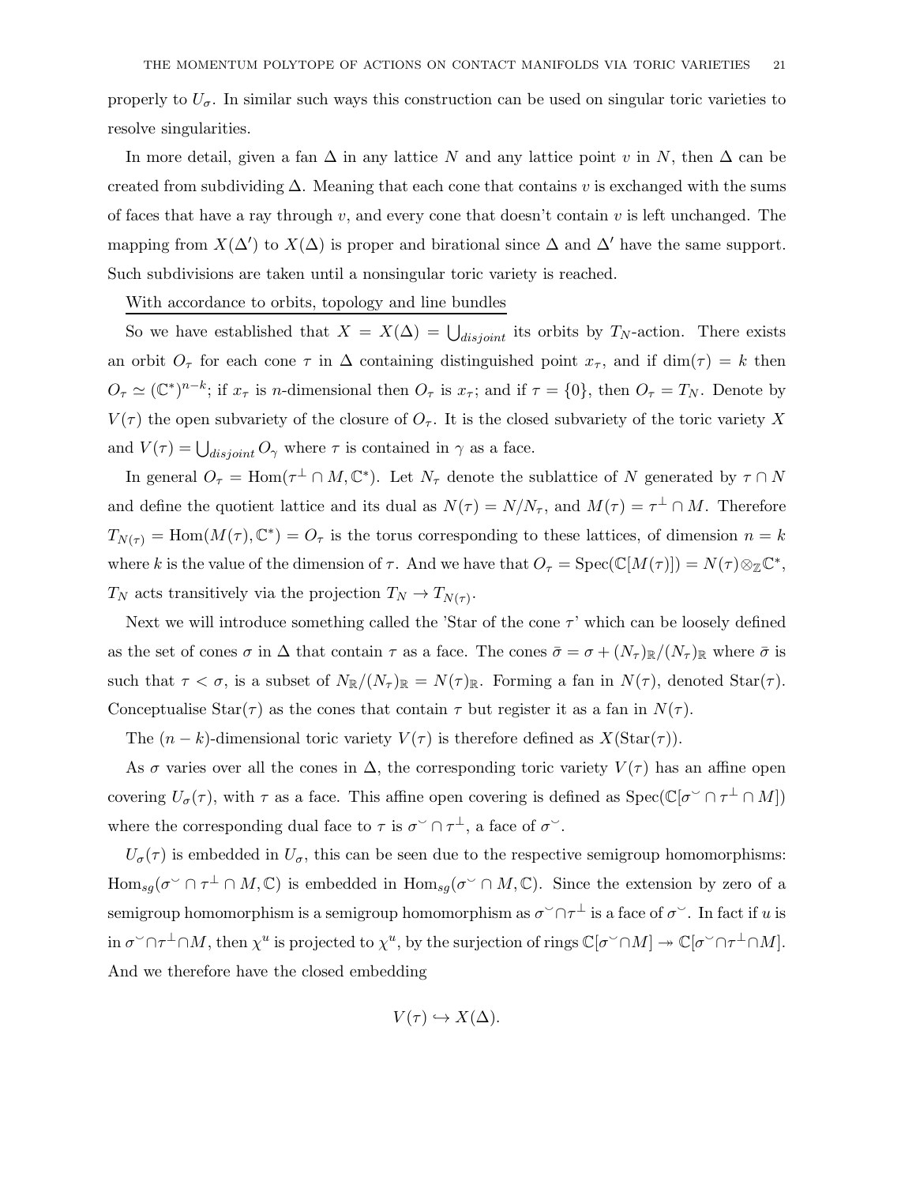properly to  $U_{\sigma}$ . In similar such ways this construction can be used on singular toric varieties to resolve singularities.

In more detail, given a fan  $\Delta$  in any lattice N and any lattice point v in N, then  $\Delta$  can be created from subdividing  $\Delta$ . Meaning that each cone that contains v is exchanged with the sums of faces that have a ray through v, and every cone that doesn't contain v is left unchanged. The mapping from  $X(\Delta')$  to  $X(\Delta)$  is proper and birational since  $\Delta$  and  $\Delta'$  have the same support. Such subdivisions are taken until a nonsingular toric variety is reached.

## With accordance to orbits, topology and line bundles

So we have established that  $X = X(\Delta) = \bigcup_{disjoint}$  its orbits by  $T_N$ -action. There exists an orbit  $O_{\tau}$  for each cone  $\tau$  in  $\Delta$  containing distinguished point  $x_{\tau}$ , and if dim( $\tau$ ) = k then  $O_{\tau} \simeq (\mathbb{C}^*)^{n-k}$ ; if  $x_{\tau}$  is *n*-dimensional then  $O_{\tau}$  is  $x_{\tau}$ ; and if  $\tau = \{0\}$ , then  $O_{\tau} = T_N$ . Denote by  $V(\tau)$  the open subvariety of the closure of  $O_{\tau}$ . It is the closed subvariety of the toric variety X and  $V(\tau) = \bigcup_{disjoint} O_{\gamma}$  where  $\tau$  is contained in  $\gamma$  as a face.

In general  $O_{\tau} = \text{Hom}(\tau^{\perp} \cap M, \mathbb{C}^*)$ . Let  $N_{\tau}$  denote the sublattice of N generated by  $\tau \cap N$ and define the quotient lattice and its dual as  $N(\tau) = N/N_{\tau}$ , and  $M(\tau) = \tau^{\perp} \cap M$ . Therefore  $T_{N(\tau)} = \text{Hom}(M(\tau), \mathbb{C}^*) = O_{\tau}$  is the torus corresponding to these lattices, of dimension  $n = k$ where k is the value of the dimension of  $\tau$ . And we have that  $O_{\tau} = \text{Spec}(\mathbb{C}[M(\tau)]) = N(\tau) \otimes_{\mathbb{Z}} \mathbb{C}^*$ ,  $T_N$  acts transitively via the projection  $T_N \to T_{N(\tau)}$ .

Next we will introduce something called the 'Star of the cone  $\tau$ ' which can be loosely defined as the set of cones  $\sigma$  in  $\Delta$  that contain  $\tau$  as a face. The cones  $\bar{\sigma} = \sigma + (N_{\tau})_{\mathbb{R}}/(N_{\tau})_{\mathbb{R}}$  where  $\bar{\sigma}$  is such that  $\tau < \sigma$ , is a subset of  $N_{\mathbb{R}}/(N_{\tau})_{\mathbb{R}} = N(\tau)_{\mathbb{R}}$ . Forming a fan in  $N(\tau)$ , denoted  $\text{Star}(\tau)$ . Conceptualise Star( $\tau$ ) as the cones that contain  $\tau$  but register it as a fan in  $N(\tau)$ .

The  $(n - k)$ -dimensional toric variety  $V(\tau)$  is therefore defined as  $X(\text{Star}(\tau))$ .

As  $\sigma$  varies over all the cones in  $\Delta$ , the corresponding toric variety  $V(\tau)$  has an affine open covering  $U_{\sigma}(\tau)$ , with  $\tau$  as a face. This affine open covering is defined as  $Spec(\mathbb{C}[\sigma^{\vee} \cap \tau^{\perp} \cap M])$ where the corresponding dual face to  $\tau$  is  $\sigma^{\sim} \cap \tau^{\perp}$ , a face of  $\sigma^{\sim}$ .

 $U_{\sigma}(\tau)$  is embedded in  $U_{\sigma}$ , this can be seen due to the respective semigroup homomorphisms:  $\text{Hom}_{sg}(\sigma^{\vee} \cap \tau^{\perp} \cap M, \mathbb{C})$  is embedded in  $\text{Hom}_{sg}(\sigma^{\vee} \cap M, \mathbb{C})$ . Since the extension by zero of a semigroup homomorphism is a semigroup homomorphism as  $\sigma^{\smallsmile}\cap\tau^\perp$  is a face of  $\sigma^{\smallsmile}$ . In fact if  $u$  is in  $\sigma^{\vee} \cap \tau^{\perp} \cap M$ , then  $\chi^u$  is projected to  $\chi^u$ , by the surjection of rings  $\mathbb{C}[\sigma^{\vee} \cap M] \to \mathbb{C}[\sigma^{\vee} \cap \tau^{\perp} \cap M]$ . And we therefore have the closed embedding

$$
V(\tau) \hookrightarrow X(\Delta).
$$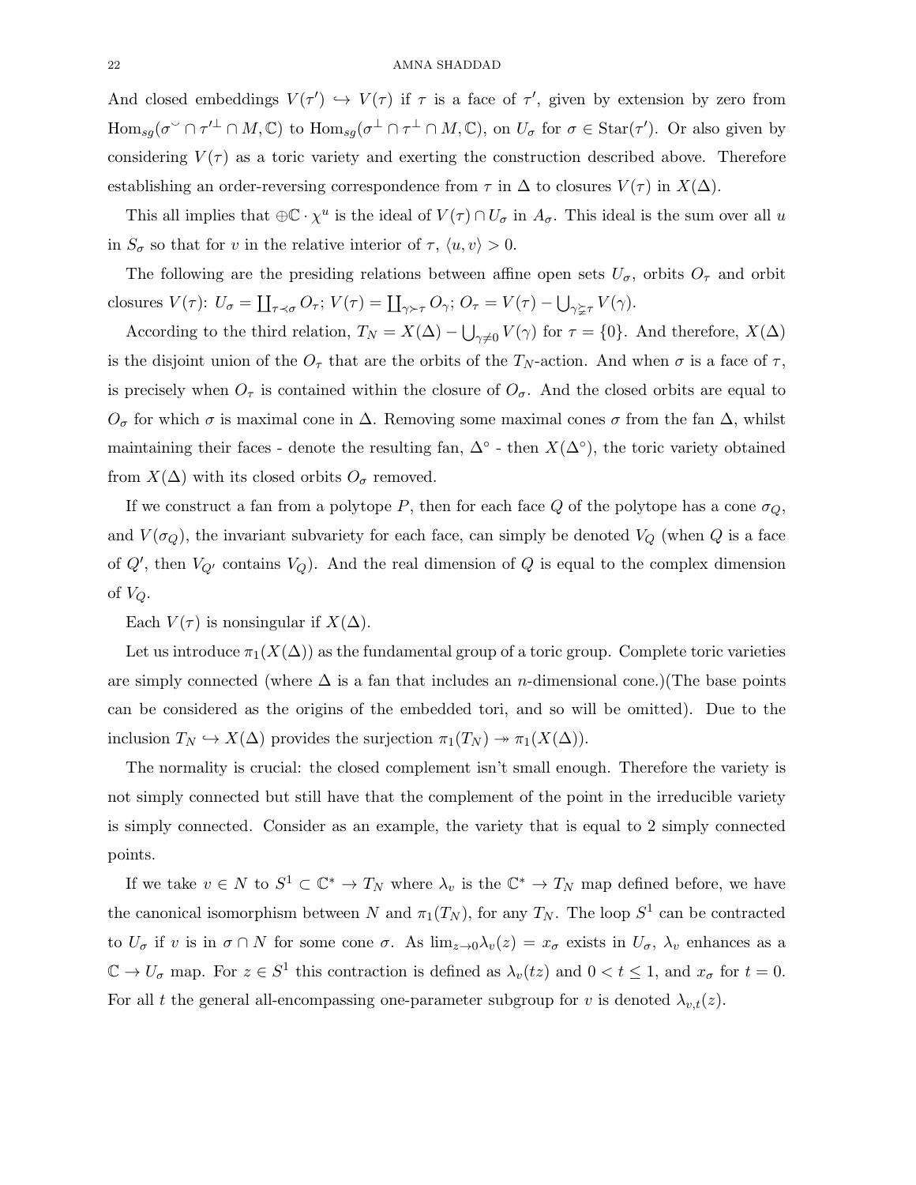And closed embeddings  $V(\tau') \hookrightarrow V(\tau)$  if  $\tau$  is a face of  $\tau'$ , given by extension by zero from  $\text{Hom}_{sg}(\sigma^{\vee} \cap \tau'^{\perp} \cap M, \mathbb{C})$  to  $\text{Hom}_{sg}(\sigma^{\perp} \cap \tau^{\perp} \cap M, \mathbb{C})$ , on  $U_{\sigma}$  for  $\sigma \in \text{Star}(\tau')$ . Or also given by considering  $V(\tau)$  as a toric variety and exerting the construction described above. Therefore establishing an order-reversing correspondence from  $\tau$  in  $\Delta$  to closures  $V(\tau)$  in  $X(\Delta)$ .

This all implies that  $\oplus \mathbb{C} \cdot \chi^u$  is the ideal of  $V(\tau) \cap U_{\sigma}$  in  $A_{\sigma}$ . This ideal is the sum over all u in  $S_{\sigma}$  so that for v in the relative interior of  $\tau$ ,  $\langle u, v \rangle > 0$ .

The following are the presiding relations between affine open sets  $U_{\sigma}$ , orbits  $O_{\tau}$  and orbit closures  $V(\tau)$ :  $U_{\sigma} = \coprod_{\tau \prec \sigma} O_{\tau}$ ;  $V(\tau) = \coprod_{\gamma \succ \tau} O_{\gamma}$ ;  $O_{\tau} = V(\tau) - \bigcup_{\gamma \succeq \tau} V(\gamma)$ .

According to the third relation,  $T_N = X(\Delta) - \bigcup_{\gamma \neq 0} V(\gamma)$  for  $\tau = \{0\}$ . And therefore,  $X(\Delta)$ is the disjoint union of the  $O<sub>\tau</sub>$  that are the orbits of the  $T<sub>N</sub>$ -action. And when  $\sigma$  is a face of  $\tau$ , is precisely when  $O_{\tau}$  is contained within the closure of  $O_{\sigma}$ . And the closed orbits are equal to  $O_{\sigma}$  for which  $\sigma$  is maximal cone in  $\Delta$ . Removing some maximal cones  $\sigma$  from the fan  $\Delta$ , whilst maintaining their faces - denote the resulting fan,  $\Delta^{\circ}$  - then  $X(\Delta^{\circ})$ , the toric variety obtained from  $X(\Delta)$  with its closed orbits  $O_{\sigma}$  removed.

If we construct a fan from a polytope P, then for each face Q of the polytope has a cone  $\sigma_Q$ , and  $V(\sigma_Q)$ , the invariant subvariety for each face, can simply be denoted  $V_Q$  (when Q is a face of  $Q'$ , then  $V_{Q'}$  contains  $V_Q$ ). And the real dimension of  $Q$  is equal to the complex dimension of  $V_Q$ .

Each  $V(\tau)$  is nonsingular if  $X(\Delta)$ .

Let us introduce  $\pi_1(X(\Delta))$  as the fundamental group of a toric group. Complete toric varieties are simply connected (where  $\Delta$  is a fan that includes an *n*-dimensional cone.)(The base points can be considered as the origins of the embedded tori, and so will be omitted). Due to the inclusion  $T_N \hookrightarrow X(\Delta)$  provides the surjection  $\pi_1(T_N) \twoheadrightarrow \pi_1(X(\Delta))$ .

The normality is crucial: the closed complement isn't small enough. Therefore the variety is not simply connected but still have that the complement of the point in the irreducible variety is simply connected. Consider as an example, the variety that is equal to 2 simply connected points.

If we take  $v \in N$  to  $S^1 \subset \mathbb{C}^* \to T_N$  where  $\lambda_v$  is the  $\mathbb{C}^* \to T_N$  map defined before, we have the canonical isomorphism between N and  $\pi_1(T_N)$ , for any  $T_N$ . The loop  $S^1$  can be contracted to  $U_{\sigma}$  if v is in  $\sigma \cap N$  for some cone  $\sigma$ . As  $\lim_{z\to 0}\lambda_v(z) = x_{\sigma}$  exists in  $U_{\sigma}$ ,  $\lambda_v$  enhances as a  $\mathbb{C} \to U_{\sigma}$  map. For  $z \in S^1$  this contraction is defined as  $\lambda_v(tz)$  and  $0 < t \leq 1$ , and  $x_{\sigma}$  for  $t = 0$ . For all t the general all-encompassing one-parameter subgroup for v is denoted  $\lambda_{v,t}(z)$ .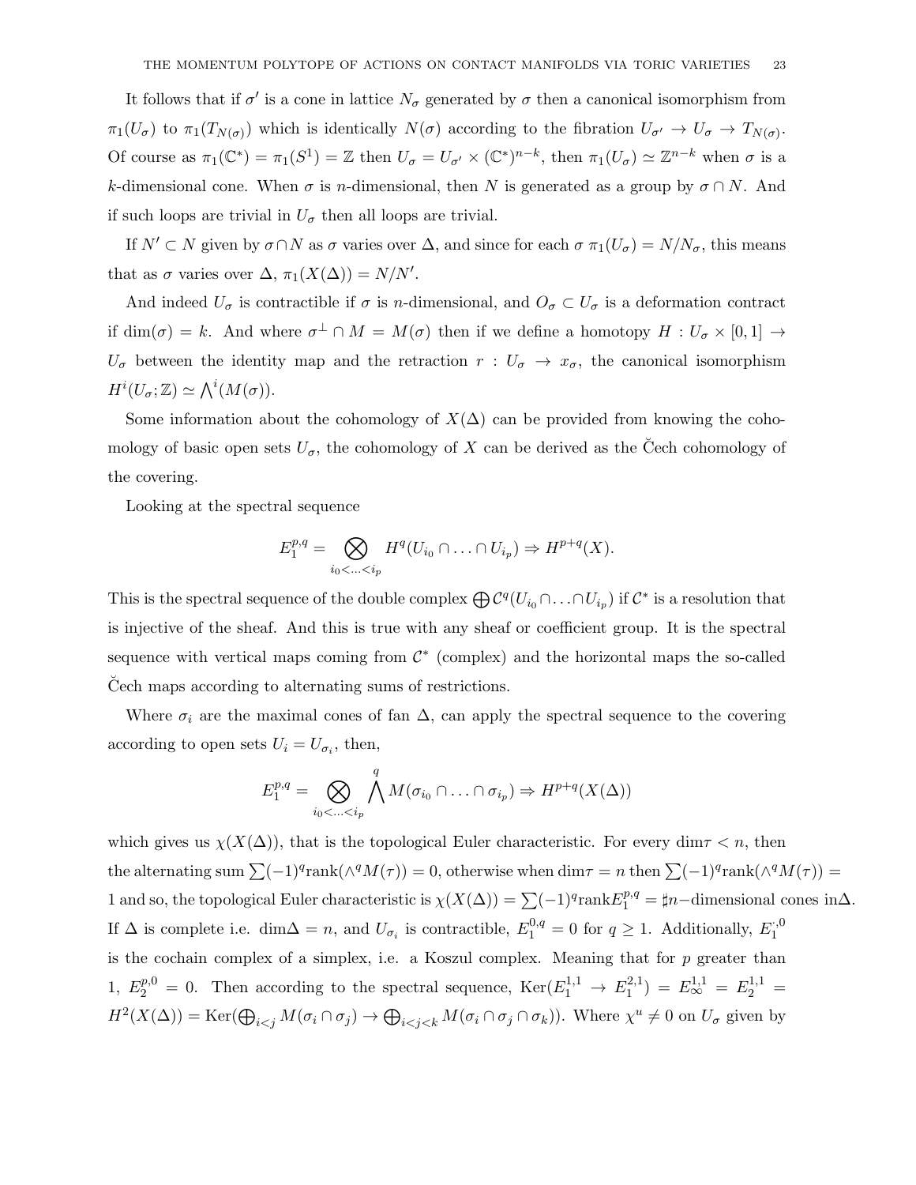It follows that if  $\sigma'$  is a cone in lattice  $N_{\sigma}$  generated by  $\sigma$  then a canonical isomorphism from  $\pi_1(U_\sigma)$  to  $\pi_1(T_{N(\sigma)})$  which is identically  $N(\sigma)$  according to the fibration  $U_{\sigma'} \to U_{\sigma} \to T_{N(\sigma)}$ . Of course as  $\pi_1(\mathbb{C}^*) = \pi_1(S^1) = \mathbb{Z}$  then  $U_{\sigma} = U_{\sigma'} \times (\mathbb{C}^*)^{n-k}$ , then  $\pi_1(U_{\sigma}) \simeq \mathbb{Z}^{n-k}$  when  $\sigma$  is a k-dimensional cone. When  $\sigma$  is n-dimensional, then N is generated as a group by  $\sigma \cap N$ . And if such loops are trivial in  $U_{\sigma}$  then all loops are trivial.

If  $N' \subset N$  given by  $\sigma \cap N$  as  $\sigma$  varies over  $\Delta$ , and since for each  $\sigma \pi_1(U_{\sigma}) = N/N_{\sigma}$ , this means that as  $\sigma$  varies over  $\Delta$ ,  $\pi_1(X(\Delta)) = N/N'$ .

And indeed  $U_{\sigma}$  is contractible if  $\sigma$  is n-dimensional, and  $O_{\sigma} \subset U_{\sigma}$  is a deformation contract if  $\dim(\sigma) = k$ . And where  $\sigma^{\perp} \cap M = M(\sigma)$  then if we define a homotopy  $H: U_{\sigma} \times [0,1] \to$  $U_{\sigma}$  between the identity map and the retraction  $r: U_{\sigma} \to x_{\sigma}$ , the canonical isomorphism  $H^i(U_\sigma;\mathbb{Z})\simeq \bigwedge^i(M(\sigma)).$ 

Some information about the cohomology of  $X(\Delta)$  can be provided from knowing the cohomology of basic open sets  $U_{\sigma}$ , the cohomology of X can be derived as the Čech cohomology of the covering.

Looking at the spectral sequence

$$
E_1^{p,q} = \bigotimes_{i_0 < \ldots < i_p} H^q(U_{i_0} \cap \ldots \cap U_{i_p}) \Rightarrow H^{p+q}(X).
$$

This is the spectral sequence of the double complex  $\bigoplus \mathcal{C}^q(U_{i_0} \cap \ldots \cap U_{i_p})$  if  $\mathcal{C}^*$  is a resolution that is injective of the sheaf. And this is true with any sheaf or coefficient group. It is the spectral sequence with vertical maps coming from  $\mathcal{C}^*$  (complex) and the horizontal maps the so-called Cech maps according to alternating sums of restrictions.

Where  $\sigma_i$  are the maximal cones of fan  $\Delta$ , can apply the spectral sequence to the covering according to open sets  $U_i = U_{\sigma_i}$ , then,

$$
E_1^{p,q} = \bigotimes_{i_0 < \ldots < i_p} \bigwedge^q M(\sigma_{i_0} \cap \ldots \cap \sigma_{i_p}) \Rightarrow H^{p+q}(X(\Delta))
$$

which gives us  $\chi(X(\Delta))$ , that is the topological Euler characteristic. For every dim $\tau < n$ , then the alternating sum  $\sum (-1)^q \text{rank}(\wedge^q M(\tau)) = 0$ , otherwise when  $\dim \tau = n$  then  $\sum (-1)^q \text{rank}(\wedge^q M(\tau)) =$ 1 and so, the topological Euler characteristic is  $\chi(X(\Delta)) = \sum (-1)^q \text{rank} E_1^{p,q} = \sharp n-\text{dimensional cones in }\Delta$ . If  $\Delta$  is complete i.e. dim $\Delta = n$ , and  $U_{\sigma_i}$  is contractible,  $E_1^{0,q} = 0$  for  $q \ge 1$ . Additionally,  $E_1^{0,q}$ 1 is the cochain complex of a simplex, i.e. a Koszul complex. Meaning that for p greater than 1,  $E_2^{p,0} = 0$ . Then according to the spectral sequence,  $\text{Ker}(E_1^{1,1} \to E_1^{2,1})$  $E_1^{2,1}$  =  $E_{\infty}^{1,1}$  =  $E_2^{1,1}$  =  $H^2(X(\Delta)) = \text{Ker}(\bigoplus_{i < j} M(\sigma_i \cap \sigma_j) \to \bigoplus_{i < j < k} M(\sigma_i \cap \sigma_j \cap \sigma_k)).$  Where  $\chi^u \neq 0$  on  $U_{\sigma}$  given by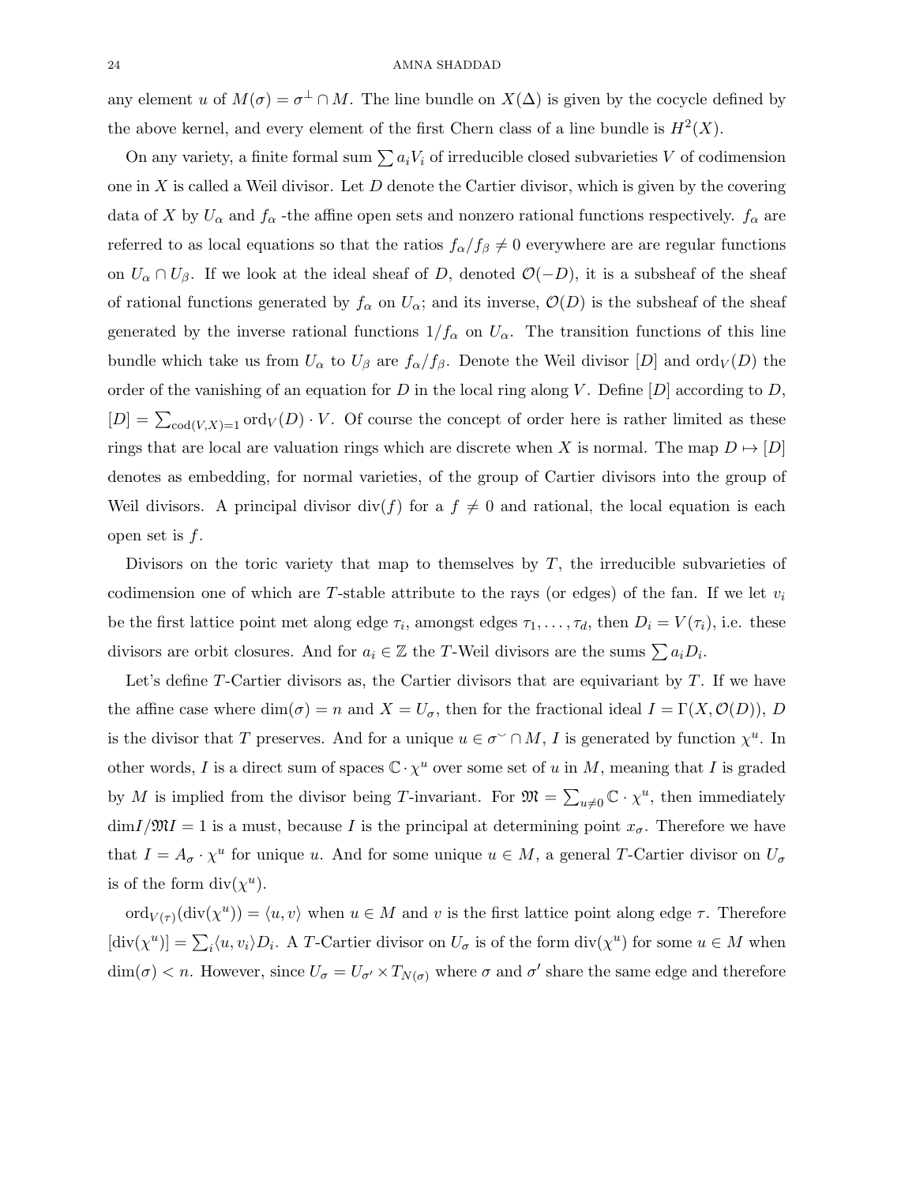any element u of  $M(\sigma) = \sigma^{\perp} \cap M$ . The line bundle on  $X(\Delta)$  is given by the cocycle defined by the above kernel, and every element of the first Chern class of a line bundle is  $H^2(X)$ .

On any variety, a finite formal sum  $\sum a_iV_i$  of irreducible closed subvarieties V of codimension one in X is called a Weil divisor. Let  $D$  denote the Cartier divisor, which is given by the covering data of X by  $U_{\alpha}$  and  $f_{\alpha}$  -the affine open sets and nonzero rational functions respectively.  $f_{\alpha}$  are referred to as local equations so that the ratios  $f_{\alpha}/f_{\beta} \neq 0$  everywhere are are regular functions on  $U_{\alpha} \cap U_{\beta}$ . If we look at the ideal sheaf of D, denoted  $\mathcal{O}(-D)$ , it is a subsheaf of the sheaf of rational functions generated by  $f_\alpha$  on  $U_\alpha$ ; and its inverse,  $\mathcal{O}(D)$  is the subsheaf of the sheaf generated by the inverse rational functions  $1/f_\alpha$  on  $U_\alpha$ . The transition functions of this line bundle which take us from  $U_{\alpha}$  to  $U_{\beta}$  are  $f_{\alpha}/f_{\beta}$ . Denote the Weil divisor  $[D]$  and  $\text{ord}_V(D)$  the order of the vanishing of an equation for D in the local ring along V. Define  $[D]$  according to D,  $[D] = \sum_{\text{cod}(V,X)=1} \text{ord}_V(D) \cdot V$ . Of course the concept of order here is rather limited as these rings that are local are valuation rings which are discrete when X is normal. The map  $D \mapsto [D]$ denotes as embedding, for normal varieties, of the group of Cartier divisors into the group of Weil divisors. A principal divisor div(f) for a  $f \neq 0$  and rational, the local equation is each open set is  $f$ .

Divisors on the toric variety that map to themselves by  $T$ , the irreducible subvarieties of codimension one of which are T-stable attribute to the rays (or edges) of the fan. If we let  $v_i$ be the first lattice point met along edge  $\tau_i$ , amongst edges  $\tau_1, \ldots, \tau_d$ , then  $D_i = V(\tau_i)$ , i.e. these divisors are orbit closures. And for  $a_i \in \mathbb{Z}$  the T-Weil divisors are the sums  $\sum a_i D_i$ .

Let's define  $T$ -Cartier divisors as, the Cartier divisors that are equivariant by  $T$ . If we have the affine case where  $\dim(\sigma) = n$  and  $X = U_{\sigma}$ , then for the fractional ideal  $I = \Gamma(X, \mathcal{O}(D)), D$ is the divisor that T preserves. And for a unique  $u \in \sigma^{\vee} \cap M$ , I is generated by function  $\chi^u$ . In other words, I is a direct sum of spaces  $\mathbb{C} \cdot \chi^u$  over some set of u in M, meaning that I is graded by M is implied from the divisor being T-invariant. For  $\mathfrak{M} = \sum_{u \neq 0} \mathbb{C} \cdot \chi^u$ , then immediately  $\dim I/\mathfrak{M} = 1$  is a must, because I is the principal at determining point  $x_{\sigma}$ . Therefore we have that  $I = A_{\sigma} \cdot \chi^u$  for unique u. And for some unique  $u \in M$ , a general T-Cartier divisor on  $U_{\sigma}$ is of the form  $div(\chi^u)$ .

 $\mathrm{ord}_{V(\tau)}(\mathrm{div}(\chi^u)) = \langle u, v \rangle$  when  $u \in M$  and v is the first lattice point along edge  $\tau$ . Therefore  $[\text{div}(\chi^u)] = \sum_i \langle u, v_i \rangle D_i$ . A T-Cartier divisor on  $U_{\sigma}$  is of the form  $\text{div}(\chi^u)$  for some  $u \in M$  when  $\dim(\sigma) < n$ . However, since  $U_{\sigma} = U_{\sigma'} \times T_{N(\sigma)}$  where  $\sigma$  and  $\sigma'$  share the same edge and therefore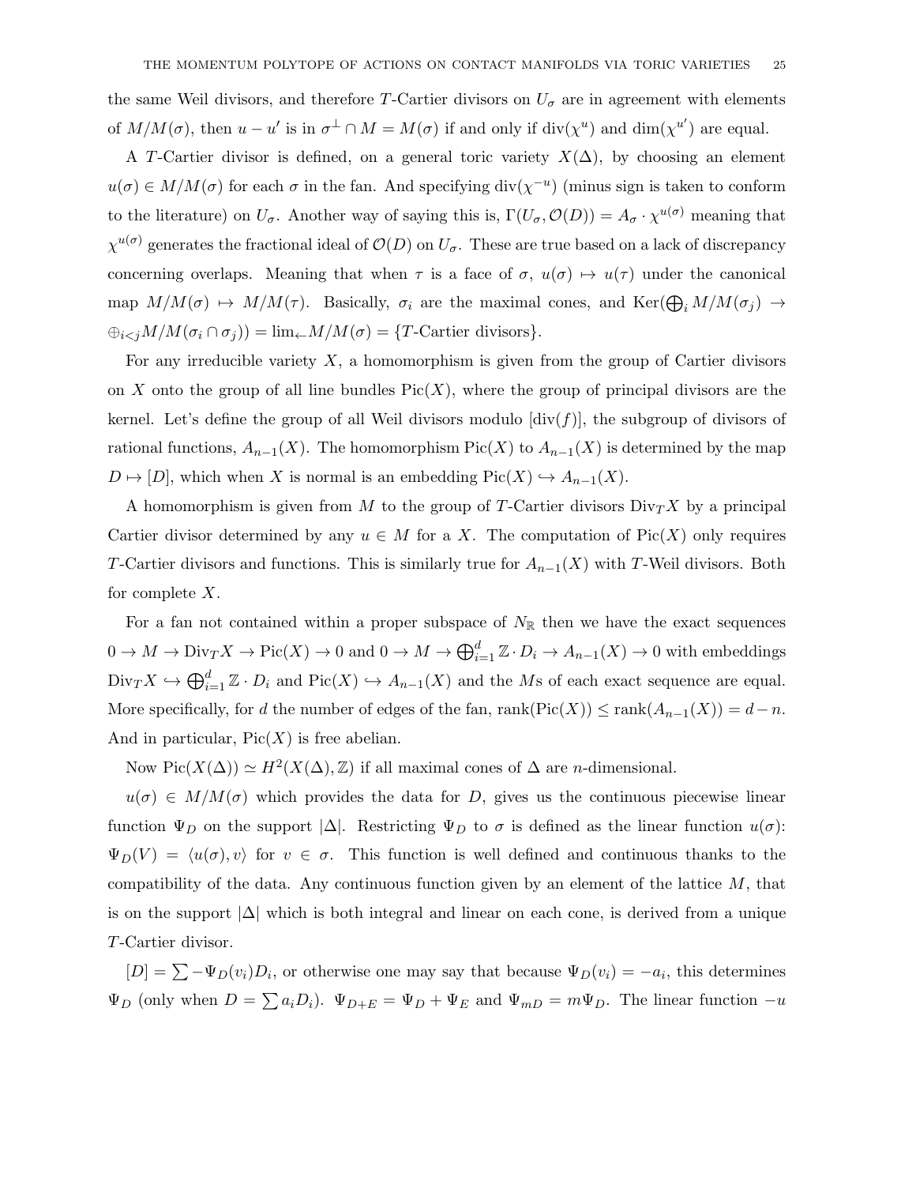the same Weil divisors, and therefore T-Cartier divisors on  $U_{\sigma}$  are in agreement with elements of  $M/M(\sigma)$ , then  $u - u'$  is in  $\sigma^{\perp} \cap M = M(\sigma)$  if and only if  $\text{div}(\chi^u)$  and  $\text{dim}(\chi^{u'})$  are equal.

A T-Cartier divisor is defined, on a general toric variety  $X(\Delta)$ , by choosing an element  $u(\sigma) \in M/M(\sigma)$  for each  $\sigma$  in the fan. And specifying div $(\chi^{-u})$  (minus sign is taken to conform to the literature) on  $U_{\sigma}$ . Another way of saying this is,  $\Gamma(U_{\sigma}, \mathcal{O}(D)) = A_{\sigma} \cdot \chi^{u(\sigma)}$  meaning that  $\chi^{u(\sigma)}$  generates the fractional ideal of  $\mathcal{O}(D)$  on  $U_{\sigma}$ . These are true based on a lack of discrepancy concerning overlaps. Meaning that when  $\tau$  is a face of  $\sigma$ ,  $u(\sigma) \mapsto u(\tau)$  under the canonical map  $M/M(\sigma) \mapsto M/M(\tau)$ . Basically,  $\sigma_i$  are the maximal cones, and  $\text{Ker}(\bigoplus_i M/M(\sigma_i) \to$  $\bigoplus_{i < j} M/M(\sigma_i \cap \sigma_j) = \lim_{\leftarrow} M/M(\sigma) = \{T\text{-Cartier divisors}\}.$ 

For any irreducible variety  $X$ , a homomorphism is given from the group of Cartier divisors on X onto the group of all line bundles  $Pic(X)$ , where the group of principal divisors are the kernel. Let's define the group of all Weil divisors modulo  $\left[\text{div}(f)\right]$ , the subgroup of divisors of rational functions,  $A_{n-1}(X)$ . The homomorphism Pic(X) to  $A_{n-1}(X)$  is determined by the map  $D \mapsto [D]$ , which when X is normal is an embedding Pic(X)  $\hookrightarrow A_{n-1}(X)$ .

A homomorphism is given from M to the group of T-Cartier divisors  $\text{Div}_T X$  by a principal Cartier divisor determined by any  $u \in M$  for a X. The computation of Pic(X) only requires T-Cartier divisors and functions. This is similarly true for  $A_{n-1}(X)$  with T-Weil divisors. Both for complete  $X$ .

For a fan not contained within a proper subspace of  $N_{\mathbb{R}}$  then we have the exact sequences  $0 \to M \to \text{Div}_T X \to \text{Pic}(X) \to 0$  and  $0 \to M \to \bigoplus_{i=1}^d \mathbb{Z} \cdot D_i \to A_{n-1}(X) \to 0$  with embeddings  $\text{Div}_T X \hookrightarrow \bigoplus_{i=1}^d \mathbb{Z} \cdot D_i$  and  $\text{Pic}(X) \hookrightarrow A_{n-1}(X)$  and the Ms of each exact sequence are equal. More specifically, for d the number of edges of the fan, rank(Pic(X))  $\leq$  rank $(A_{n-1}(X)) = d-n$ . And in particular,  $Pic(X)$  is free abelian.

Now  $Pic(X(\Delta)) \simeq H^2(X(\Delta), \mathbb{Z})$  if all maximal cones of  $\Delta$  are *n*-dimensional.

 $u(\sigma) \in M/M(\sigma)$  which provides the data for D, gives us the continuous piecewise linear function  $\Psi_D$  on the support  $|\Delta|$ . Restricting  $\Psi_D$  to  $\sigma$  is defined as the linear function  $u(\sigma)$ :  $\Psi_D(V) = \langle u(\sigma), v \rangle$  for  $v \in \sigma$ . This function is well defined and continuous thanks to the compatibility of the data. Any continuous function given by an element of the lattice  $M$ , that is on the support  $|\Delta|$  which is both integral and linear on each cone, is derived from a unique T-Cartier divisor.

 $[D] = \sum -\Psi_D(v_i)D_i$ , or otherwise one may say that because  $\Psi_D(v_i) = -a_i$ , this determines  $\Psi_D$  (only when  $D = \sum a_i D_i$ ).  $\Psi_{D+E} = \Psi_D + \Psi_E$  and  $\Psi_{mD} = m\Psi_D$ . The linear function  $-u$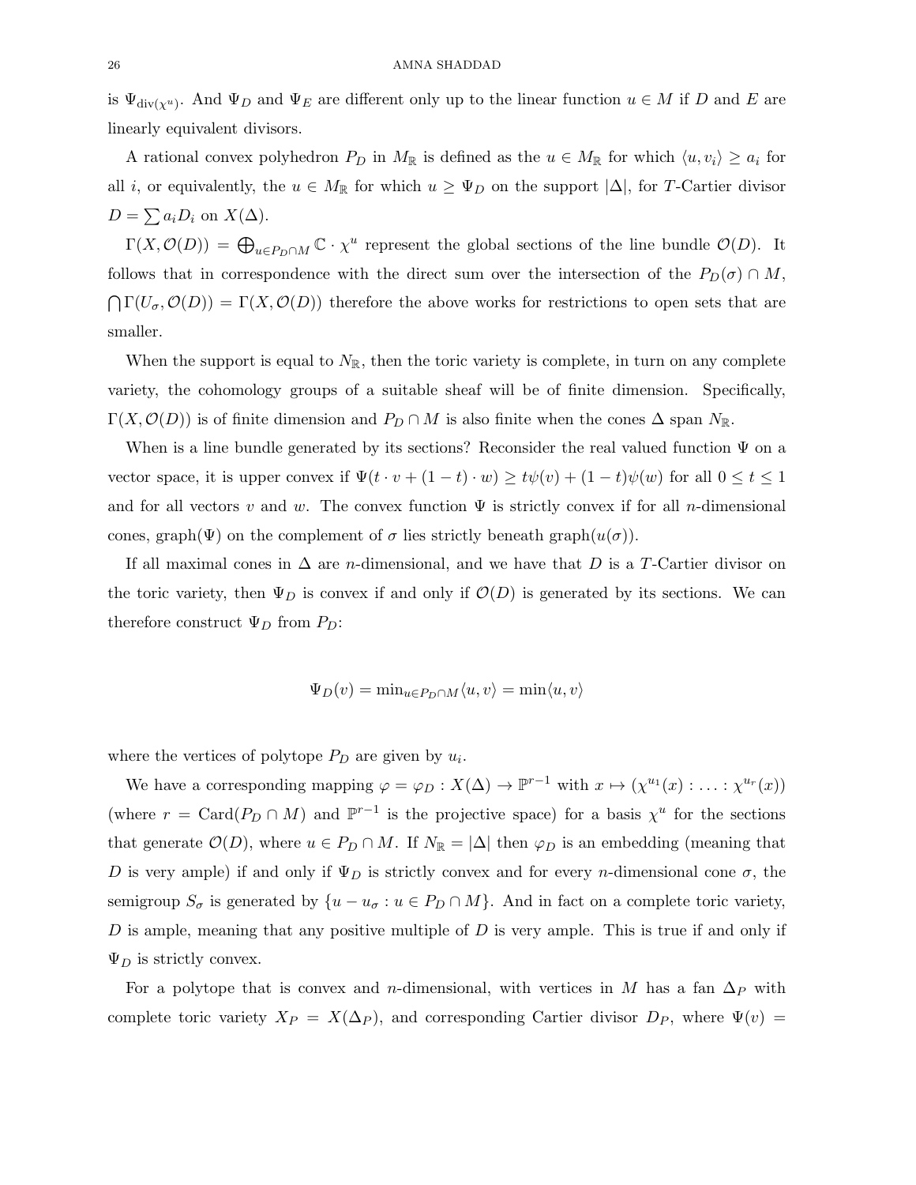is  $\Psi_{\text{div}(\chi^u)}$ . And  $\Psi_D$  and  $\Psi_E$  are different only up to the linear function  $u \in M$  if D and E are linearly equivalent divisors.

A rational convex polyhedron  $P_D$  in  $M_{\mathbb{R}}$  is defined as the  $u \in M_{\mathbb{R}}$  for which  $\langle u, v_i \rangle \geq a_i$  for all i, or equivalently, the  $u \in M_{\mathbb{R}}$  for which  $u \geq \Psi_D$  on the support  $|\Delta|$ , for T-Cartier divisor  $D = \sum a_i D_i$  on  $X(\Delta)$ .

 $\Gamma(X, \mathcal{O}(D)) = \bigoplus_{u \in P_D \cap M} \mathbb{C} \cdot \chi^u$  represent the global sections of the line bundle  $\mathcal{O}(D)$ . It follows that in correspondence with the direct sum over the intersection of the  $P_D(\sigma) \cap M$ ,  $\bigcap \Gamma(U_{\sigma}, \mathcal{O}(D)) = \Gamma(X, \mathcal{O}(D))$  therefore the above works for restrictions to open sets that are smaller.

When the support is equal to  $N_{\mathbb{R}}$ , then the toric variety is complete, in turn on any complete variety, the cohomology groups of a suitable sheaf will be of finite dimension. Specifically,  $\Gamma(X, \mathcal{O}(D))$  is of finite dimension and  $P_D \cap M$  is also finite when the cones  $\Delta$  span  $N_{\mathbb{R}}$ .

When is a line bundle generated by its sections? Reconsider the real valued function  $\Psi$  on a vector space, it is upper convex if  $\Psi(t \cdot v + (1-t) \cdot w) \ge t\psi(v) + (1-t)\psi(w)$  for all  $0 \le t \le 1$ and for all vectors v and w. The convex function  $\Psi$  is strictly convex if for all n-dimensional cones, graph( $\Psi$ ) on the complement of  $\sigma$  lies strictly beneath graph $(u(\sigma))$ .

If all maximal cones in  $\Delta$  are *n*-dimensional, and we have that D is a T-Cartier divisor on the toric variety, then  $\Psi_D$  is convex if and only if  $\mathcal{O}(D)$  is generated by its sections. We can therefore construct  $\Psi_D$  from  $P_D$ :

$$
\Psi_D(v) = \min_{u \in P_D \cap M} \langle u, v \rangle = \min \langle u, v \rangle
$$

where the vertices of polytope  $P_D$  are given by  $u_i$ .

We have a corresponding mapping  $\varphi = \varphi_D : X(\Delta) \to \mathbb{P}^{r-1}$  with  $x \mapsto (\chi^{u_1}(x) : \ldots : \chi^{u_r}(x))$ (where  $r = \text{Card}(P_D \cap M)$  and  $\mathbb{P}^{r-1}$  is the projective space) for a basis  $\chi^u$  for the sections that generate  $\mathcal{O}(D)$ , where  $u \in P_D \cap M$ . If  $N_{\mathbb{R}} = |\Delta|$  then  $\varphi_D$  is an embedding (meaning that D is very ample) if and only if  $\Psi_D$  is strictly convex and for every n-dimensional cone  $\sigma$ , the semigroup  $S_{\sigma}$  is generated by  $\{u - u_{\sigma} : u \in P_D \cap M\}$ . And in fact on a complete toric variety,  $D$  is ample, meaning that any positive multiple of  $D$  is very ample. This is true if and only if  $\Psi_D$  is strictly convex.

For a polytope that is convex and n-dimensional, with vertices in M has a fan  $\Delta_P$  with complete toric variety  $X_P = X(\Delta_P)$ , and corresponding Cartier divisor  $D_P$ , where  $\Psi(v)$  =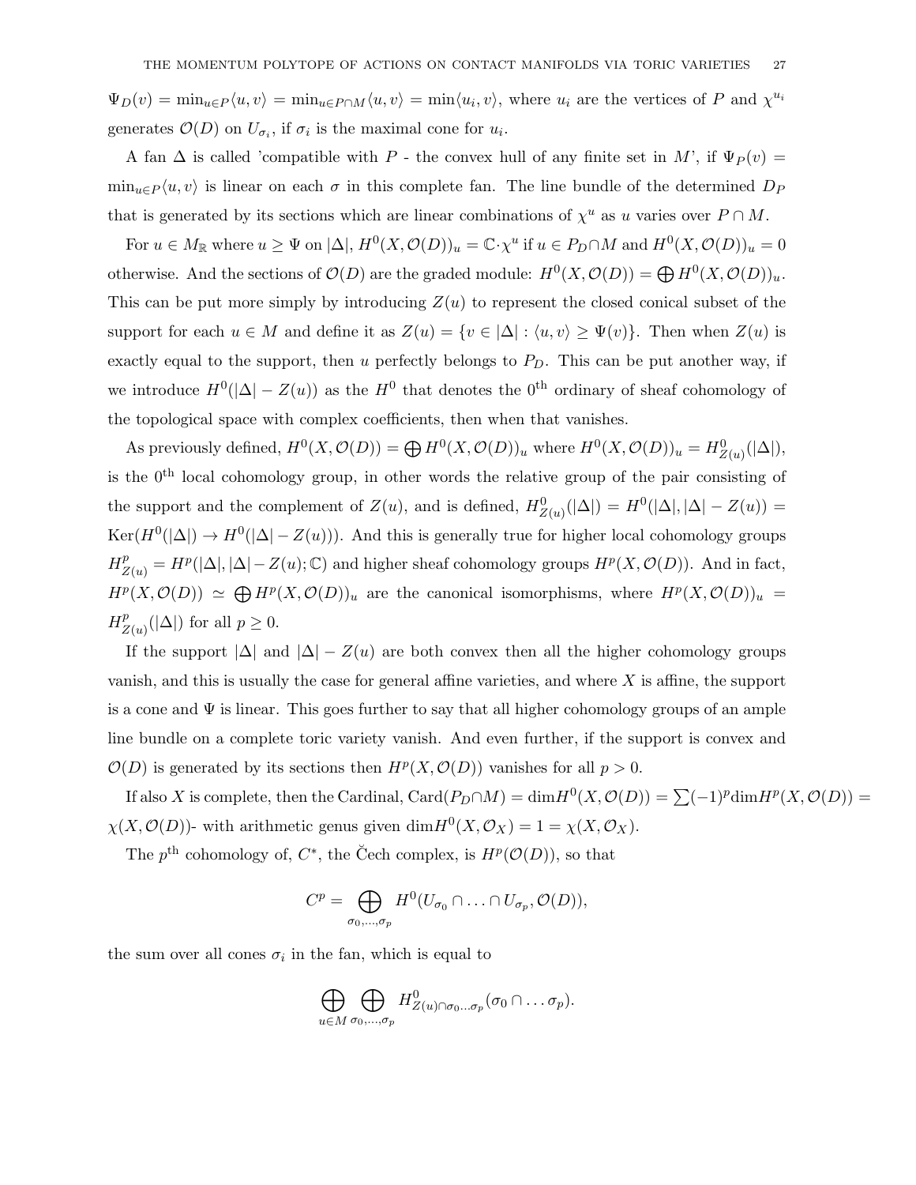$\Psi_D(v) = \min_{u \in P} \langle u, v \rangle = \min_{u \in P \cap M} \langle u, v \rangle = \min_{u \in P} \langle u, v \rangle$ , where  $u_i$  are the vertices of P and  $\chi^{u_i}$ generates  $\mathcal{O}(D)$  on  $U_{\sigma_i}$ , if  $\sigma_i$  is the maximal cone for  $u_i$ .

A fan  $\Delta$  is called 'compatible with P - the convex hull of any finite set in M', if  $\Psi_P(v)$  =  $\min_{u \in P} \langle u, v \rangle$  is linear on each  $\sigma$  in this complete fan. The line bundle of the determined  $D_P$ that is generated by its sections which are linear combinations of  $\chi^u$  as u varies over  $P \cap M$ .

For  $u \in M_{\mathbb{R}}$  where  $u \ge \Psi$  on  $|\Delta|$ ,  $H^0(X, \mathcal{O}(D))_u = \mathbb{C} \cdot \chi^u$  if  $u \in P_D \cap M$  and  $H^0(X, \mathcal{O}(D))_u = 0$ otherwise. And the sections of  $\mathcal{O}(D)$  are the graded module:  $H^0(X, \mathcal{O}(D)) = \bigoplus H^0(X, \mathcal{O}(D))_u$ . This can be put more simply by introducing  $Z(u)$  to represent the closed conical subset of the support for each  $u \in M$  and define it as  $Z(u) = \{v \in |\Delta| : \langle u, v \rangle \geq \Psi(v)\}\)$ . Then when  $Z(u)$  is exactly equal to the support, then u perfectly belongs to  $P<sub>D</sub>$ . This can be put another way, if we introduce  $H^0(|\Delta|-Z(u))$  as the  $H^0$  that denotes the 0<sup>th</sup> ordinary of sheaf cohomology of the topological space with complex coefficients, then when that vanishes.

As previously defined,  $H^0(X, \mathcal{O}(D)) = \bigoplus H^0(X, \mathcal{O}(D))_u$  where  $H^0(X, \mathcal{O}(D))_u = H^0_{Z(u)}(|\Delta|)$ , is the  $0<sup>th</sup>$  local cohomology group, in other words the relative group of the pair consisting of the support and the complement of  $Z(u)$ , and is defined,  $H_{Z(u)}^0(|\Delta|) = H^0(|\Delta|, |\Delta| - Z(u)) =$  $\text{Ker}(H^0(|\Delta|) \to H^0(|\Delta| - Z(u)))$ . And this is generally true for higher local cohomology groups  $H_{Z(u)}^p = H^p(|\Delta|, |\Delta| - Z(u); \mathbb{C})$  and higher sheaf cohomology groups  $H^p(X, \mathcal{O}(D))$ . And in fact,  $H^p(X, \mathcal{O}(D)) \simeq \bigoplus H^p(X, \mathcal{O}(D))_u$  are the canonical isomorphisms, where  $H^p(X, \mathcal{O}(D))_u =$  $H^p_2$  $_{Z(u)}^p(|\Delta|)$  for all  $p \geq 0$ .

If the support  $|\Delta|$  and  $|\Delta| - Z(u)$  are both convex then all the higher cohomology groups vanish, and this is usually the case for general affine varieties, and where X is affine, the support is a cone and  $\Psi$  is linear. This goes further to say that all higher cohomology groups of an ample line bundle on a complete toric variety vanish. And even further, if the support is convex and  $\mathcal{O}(D)$  is generated by its sections then  $H^p(X, \mathcal{O}(D))$  vanishes for all  $p > 0$ .

If also X is complete, then the Cardinal,  $\text{Card}(P_D \cap M) = \dim H^0(X, \mathcal{O}(D)) = \sum (-1)^p \dim H^p(X, \mathcal{O}(D)) =$  $\chi(X, \mathcal{O}(D))$ - with arithmetic genus given  $\dim H^0(X, \mathcal{O}_X) = 1 = \chi(X, \mathcal{O}_X)$ .

The  $p^{\text{th}}$  cohomology of,  $C^*$ , the Čech complex, is  $H^p(\mathcal{O}(D))$ , so that

$$
C^p = \bigoplus_{\sigma_0,\ldots,\sigma_p} H^0(U_{\sigma_0} \cap \ldots \cap U_{\sigma_p}, \mathcal{O}(D)),
$$

the sum over all cones  $\sigma_i$  in the fan, which is equal to

$$
\bigoplus_{u \in M} \bigoplus_{\sigma_0, \dots, \sigma_p} H^0_{Z(u) \cap \sigma_0 \dots \sigma_p}(\sigma_0 \cap \dots \sigma_p).
$$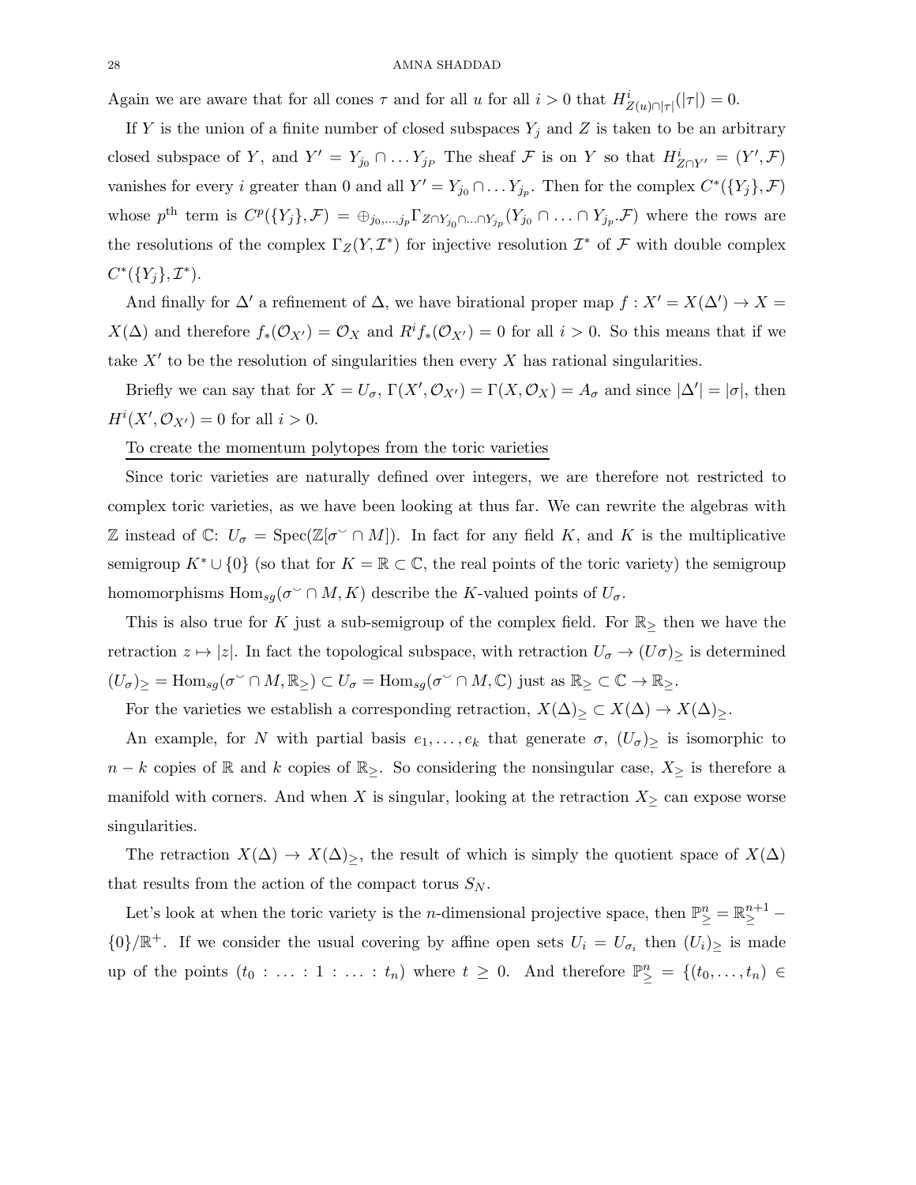Again we are aware that for all cones  $\tau$  and for all u for all  $i > 0$  that  $H^i_{Z(u) \cap |\tau|}(|\tau|) = 0$ .

If Y is the union of a finite number of closed subspaces  $Y_j$  and Z is taken to be an arbitrary closed subspace of Y, and  $Y' = Y_{j_0} \cap \dots Y_{j_P}$  The sheaf F is on Y so that  $H^i_{Z \cap Y'} = (Y', \mathcal{F})$ vanishes for every *i* greater than 0 and all  $Y' = Y_{j_0} \cap \dots Y_{j_p}$ . Then for the complex  $C^*(\{Y_j\}, \mathcal{F})$ whose  $p^{\text{th}}$  term is  $C^p({Y_j}, \mathcal{F}) = \bigoplus_{j_0,\dots,j_p} \Gamma_{Z \cap Y_{j_0} \cap \dots \cap Y_{j_p}} (Y_{j_0} \cap \dots \cap Y_{j_p} \mathcal{F})$  where the rows are the resolutions of the complex  $\Gamma_Z(Y, \mathcal{I}^*)$  for injective resolution  $\mathcal{I}^*$  of  $\mathcal F$  with double complex  $C^*(\{Y_j\}, \mathcal{I}^*)$ .

And finally for  $\Delta'$  a refinement of  $\Delta$ , we have birational proper map  $f: X' = X(\Delta') \to X =$  $X(\Delta)$  and therefore  $f_*(\mathcal{O}_{X'})=\mathcal{O}_X$  and  $R^if_*(\mathcal{O}_{X'})=0$  for all  $i>0$ . So this means that if we take  $X'$  to be the resolution of singularities then every  $X$  has rational singularities.

Briefly we can say that for  $X = U_{\sigma}$ ,  $\Gamma(X', \mathcal{O}_{X'}) = \Gamma(X, \mathcal{O}_X) = A_{\sigma}$  and since  $|\Delta'| = |\sigma|$ , then  $H^i(X', \mathcal{O}_{X'}) = 0$  for all  $i > 0$ .

To create the momentum polytopes from the toric varieties

Since toric varieties are naturally defined over integers, we are therefore not restricted to complex toric varieties, as we have been looking at thus far. We can rewrite the algebras with Z instead of  $\mathbb{C}$ :  $U_{\sigma} = \text{Spec}(\mathbb{Z}[\sigma^{\vee} \cap M])$ . In fact for any field K, and K is the multiplicative semigroup  $K^* \cup \{0\}$  (so that for  $K = \mathbb{R} \subset \mathbb{C}$ , the real points of the toric variety) the semigroup homomorphisms  $\text{Hom}_{sg}(\sigma^{\vee} \cap M, K)$  describe the K-valued points of  $U_{\sigma}$ .

This is also true for K just a sub-semigroup of the complex field. For  $\mathbb{R}_{\geq}$  then we have the retraction  $z \mapsto |z|$ . In fact the topological subspace, with retraction  $U_{\sigma} \to (U_{\sigma})_{\geq}$  is determined  $(U_{\sigma})_{\geq} = \text{Hom}_{sg}(\sigma^{\vee} \cap M, \mathbb{R}_{\geq}) \subset U_{\sigma} = \text{Hom}_{sg}(\sigma^{\vee} \cap M, \mathbb{C})$  just as  $\mathbb{R}_{\geq} \subset \mathbb{C} \to \mathbb{R}_{\geq}$ .

For the varieties we establish a corresponding retraction,  $X(\Delta)$ <sub>≥</sub>  $\subset X(\Delta) \to X(\Delta)$ <sub>≥</sub>.

An example, for N with partial basis  $e_1, \ldots, e_k$  that generate  $\sigma$ ,  $(U_{\sigma})_{\geq}$  is isomorphic to  $n - k$  copies of R and k copies of R<sub>≥</sub>. So considering the nonsingular case,  $X_{\geq}$  is therefore a manifold with corners. And when X is singular, looking at the retraction  $X_{\geq}$  can expose worse singularities.

The retraction  $X(\Delta) \to X(\Delta)$ , the result of which is simply the quotient space of  $X(\Delta)$ that results from the action of the compact torus  $S_N$ .

Let's look at when the toric variety is the *n*-dimensional projective space, then  $\mathbb{P}^n_{\geq} = \mathbb{R}^{n+1}_{\geq}$  ${0}$ / $\mathbb{R}^+$ . If we consider the usual covering by affine open sets  $U_i = U_{\sigma_i}$  then  $(U_i)_{\geq}$  is made up of the points  $(t_0 : \ldots : 1 : \ldots : t_n)$  where  $t \geq 0$ . And therefore  $\mathbb{P}^n_{\geq} = \{(t_0, \ldots, t_n) \in$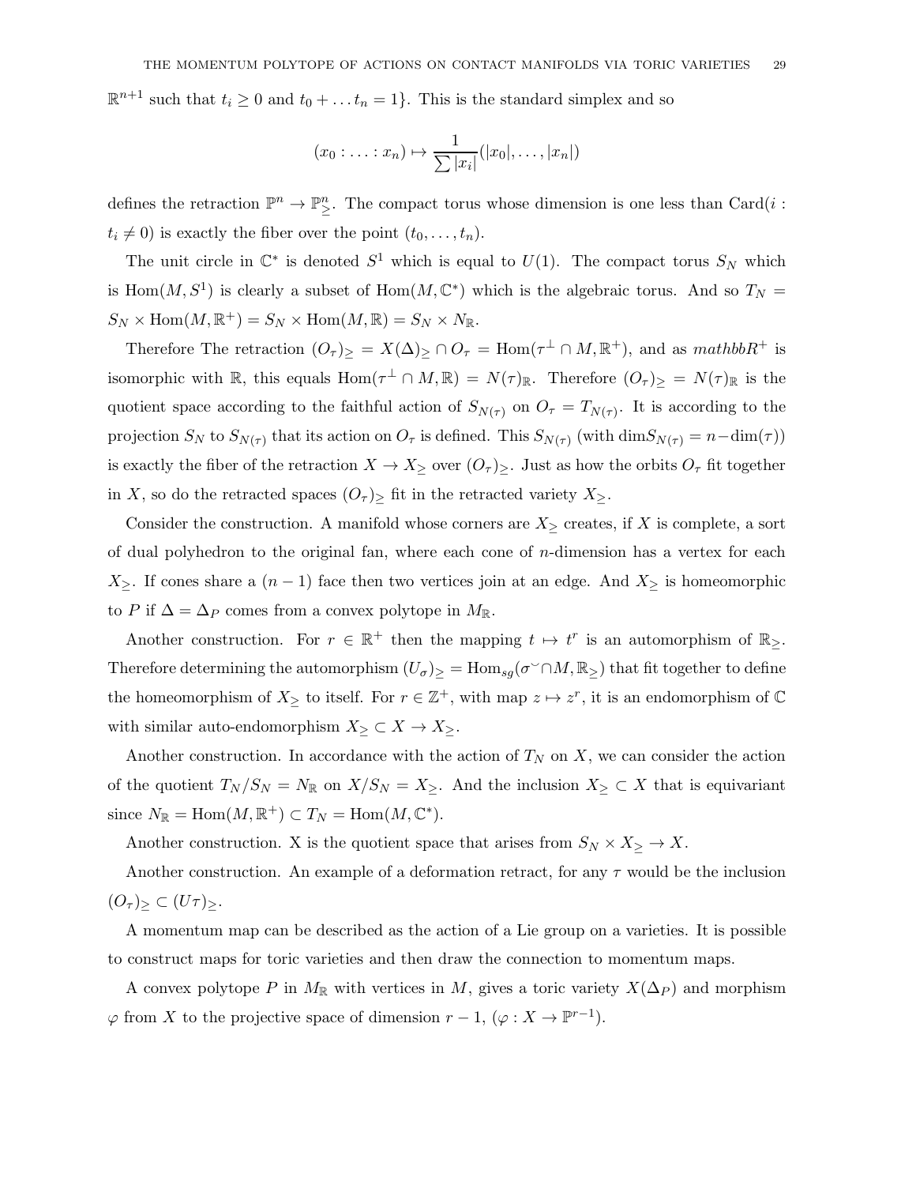$\mathbb{R}^{n+1}$  such that  $t_i \geq 0$  and  $t_0 + \ldots + t_n = 1$ . This is the standard simplex and so

$$
(x_0: \ldots: x_n) \mapsto \frac{1}{\sum |x_i|} (|x_0|, \ldots, |x_n|)
$$

defines the retraction  $\mathbb{P}^n \to \mathbb{P}^n_{\geq}$ . The compact torus whose dimension is one less than Card $(i :$  $t_i \neq 0$ ) is exactly the fiber over the point  $(t_0, \ldots, t_n)$ .

The unit circle in  $\mathbb{C}^*$  is denoted  $S^1$  which is equal to  $U(1)$ . The compact torus  $S_N$  which is Hom $(M, S^1)$  is clearly a subset of Hom $(M, \mathbb{C}^*)$  which is the algebraic torus. And so  $T_N =$  $S_N \times \text{Hom}(M, \mathbb{R}^+) = S_N \times \text{Hom}(M, \mathbb{R}) = S_N \times N_{\mathbb{R}}.$ 

Therefore The retraction  $(O_\tau)_\geq = X(\Delta)_\geq \cap O_\tau = \text{Hom}(\tau^\perp \cap M, \mathbb{R}^+)$ , and as mathbo $R^+$  is isomorphic with  $\mathbb R$ , this equals  $\text{Hom}(\tau^{\perp} \cap M, \mathbb R) = N(\tau)_{\mathbb R}$ . Therefore  $(O_{\tau})_{\ge} = N(\tau)_{\mathbb R}$  is the quotient space according to the faithful action of  $S_{N(\tau)}$  on  $O_{\tau} = T_{N(\tau)}$ . It is according to the projection  $S_N$  to  $S_{N(\tau)}$  that its action on  $O_\tau$  is defined. This  $S_{N(\tau)}$  (with  $\dim S_{N(\tau)} = n - \dim(\tau)$ ) is exactly the fiber of the retraction  $X \to X_{\geq}$  over  $(O_{\tau})_{\geq}$ . Just as how the orbits  $O_{\tau}$  fit together in X, so do the retracted spaces  $(O<sub>\tau</sub>)$  fit in the retracted variety  $X_{\geq}$ .

Consider the construction. A manifold whose corners are  $X_{\geq}$  creates, if X is complete, a sort of dual polyhedron to the original fan, where each cone of  $n$ -dimension has a vertex for each  $X_{\geq}$ . If cones share a  $(n-1)$  face then two vertices join at an edge. And  $X_{\geq}$  is homeomorphic to P if  $\Delta = \Delta_P$  comes from a convex polytope in  $M_{\mathbb{R}}$ .

Another construction. For  $r \in \mathbb{R}^+$  then the mapping  $t \mapsto t^r$  is an automorphism of  $\mathbb{R}_{\geq}$ . Therefore determining the automorphism  $(U_{\sigma})_{\geq} = \text{Hom}_{sg}(\sigma^{\vee} \cap M, \mathbb{R}_{\geq})$  that fit together to define the homeomorphism of  $X_{\geq}$  to itself. For  $r \in \mathbb{Z}^{+}$ , with map  $z \mapsto z^{r}$ , it is an endomorphism of  $\mathbb{C}$ with similar auto-endomorphism  $X_{\geq} \subset X \to X_{\geq}$ .

Another construction. In accordance with the action of  $T_N$  on X, we can consider the action of the quotient  $T_N / S_N = N_{\mathbb{R}}$  on  $X / S_N = X_{\geq}$ . And the inclusion  $X_{\geq} \subset X$  that is equivariant since  $N_{\mathbb{R}} = \text{Hom}(M, \mathbb{R}^+) \subset T_N = \text{Hom}(M, \mathbb{C}^*).$ 

Another construction. X is the quotient space that arises from  $S_N \times X_{\geq} \to X$ .

Another construction. An example of a deformation retract, for any  $\tau$  would be the inclusion  $(O_\tau)_\geq \subset (U\tau)_\geq$ .

A momentum map can be described as the action of a Lie group on a varieties. It is possible to construct maps for toric varieties and then draw the connection to momentum maps.

A convex polytope P in  $M_{\mathbb{R}}$  with vertices in M, gives a toric variety  $X(\Delta_P)$  and morphism  $\varphi$  from X to the projective space of dimension  $r-1$ ,  $(\varphi: X \to \mathbb{P}^{r-1})$ .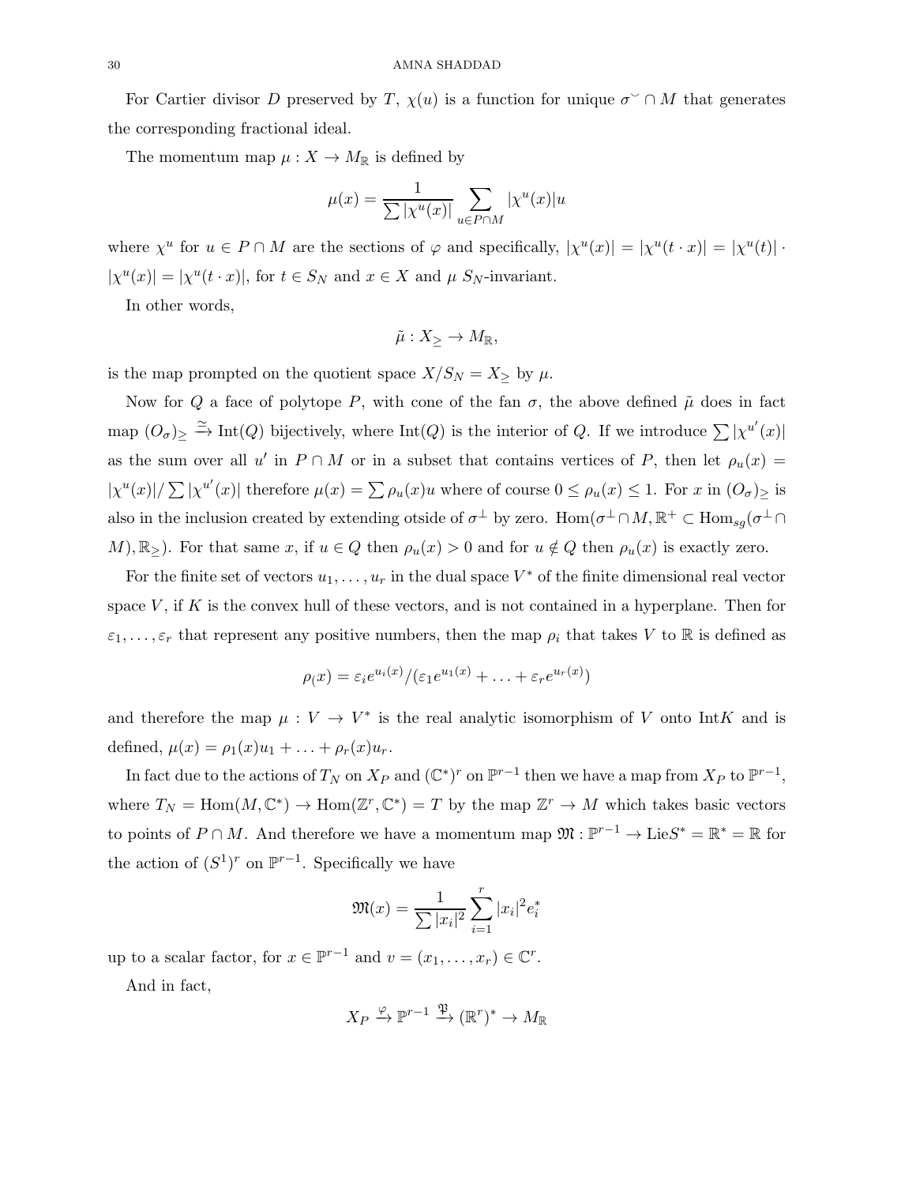For Cartier divisor D preserved by T,  $\chi(u)$  is a function for unique  $\sigma^{\sim} \cap M$  that generates the corresponding fractional ideal.

The momentum map  $\mu : X \to M_{\mathbb{R}}$  is defined by

$$
\mu(x) = \frac{1}{\sum |\chi^u(x)|} \sum_{u \in P \cap M} |\chi^u(x)| u
$$

where  $\chi^u$  for  $u \in P \cap M$  are the sections of  $\varphi$  and specifically,  $|\chi^u(x)| = |\chi^u(t \cdot x)| = |\chi^u(t)| \cdot$  $|\chi^u(x)| = |\chi^u(t \cdot x)|$ , for  $t \in S_N$  and  $x \in X$  and  $\mu S_N$ -invariant.

In other words,

$$
\tilde{\mu}: X_{\geq} \to M_{\mathbb{R}},
$$

is the map prompted on the quotient space  $X/S_N = X_{\geq}$  by  $\mu$ .

Now for Q a face of polytope P, with cone of the fan  $\sigma$ , the above defined  $\tilde{\mu}$  does in fact map  $(O_{\sigma})_{\geq} \stackrel{\simeq}{\to} \text{Int}(Q)$  bijectively, where  $\text{Int}(Q)$  is the interior of Q. If we introduce  $\sum |\chi^{u'}(x)|$ as the sum over all u' in  $P \cap M$  or in a subset that contains vertices of P, then let  $\rho_u(x) =$  $|\chi^u(x)|/\sum |\chi^{u'}(x)|$  therefore  $\mu(x) = \sum \rho_u(x)u$  where of course  $0 \le \rho_u(x) \le 1$ . For x in  $(O_{\sigma})_{\ge}$  is also in the inclusion created by extending otside of  $\sigma^{\perp}$  by zero. Hom $(\sigma^{\perp} \cap M, \mathbb{R}^+ \subset \text{Hom}_{sg}(\sigma^{\perp} \cap M))$ M),  $\mathbb{R}_{>}\sum$ . For that same x, if  $u \in Q$  then  $\rho_u(x) > 0$  and for  $u \notin Q$  then  $\rho_u(x)$  is exactly zero.

For the finite set of vectors  $u_1, \ldots, u_r$  in the dual space  $V^*$  of the finite dimensional real vector space  $V$ , if  $K$  is the convex hull of these vectors, and is not contained in a hyperplane. Then for  $\varepsilon_1,\ldots,\varepsilon_r$  that represent any positive numbers, then the map  $\rho_i$  that takes V to R is defined as

$$
\rho(x) = \varepsilon_i e^{u_i(x)} / (\varepsilon_1 e^{u_1(x)} + \ldots + \varepsilon_r e^{u_r(x)})
$$

and therefore the map  $\mu: V \to V^*$  is the real analytic isomorphism of V onto IntK and is defined,  $\mu(x) = \rho_1(x)u_1 + ... + \rho_r(x)u_r$ .

In fact due to the actions of  $T_N$  on  $X_P$  and  $(\mathbb{C}^*)^r$  on  $\mathbb{P}^{r-1}$  then we have a map from  $X_P$  to  $\mathbb{P}^{r-1}$ , where  $T_N = \text{Hom}(M, \mathbb{C}^*) \to \text{Hom}(\mathbb{Z}^r, \mathbb{C}^*) = T$  by the map  $\mathbb{Z}^r \to M$  which takes basic vectors to points of  $P \cap M$ . And therefore we have a momentum map  $\mathfrak{M} : \mathbb{P}^{r-1} \to \text{Lie}S^* = \mathbb{R}^* = \mathbb{R}$  for the action of  $(S^1)^r$  on  $\mathbb{P}^{r-1}$ . Specifically we have

$$
\mathfrak{M}(x) = \frac{1}{\sum |x_i|^2} \sum_{i=1}^r |x_i|^2 e_i^*
$$

up to a scalar factor, for  $x \in \mathbb{P}^{r-1}$  and  $v = (x_1, \dots, x_r) \in \mathbb{C}^r$ .

And in fact,

$$
X_P \xrightarrow{\varphi} \mathbb{P}^{r-1} \xrightarrow{\mathfrak{P}} (\mathbb{R}^r)^* \to M_{\mathbb{R}}
$$